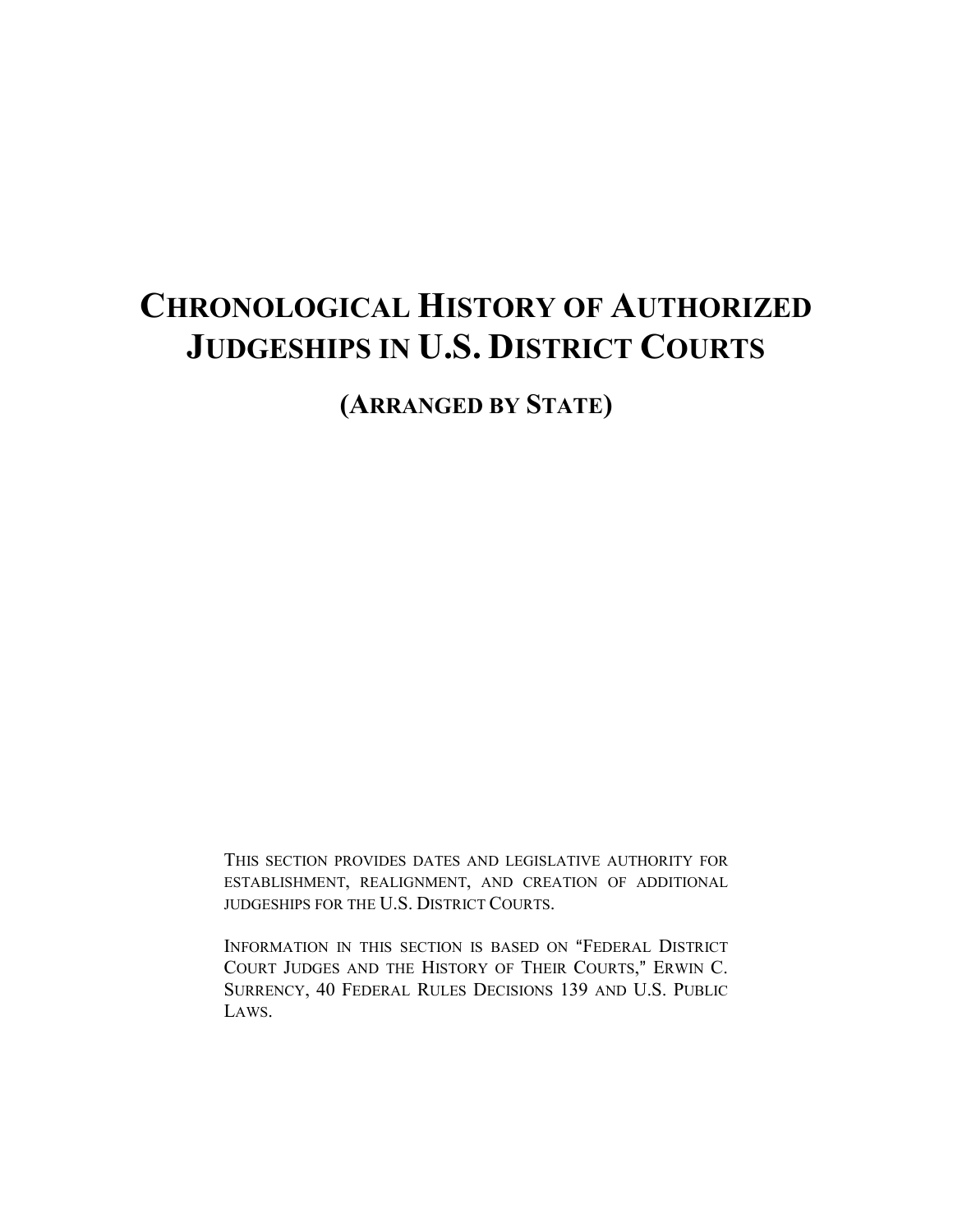# **CHRONOLOGICAL HISTORY OF AUTHORIZED JUDGESHIPS IN U.S. DISTRICT COURTS**

**(ARRANGED BY STATE)**

THIS SECTION PROVIDES DATES AND LEGISLATIVE AUTHORITY FOR ESTABLISHMENT, REALIGNMENT, AND CREATION OF ADDITIONAL JUDGESHIPS FOR THE U.S. DISTRICT COURTS.

INFORMATION IN THIS SECTION IS BASED ON "FEDERAL DISTRICT COURT JUDGES AND THE HISTORY OF THEIR COURTS," ERWIN C. SURRENCY, 40 FEDERAL RULES DECISIONS 139 AND U.S. PUBLIC LAWS.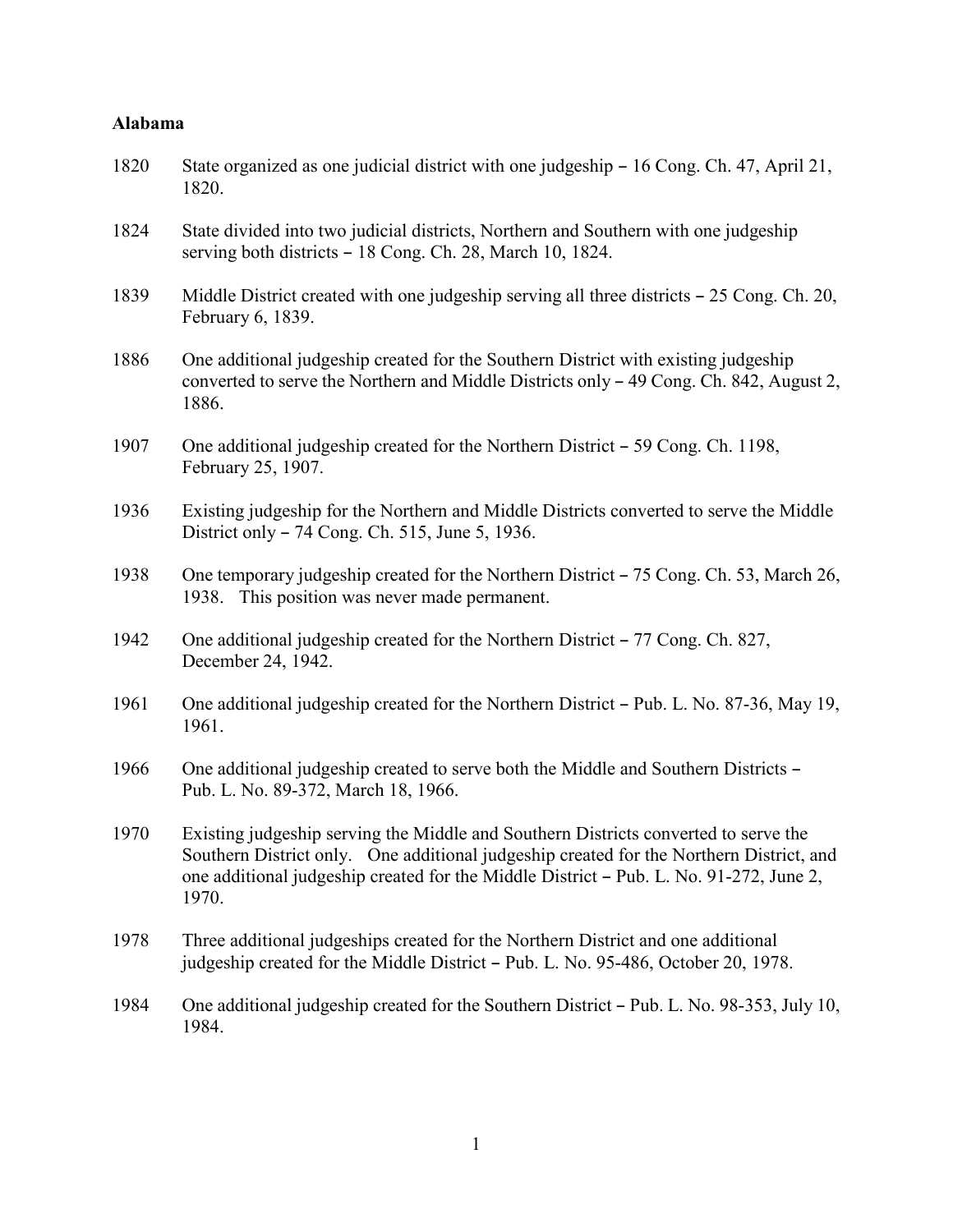#### **Alabama**

- 1820 State organized as one judicial district with one judgeship 16 Cong. Ch. 47, April 21, 1820.
- 1824 State divided into two judicial districts, Northern and Southern with one judgeship serving both districts  $-18$  Cong. Ch. 28, March 10, 1824.
- 1839 Middle District created with one judgeship serving all three districts  $-25$  Cong. Ch. 20, February 6, 1839.
- 1886 One additional judgeship created for the Southern District with existing judgeship converted to serve the Northern and Middle Districts only  $-49$  Cong. Ch. 842, August 2, 1886.
- 1907 One additional judgeship created for the Northern District 59 Cong. Ch. 1198, February 25, 1907.
- 1936 Existing judgeship for the Northern and Middle Districts converted to serve the Middle District only  $-74$  Cong. Ch. 515, June 5, 1936.
- 1938 One temporary judgeship created for the Northern District  $-75$  Cong. Ch. 53, March 26, 1938. This position was never made permanent.
- 1942 One additional judgeship created for the Northern District 77 Cong. Ch. 827, December 24, 1942.
- 1961 One additional judgeship created for the Northern District Pub. L. No. 87-36, May 19, 1961.
- 1966 One additional judgeship created to serve both the Middle and Southern Districts -Pub. L. No. 89-372, March 18, 1966.
- 1970 Existing judgeship serving the Middle and Southern Districts converted to serve the Southern District only. One additional judgeship created for the Northern District, and one additional judgeship created for the Middle District  $-$  Pub. L. No. 91-272, June 2, 1970.
- 1978 Three additional judgeships created for the Northern District and one additional judgeship created for the Middle District  $-$  Pub. L. No. 95-486, October 20, 1978.
- 1984 One additional judgeship created for the Southern District Pub. L. No. 98-353, July 10, 1984.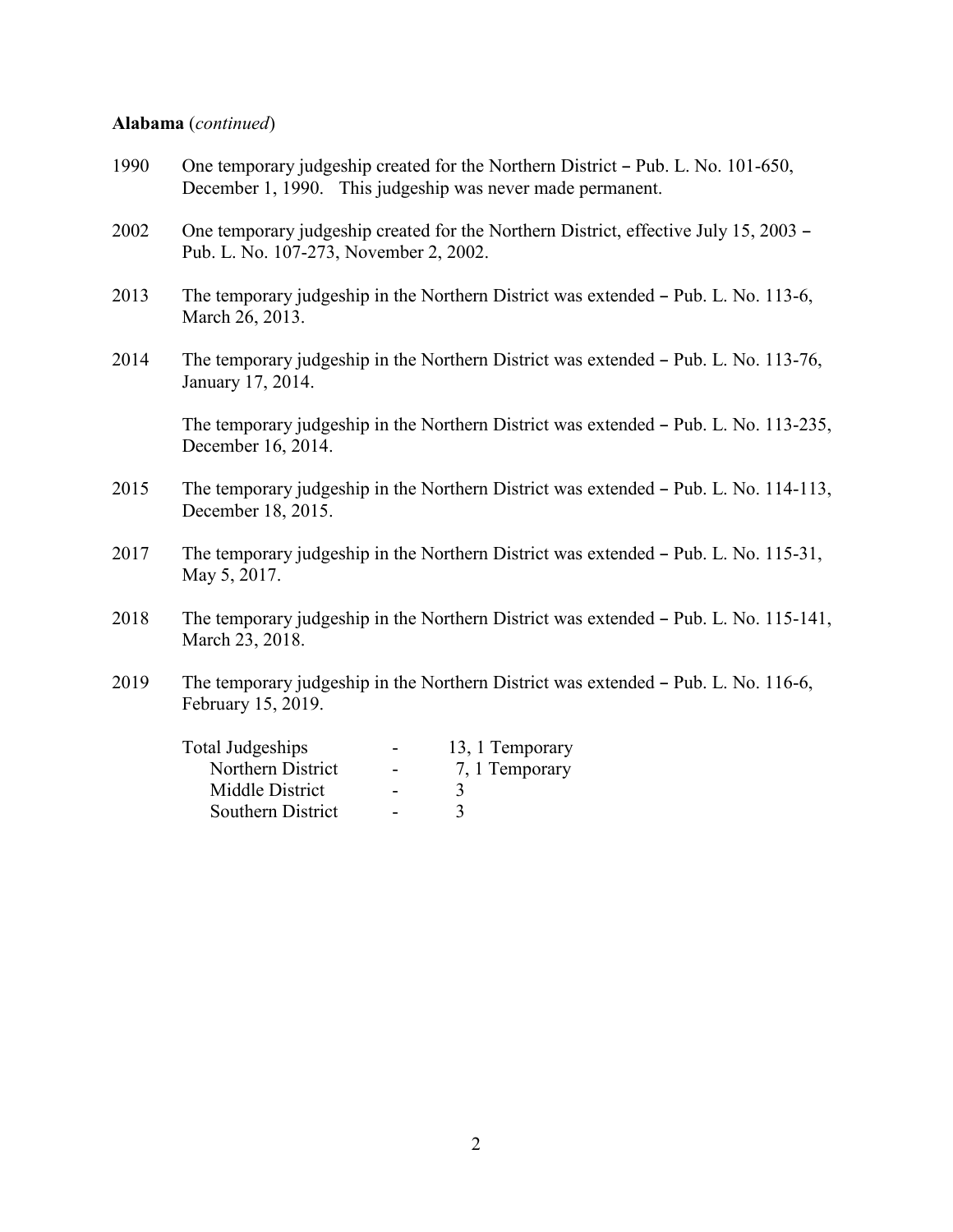#### **Alabama** (*continued*)

- 1990 One temporary judgeship created for the Northern District Pub. L. No. 101-650, December 1, 1990. This judgeship was never made permanent.
- 2002 One temporary judgeship created for the Northern District, effective July 15, 2003 Pub. L. No. 107-273, November 2, 2002.
- 2013 The temporary judgeship in the Northern District was extended  $-$  Pub. L. No. 113-6, March 26, 2013.
- 2014 The temporary judgeship in the Northern District was extended Pub. L. No. 113-76, January 17, 2014.

The temporary judgeship in the Northern District was extended - Pub. L. No. 113-235, December 16, 2014.

- 2015 The temporary judgeship in the Northern District was extended Pub. L. No. 114-113, December 18, 2015.
- 2017 The temporary judgeship in the Northern District was extended Pub. L. No. 115-31, May 5, 2017.
- 2018 The temporary judgeship in the Northern District was extended Pub. L. No. 115-141, March 23, 2018.
- 2019 The temporary judgeship in the Northern District was extended Pub. L. No. 116-6, February 15, 2019.

| $\overline{\phantom{0}}$ | 13, 1 Temporary |
|--------------------------|-----------------|
| -                        | 7, 1 Temporary  |
| $\overline{\phantom{0}}$ |                 |
| $\overline{\phantom{0}}$ |                 |
|                          |                 |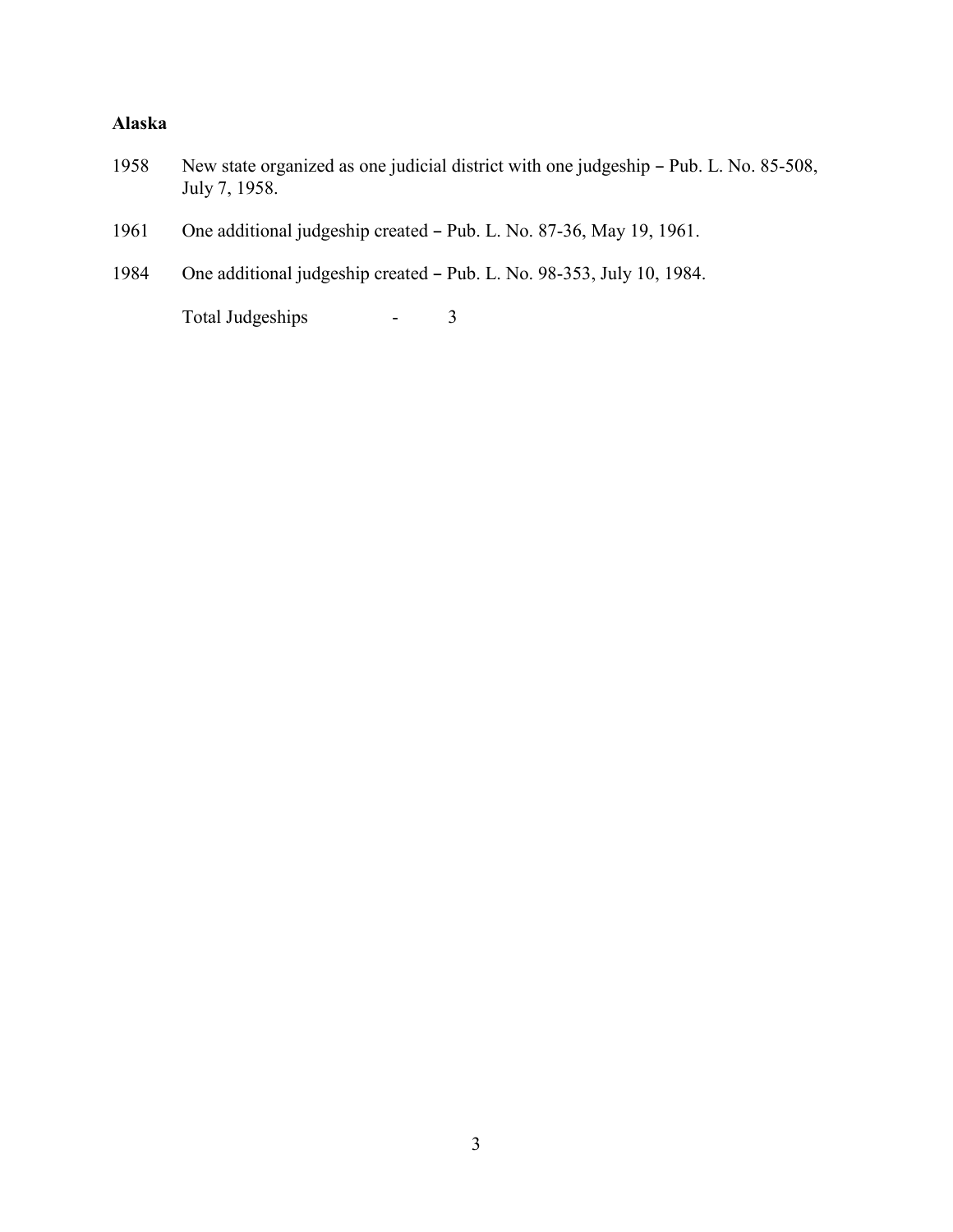### **Alaska**

- 1958 New state organized as one judicial district with one judgeship Pub. L. No. 85-508, July 7, 1958.
- 1961 One additional judgeship created Pub. L. No. 87-36, May 19, 1961.
- 1984 One additional judgeship created Pub. L. No. 98-353, July 10, 1984.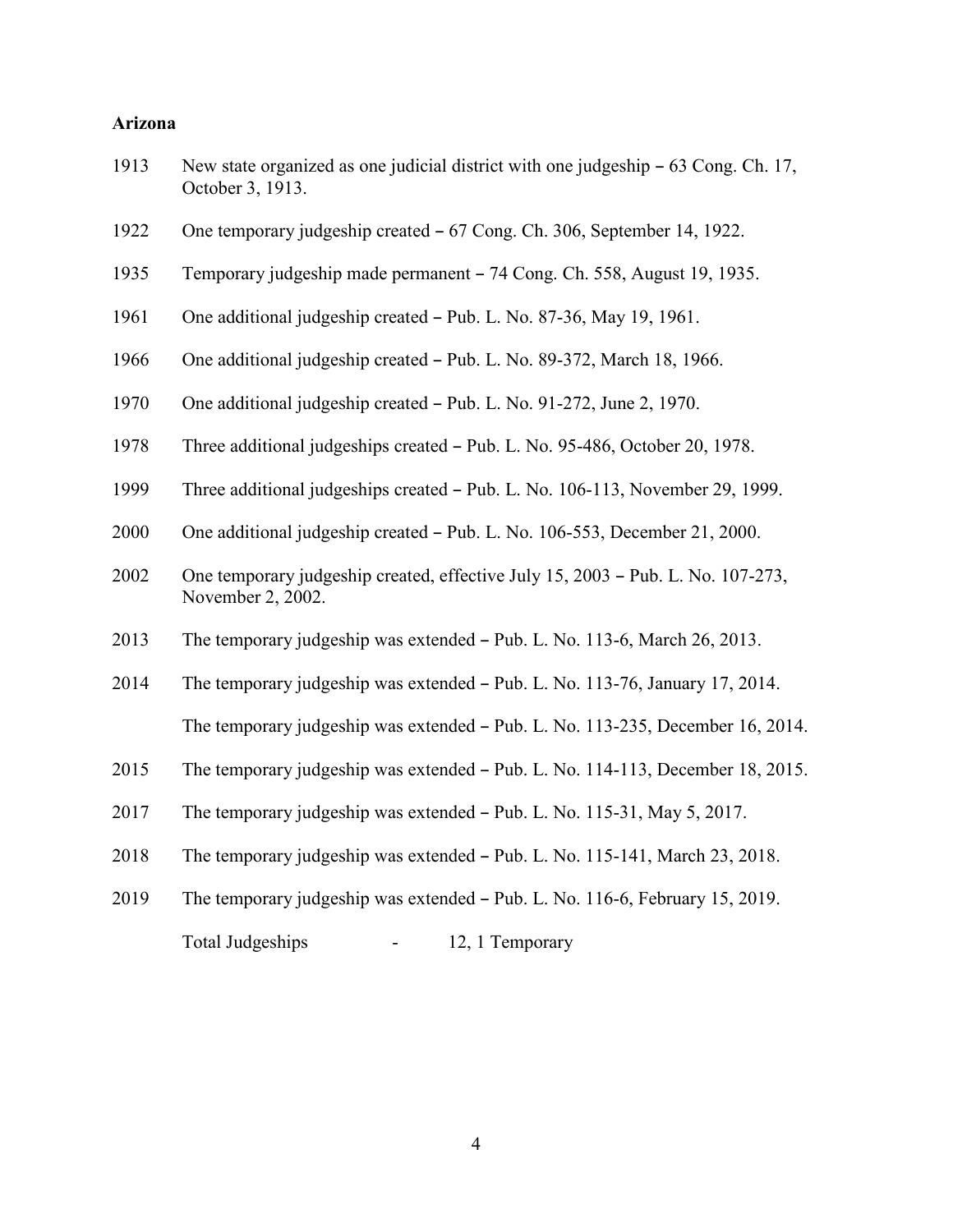#### **Arizona**

| 1913 | New state organized as one judicial district with one judgeship – 63 Cong. Ch. 17, |
|------|------------------------------------------------------------------------------------|
|      | October 3, 1913.                                                                   |

- 1922 One temporary judgeship created 67 Cong. Ch. 306, September 14, 1922.
- 1935 Temporary judgeship made permanent 74 Cong. Ch. 558, August 19, 1935.
- 1961 One additional judgeship created Pub. L. No. 87-36, May 19, 1961.
- 1966 One additional judgeship created Pub. L. No. 89-372, March 18, 1966.
- 1970 One additional judgeship created Pub. L. No. 91-272, June 2, 1970.
- 1978 Three additional judgeships created Pub. L. No. 95-486, October 20, 1978.
- 1999 Three additional judgeships created Pub. L. No. 106-113, November 29, 1999.
- 2000 One additional judgeship created  $-$  Pub. L. No. 106-553, December 21, 2000.
- 2002 One temporary judgeship created, effective July 15, 2003 Pub. L. No. 107-273, November 2, 2002.
- 2013 The temporary judgeship was extended Pub. L. No. 113-6, March 26, 2013.
- 2014 The temporary judgeship was extended Pub. L. No. 113-76, January 17, 2014. The temporary judgeship was extended – Pub. L. No. 113-235, December 16, 2014.
- 2015 The temporary judgeship was extended Pub. L. No. 114-113, December 18, 2015.
- 2017 The temporary judgeship was extended  $-$  Pub. L. No. 115-31, May 5, 2017.
- 2018 The temporary judgeship was extended  $-$  Pub. L. No. 115-141, March 23, 2018.
- 2019 The temporary judgeship was extended Pub. L. No. 116-6, February 15, 2019. Total Judgeships - 12, 1 Temporary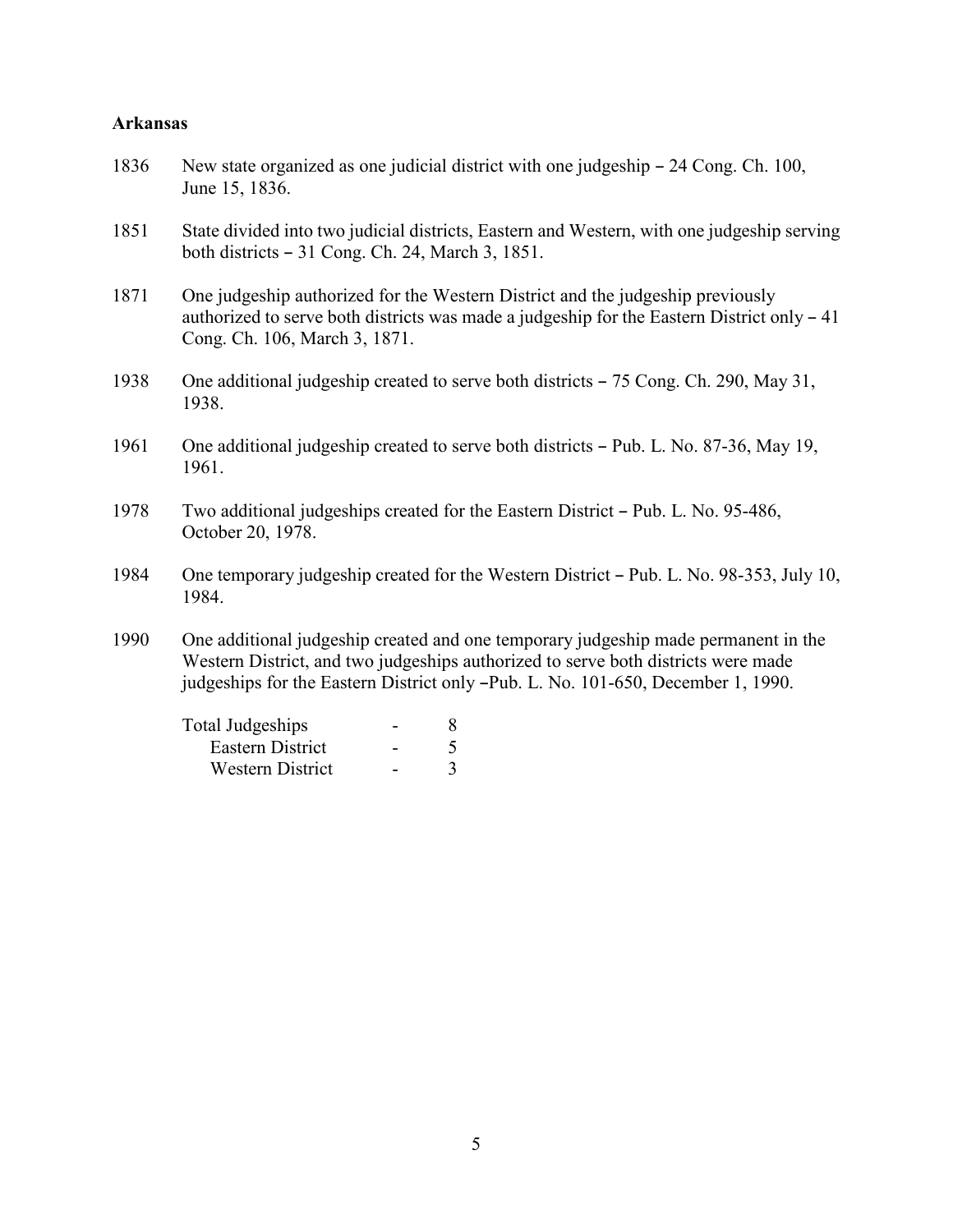#### **Arkansas**

- 1836 New state organized as one judicial district with one judgeship 24 Cong. Ch. 100, June 15, 1836.
- 1851 State divided into two judicial districts, Eastern and Western, with one judgeship serving both districts  $-31$  Cong. Ch. 24, March 3, 1851.
- 1871 One judgeship authorized for the Western District and the judgeship previously authorized to serve both districts was made a judgeship for the Eastern District only  $-41$ Cong. Ch. 106, March 3, 1871.
- 1938 One additional judgeship created to serve both districts 75 Cong. Ch. 290, May 31, 1938.
- 1961 One additional judgeship created to serve both districts Pub. L. No. 87-36, May 19, 1961.
- 1978 Two additional judgeships created for the Eastern District Pub. L. No. 95-486, October 20, 1978.
- 1984 One temporary judgeship created for the Western District Pub. L. No. 98-353, July 10, 1984.
- 1990 One additional judgeship created and one temporary judgeship made permanent in the Western District, and two judgeships authorized to serve both districts were made judgeships for the Eastern District only -Pub. L. No. 101-650, December 1, 1990.

| Total Judgeships        |  |
|-------------------------|--|
| Eastern District        |  |
| <b>Western District</b> |  |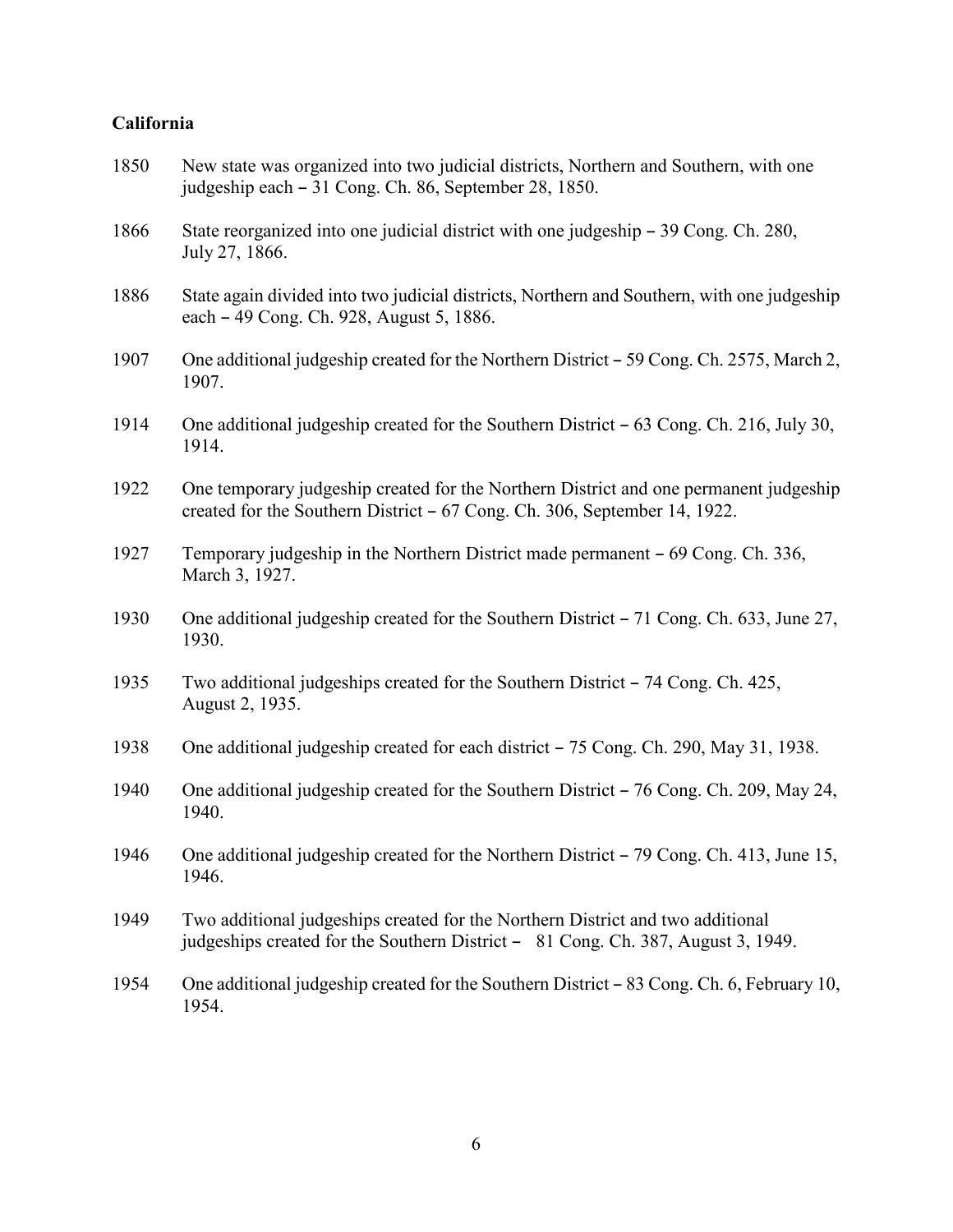### **California**

| 1850 | New state was organized into two judicial districts, Northern and Southern, with one<br>judgeship each – 31 Cong. Ch. 86, September 28, 1850.                      |
|------|--------------------------------------------------------------------------------------------------------------------------------------------------------------------|
| 1866 | State reorganized into one judicial district with one judgeship – 39 Cong. Ch. 280,<br>July 27, 1866.                                                              |
| 1886 | State again divided into two judicial districts, Northern and Southern, with one judgeship<br>each – 49 Cong. Ch. 928, August 5, 1886.                             |
| 1907 | One additional judgeship created for the Northern District – 59 Cong. Ch. 2575, March 2,<br>1907.                                                                  |
| 1914 | One additional judgeship created for the Southern District $-63$ Cong. Ch. 216, July 30,<br>1914.                                                                  |
| 1922 | One temporary judgeship created for the Northern District and one permanent judgeship<br>created for the Southern District – 67 Cong. Ch. 306, September 14, 1922. |
| 1927 | Temporary judgeship in the Northern District made permanent – 69 Cong. Ch. 336,<br>March 3, 1927.                                                                  |
| 1930 | One additional judgeship created for the Southern District - 71 Cong. Ch. 633, June 27,<br>1930.                                                                   |
| 1935 | Two additional judgeships created for the Southern District – 74 Cong. Ch. 425,<br>August 2, 1935.                                                                 |
| 1938 | One additional judgeship created for each district – 75 Cong. Ch. 290, May 31, 1938.                                                                               |
| 1940 | One additional judgeship created for the Southern District – 76 Cong. Ch. 209, May 24,<br>1940.                                                                    |
| 1946 | One additional judgeship created for the Northern District – 79 Cong. Ch. 413, June 15,<br>1946.                                                                   |
| 1949 | Two additional judgeships created for the Northern District and two additional<br>judgeships created for the Southern District - 81 Cong. Ch. 387, August 3, 1949. |
| 1954 | One additional judgeship created for the Southern District - 83 Cong. Ch. 6, February 10,<br>1954.                                                                 |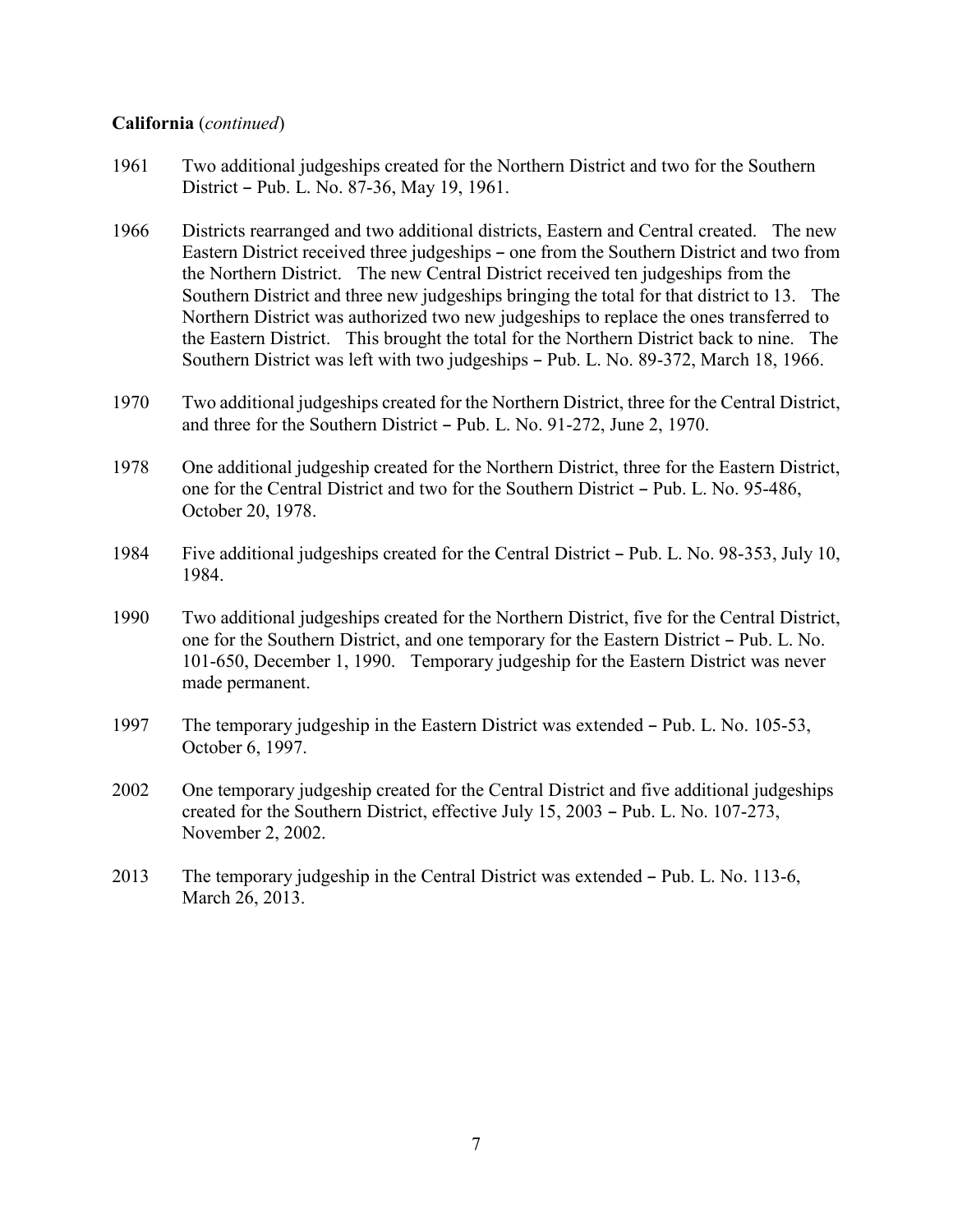#### **California** (*continued*)

- 1961 Two additional judgeships created for the Northern District and two for the Southern District - Pub. L. No. 87-36, May 19, 1961.
- 1966 Districts rearranged and two additional districts, Eastern and Central created. The new Eastern District received three judgeships – one from the Southern District and two from the Northern District. The new Central District received ten judgeships from the Southern District and three new judgeships bringing the total for that district to 13. The Northern District was authorized two new judgeships to replace the ones transferred to the Eastern District. This brought the total for the Northern District back to nine. The Southern District was left with two judgeships - Pub. L. No. 89-372, March 18, 1966.
- 1970 Two additional judgeships created for the Northern District, three for the Central District, and three for the Southern District - Pub. L. No. 91-272, June 2, 1970.
- 1978 One additional judgeship created for the Northern District, three for the Eastern District, one for the Central District and two for the Southern District – Pub. L. No. 95-486, October 20, 1978.
- 1984 Five additional judgeships created for the Central District Pub. L. No. 98-353, July 10, 1984.
- 1990 Two additional judgeships created for the Northern District, five for the Central District, one for the Southern District, and one temporary for the Eastern District – Pub. L. No. 101-650, December 1, 1990. Temporary judgeship for the Eastern District was never made permanent.
- 1997 The temporary judgeship in the Eastern District was extended Pub. L. No. 105-53, October 6, 1997.
- 2002 One temporary judgeship created for the Central District and five additional judgeships created for the Southern District, effective July  $15, 2003$  – Pub. L. No.  $107-273$ , November 2, 2002.
- 2013 The temporary judgeship in the Central District was extended  $-$  Pub. L. No. 113-6, March 26, 2013.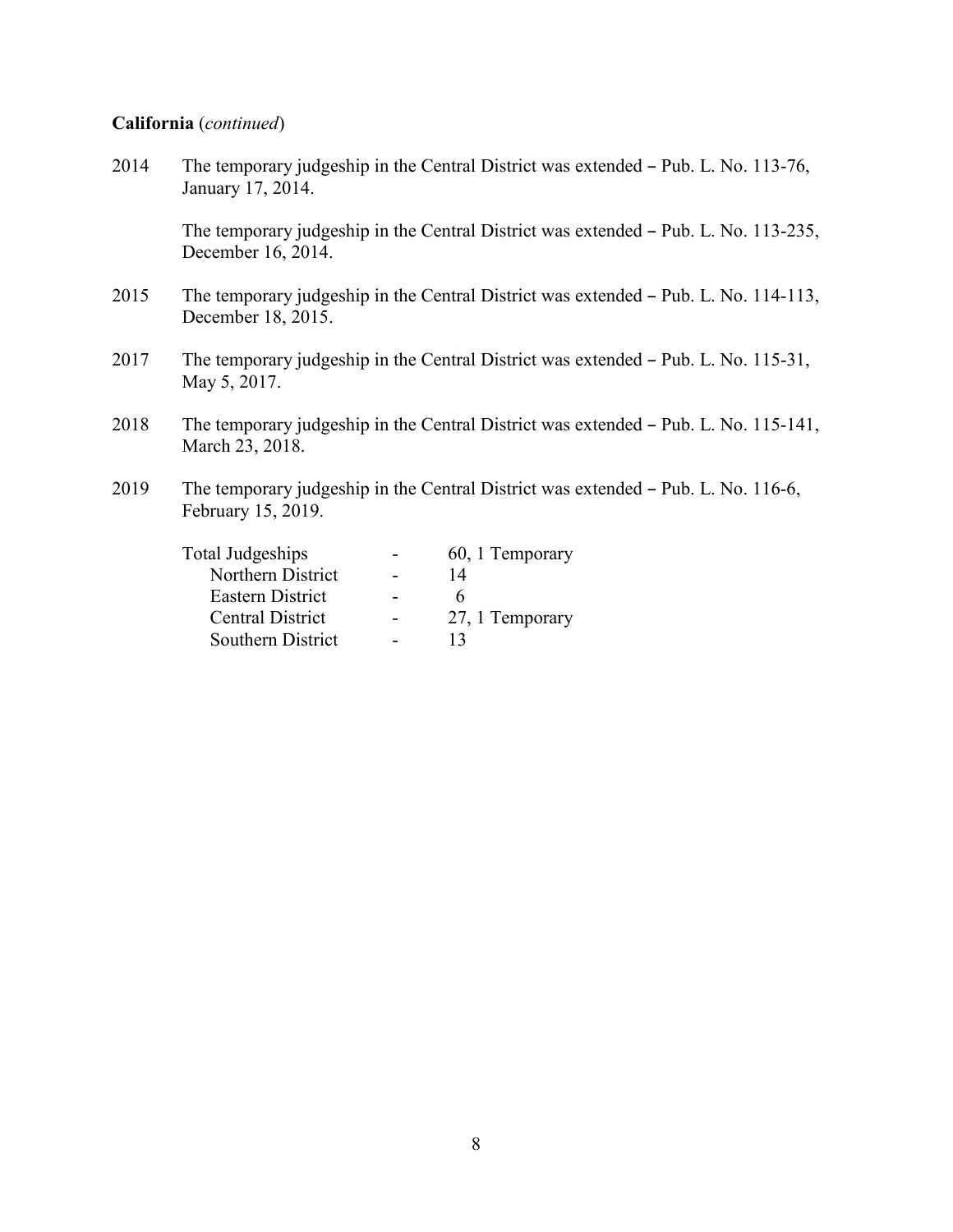#### **California** (*continued*)

2014 The temporary judgeship in the Central District was extended - Pub. L. No. 113-76, January 17, 2014. The temporary judgeship in the Central District was extended - Pub. L. No. 113-235, December 16, 2014. 2015 The temporary judgeship in the Central District was extended  $-$  Pub. L. No. 114-113, December 18, 2015. 2017 The temporary judgeship in the Central District was extended - Pub. L. No. 115-31, May 5, 2017. 2018 The temporary judgeship in the Central District was extended - Pub. L. No. 115-141, March 23, 2018. 2019 The temporary judgeship in the Central District was extended  $-$  Pub. L. No. 116-6, February 15, 2019.

| <b>Total Judgeships</b> | 60, 1 Temporary |
|-------------------------|-----------------|
| Northern District       | 14              |
| Eastern District        | 6               |
| Central District        | 27, 1 Temporary |
| Southern District       | 13              |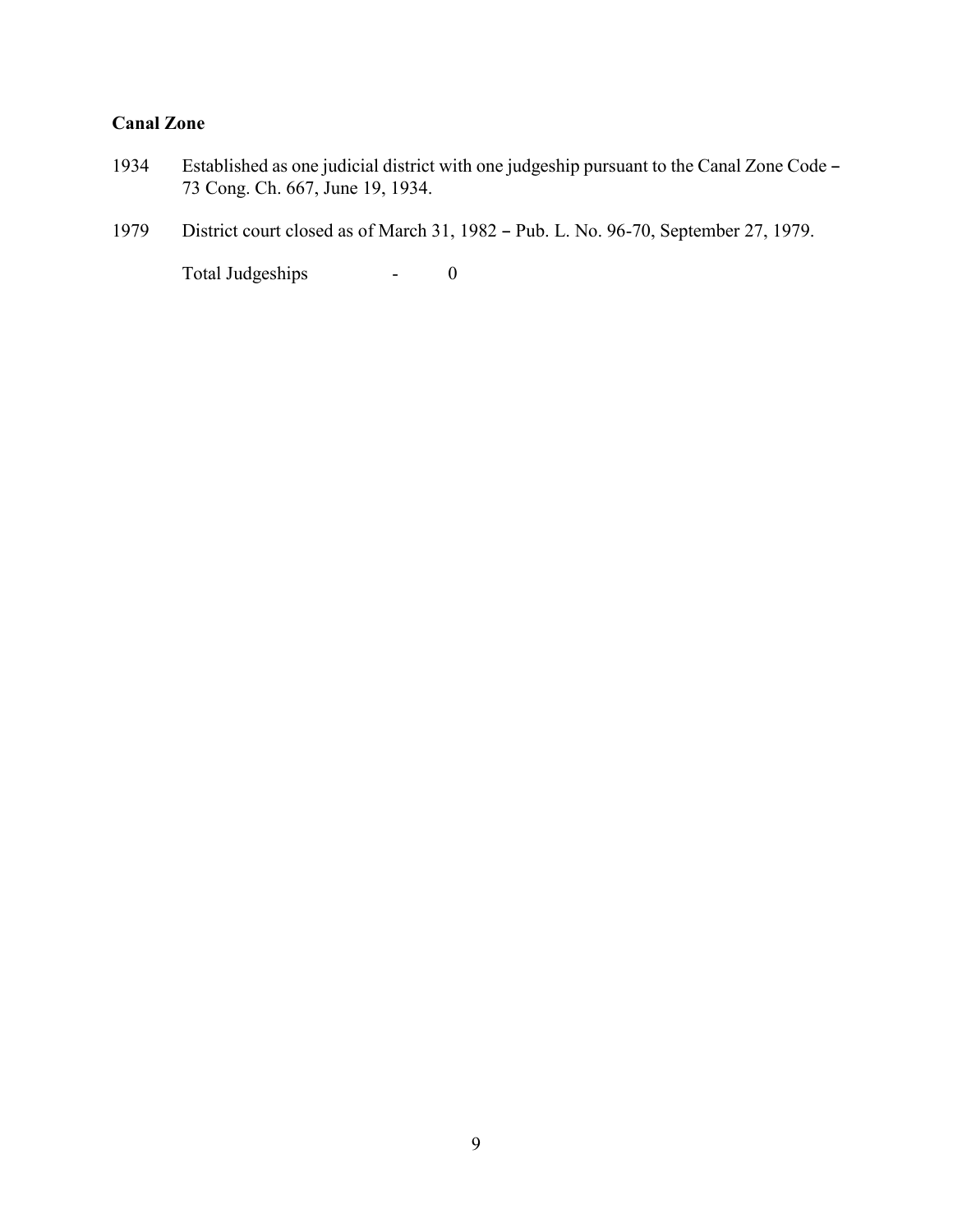### **Canal Zone**

- 1934 Established as one judicial district with one judgeship pursuant to the Canal Zone Code -73 Cong. Ch. 667, June 19, 1934.
- 1979 District court closed as of March 31, 1982 Pub. L. No. 96-70, September 27, 1979.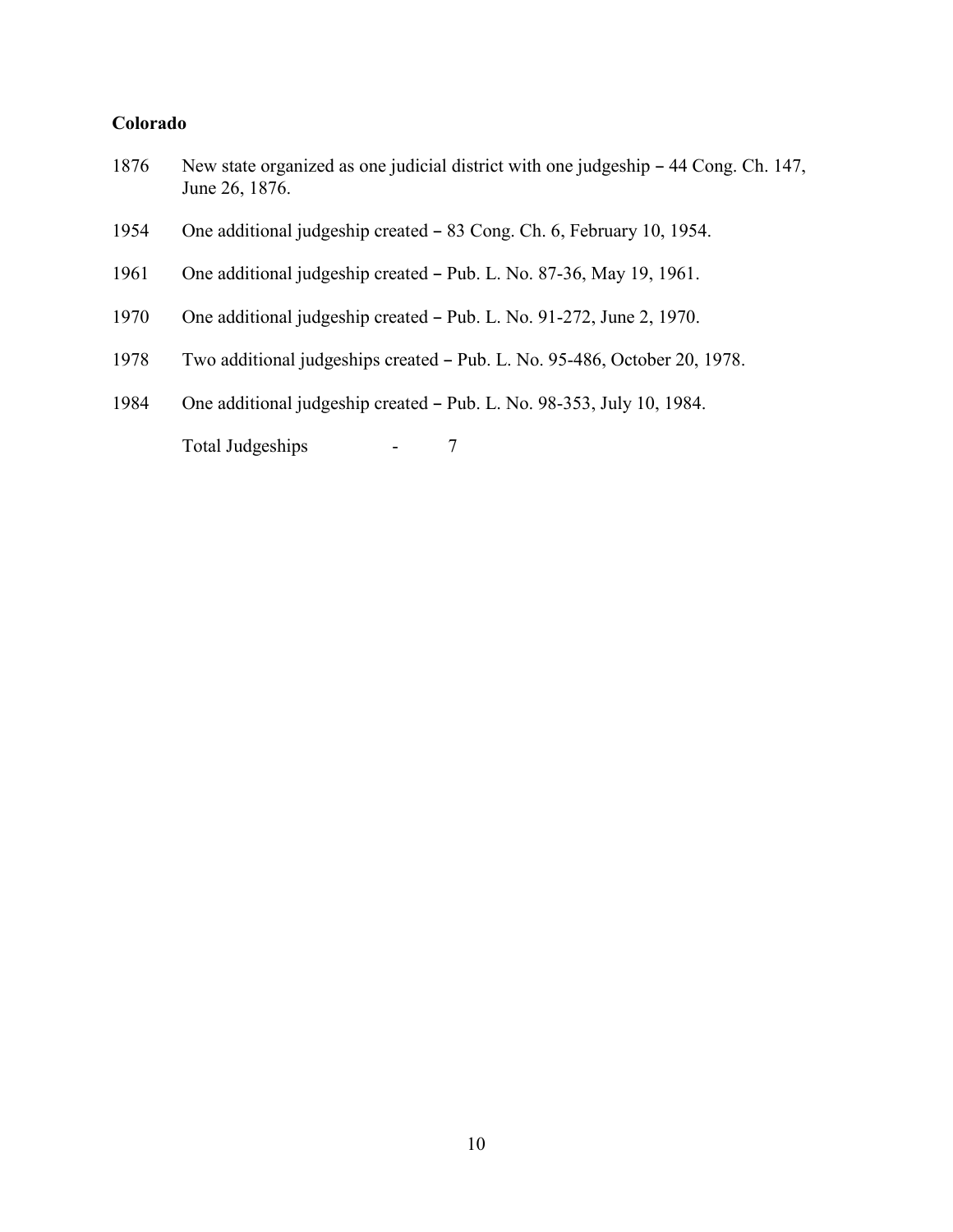### **Colorado**

- 1876 New state organized as one judicial district with one judgeship 44 Cong. Ch. 147, June 26, 1876.
- 1954 One additional judgeship created 83 Cong. Ch. 6, February 10, 1954.
- 1961 One additional judgeship created Pub. L. No. 87-36, May 19, 1961.
- 1970 One additional judgeship created Pub. L. No. 91-272, June 2, 1970.
- 1978 Two additional judgeships created Pub. L. No. 95-486, October 20, 1978.
- 1984 One additional judgeship created Pub. L. No. 98-353, July 10, 1984.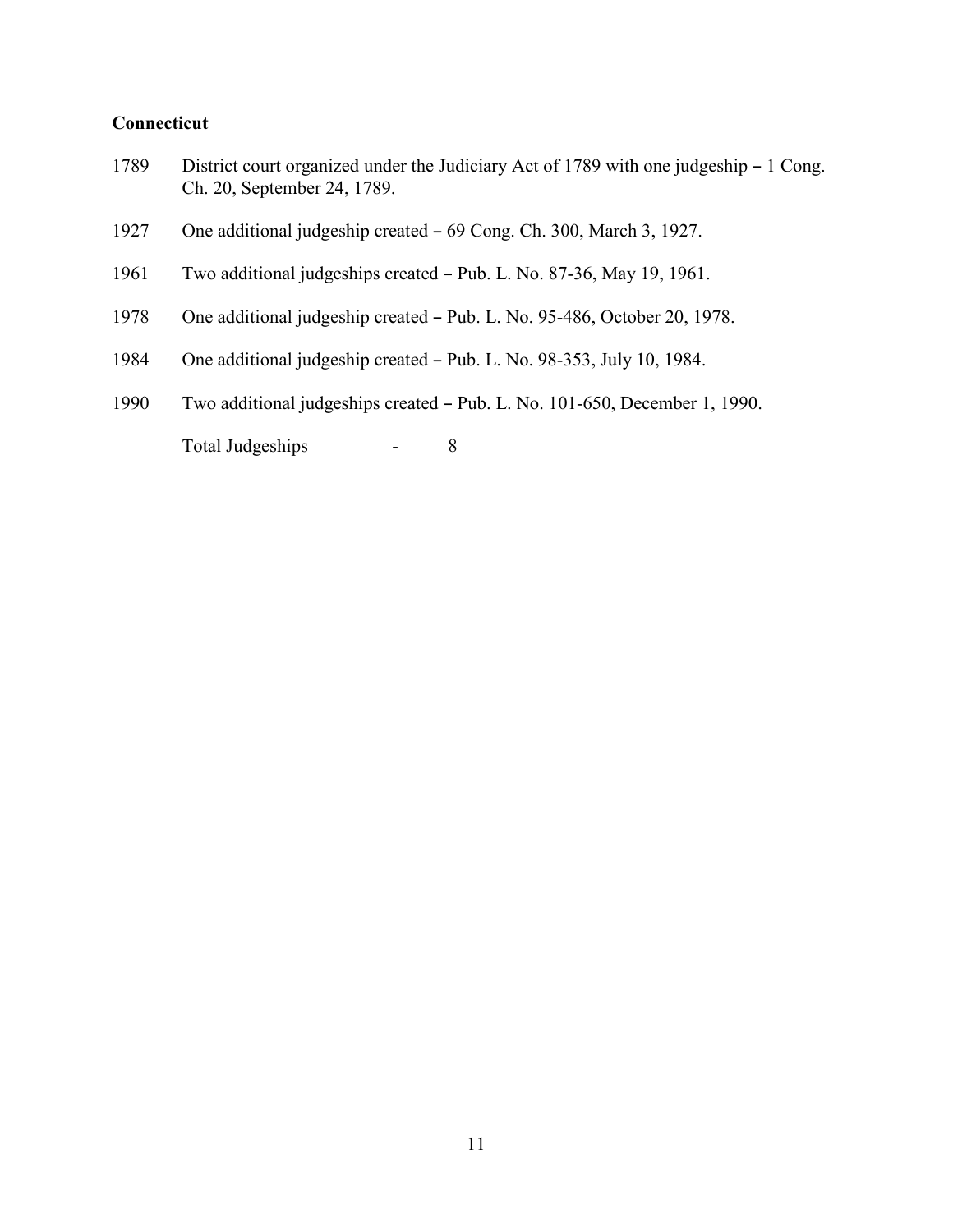#### **Connecticut**

- 1789 District court organized under the Judiciary Act of 1789 with one judgeship 1 Cong. Ch. 20, September 24, 1789.
- 1927 One additional judgeship created 69 Cong. Ch. 300, March 3, 1927.
- 1961 Two additional judgeships created Pub. L. No. 87-36, May 19, 1961.
- 1978 One additional judgeship created Pub. L. No. 95-486, October 20, 1978.
- 1984 One additional judgeship created Pub. L. No. 98-353, July 10, 1984.
- 1990 Two additional judgeships created Pub. L. No. 101-650, December 1, 1990.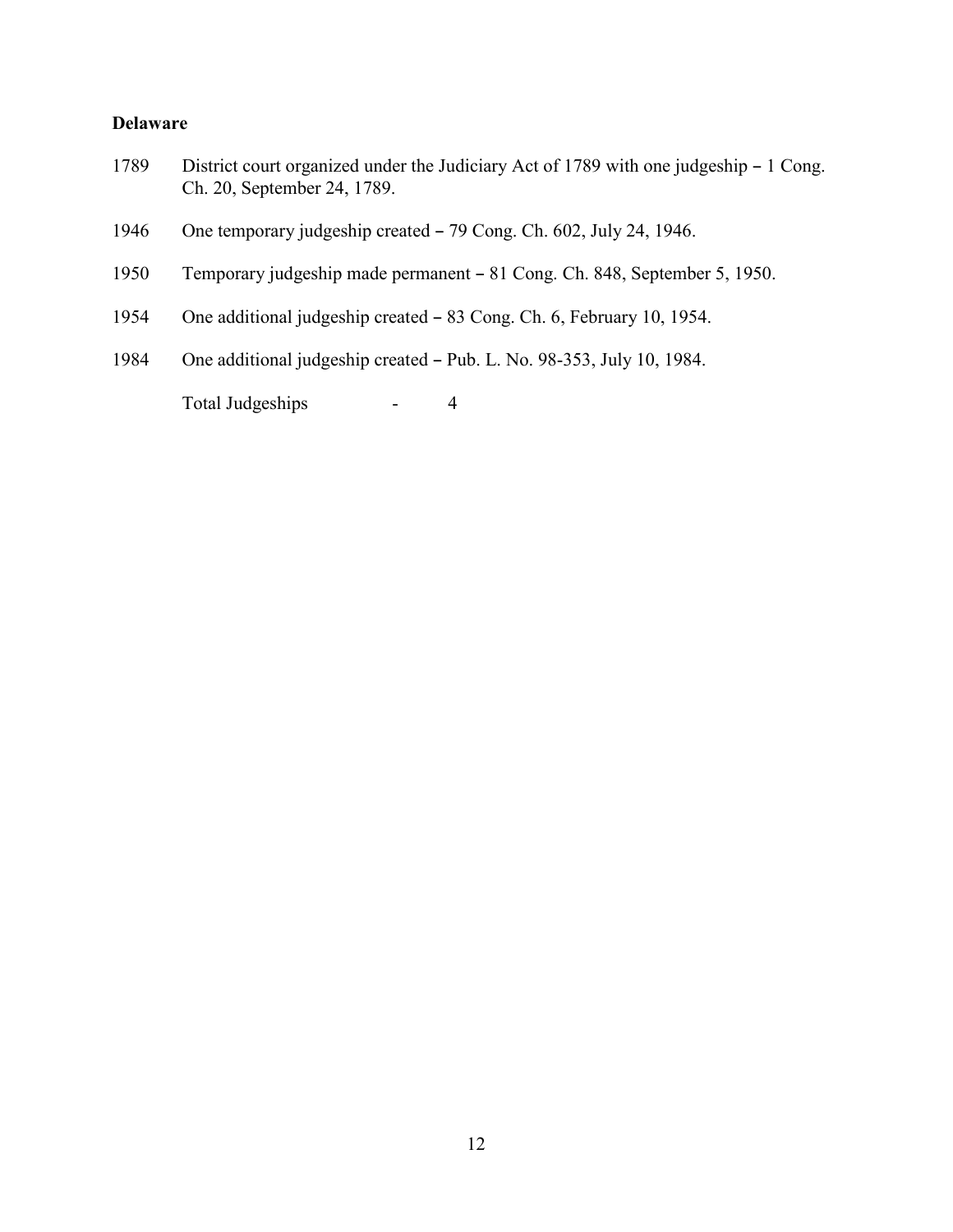#### **Delaware**

- 1789 District court organized under the Judiciary Act of 1789 with one judgeship 1 Cong. Ch. 20, September 24, 1789.
- 1946 One temporary judgeship created  $-79$  Cong. Ch. 602, July 24, 1946.
- 1950 Temporary judgeship made permanent 81 Cong. Ch. 848, September 5, 1950.
- 1954 One additional judgeship created 83 Cong. Ch. 6, February 10, 1954.
- 1984 One additional judgeship created Pub. L. No. 98-353, July 10, 1984.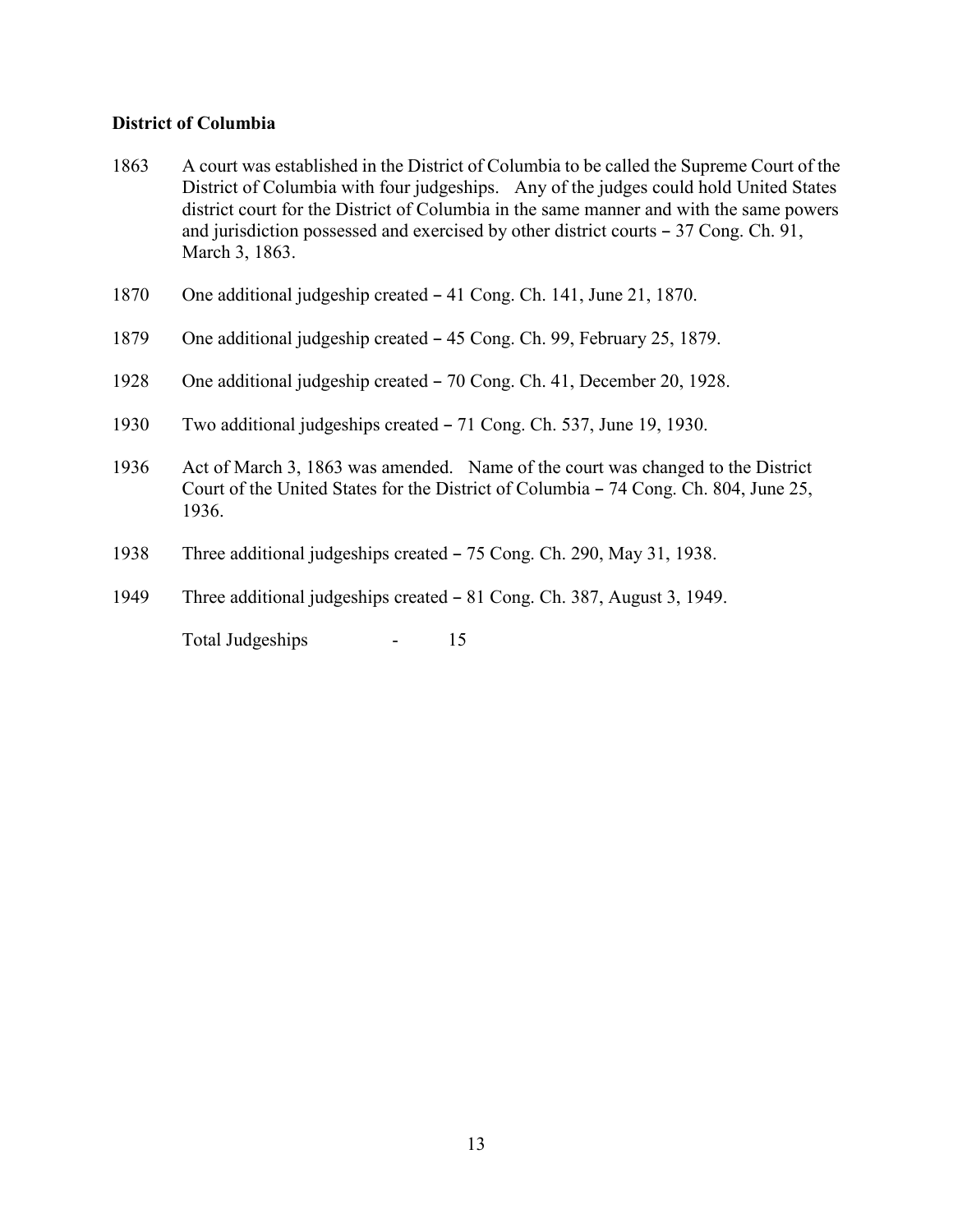#### **District of Columbia**

- 1863 A court was established in the District of Columbia to be called the Supreme Court of the District of Columbia with four judgeships. Any of the judges could hold United States district court for the District of Columbia in the same manner and with the same powers and jurisdiction possessed and exercised by other district courts  $-37$  Cong. Ch. 91, March 3, 1863.
- 1870 One additional judgeship created 41 Cong. Ch. 141, June 21, 1870.
- 1879 One additional judgeship created 45 Cong. Ch. 99, February 25, 1879.
- 1928 One additional judgeship created 70 Cong. Ch. 41, December 20, 1928.
- 1930 Two additional judgeships created 71 Cong. Ch. 537, June 19, 1930.
- 1936 Act of March 3, 1863 was amended. Name of the court was changed to the District Court of the United States for the District of Columbia – 74 Cong. Ch. 804, June 25, 1936.
- 1938 Three additional judgeships created 75 Cong. Ch. 290, May 31, 1938.
- 1949 Three additional judgeships created 81 Cong. Ch. 387, August 3, 1949.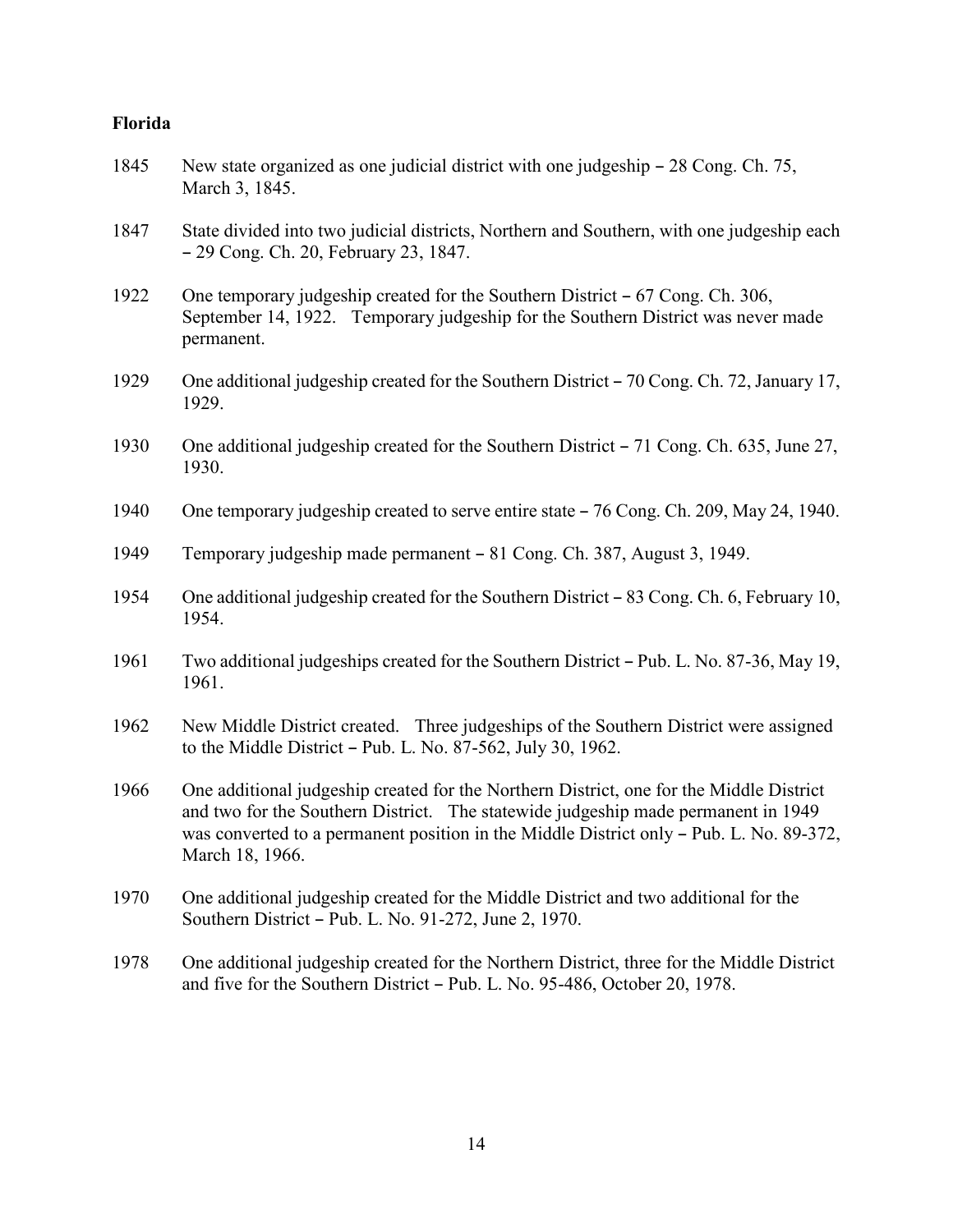### **Florida**

| 1845 | New state organized as one judicial district with one judgeship – 28 Cong. Ch. 75,<br>March 3, 1845.                                                                                                                                                                                       |
|------|--------------------------------------------------------------------------------------------------------------------------------------------------------------------------------------------------------------------------------------------------------------------------------------------|
| 1847 | State divided into two judicial districts, Northern and Southern, with one judgeship each<br>- 29 Cong. Ch. 20, February 23, 1847.                                                                                                                                                         |
| 1922 | One temporary judgeship created for the Southern District – 67 Cong. Ch. 306,<br>September 14, 1922. Temporary judgeship for the Southern District was never made<br>permanent.                                                                                                            |
| 1929 | One additional judgeship created for the Southern District – 70 Cong. Ch. 72, January 17,<br>1929.                                                                                                                                                                                         |
| 1930 | One additional judgeship created for the Southern District – 71 Cong. Ch. 635, June 27,<br>1930.                                                                                                                                                                                           |
| 1940 | One temporary judgeship created to serve entire state – 76 Cong. Ch. 209, May 24, 1940.                                                                                                                                                                                                    |
| 1949 | Temporary judgeship made permanent – 81 Cong. Ch. 387, August 3, 1949.                                                                                                                                                                                                                     |
| 1954 | One additional judgeship created for the Southern District - 83 Cong. Ch. 6, February 10,<br>1954.                                                                                                                                                                                         |
| 1961 | Two additional judgeships created for the Southern District – Pub. L. No. 87-36, May 19,<br>1961.                                                                                                                                                                                          |
| 1962 | New Middle District created. Three judgeships of the Southern District were assigned<br>to the Middle District – Pub. L. No. 87-562, July 30, 1962.                                                                                                                                        |
| 1966 | One additional judgeship created for the Northern District, one for the Middle District<br>and two for the Southern District. The statewide judgeship made permanent in 1949<br>was converted to a permanent position in the Middle District only - Pub. L. No. 89-372,<br>March 18, 1966. |
| 1970 | One additional judgeship created for the Middle District and two additional for the<br>Southern District – Pub. L. No. 91-272, June 2, 1970.                                                                                                                                               |
| 1978 | One additional judgeship created for the Northern District, three for the Middle District<br>and five for the Southern District - Pub. L. No. 95-486, October 20, 1978.                                                                                                                    |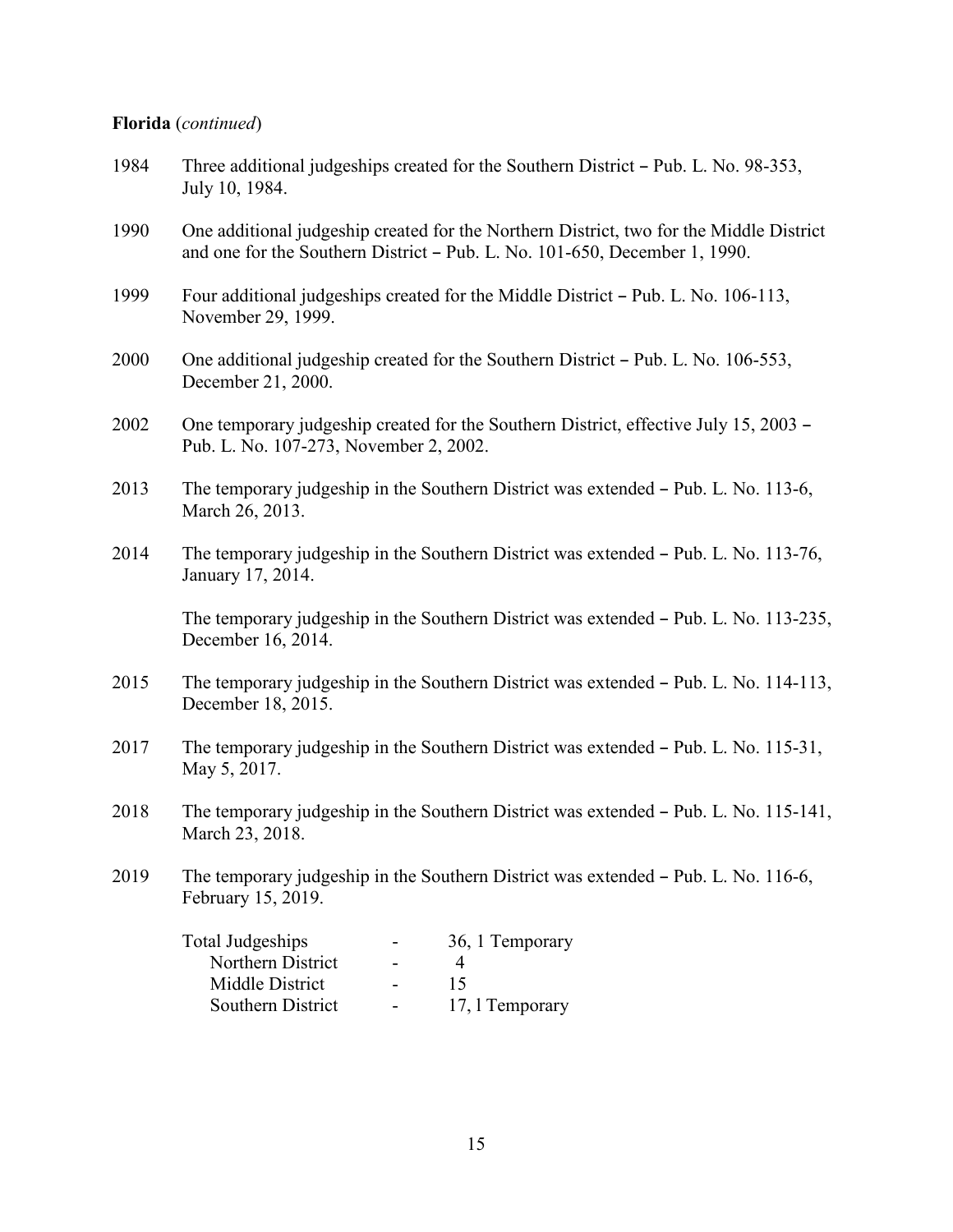### **Florida** (*continued*)

| 1984 | Three additional judgeships created for the Southern District – Pub. L. No. 98-353,<br>July 10, 1984.                                                                 |
|------|-----------------------------------------------------------------------------------------------------------------------------------------------------------------------|
| 1990 | One additional judgeship created for the Northern District, two for the Middle District<br>and one for the Southern District – Pub. L. No. 101-650, December 1, 1990. |
| 1999 | Four additional judgeships created for the Middle District – Pub. L. No. 106-113,<br>November 29, 1999.                                                               |
| 2000 | One additional judgeship created for the Southern District – Pub. L. No. 106-553,<br>December 21, 2000.                                                               |
| 2002 | One temporary judgeship created for the Southern District, effective July 15, 2003 –<br>Pub. L. No. 107-273, November 2, 2002.                                        |
| 2013 | The temporary judgeship in the Southern District was extended – Pub. L. No. 113-6,<br>March 26, 2013.                                                                 |
| 2014 | The temporary judgeship in the Southern District was extended - Pub. L. No. 113-76,<br>January 17, 2014.                                                              |
|      | The temporary judgeship in the Southern District was extended – Pub. L. No. 113-235,<br>December 16, 2014.                                                            |
| 2015 | The temporary judgeship in the Southern District was extended – Pub. L. No. 114-113,<br>December 18, 2015.                                                            |
| 2017 | The temporary judgeship in the Southern District was extended – Pub. L. No. 115-31,<br>May 5, 2017.                                                                   |
| 2018 | The temporary judgeship in the Southern District was extended - Pub. L. No. 115-141,<br>March 23, 2018.                                                               |
| 2019 | The temporary judgeship in the Southern District was extended - Pub. L. No. 116-6,<br>February 15, 2019.                                                              |
|      | <b>Total Judgeships</b><br>36, 1 Temporary<br>Northern District<br>$\overline{4}$<br>15<br>Middle District<br>Southern District<br>17, 1 Temporary                    |
|      |                                                                                                                                                                       |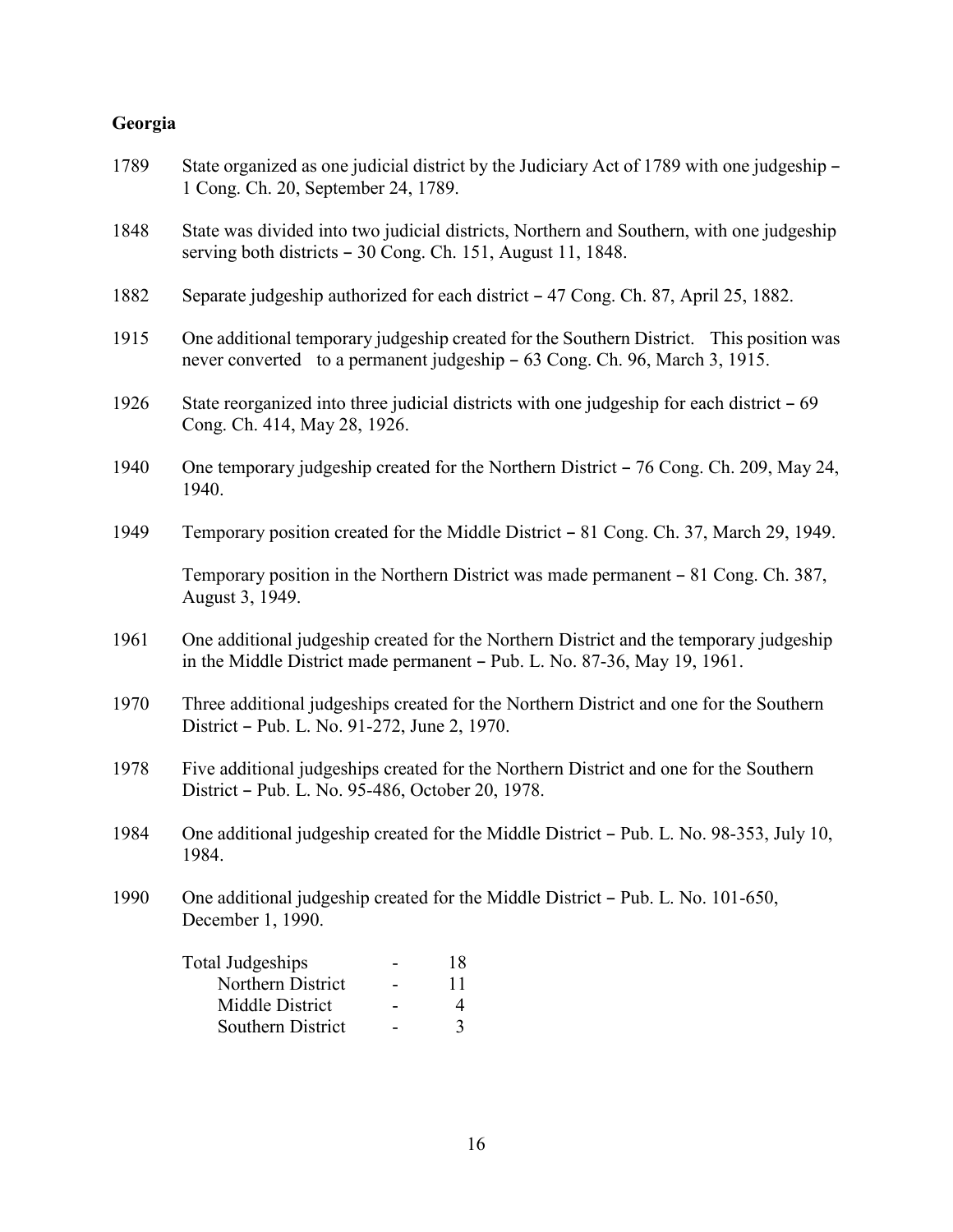#### **Georgia**

- 1789 State organized as one judicial district by the Judiciary Act of 1789 with one judgeship 1 Cong. Ch. 20, September 24, 1789.
- 1848 State was divided into two judicial districts, Northern and Southern, with one judgeship serving both districts  $-30$  Cong. Ch. 151, August 11, 1848.
- 1882 Separate judgeship authorized for each district B 47 Cong. Ch. 87, April 25, 1882.
- 1915 One additional temporary judgeship created for the Southern District. This position was never converted to a permanent judgeship  $-63$  Cong. Ch. 96, March 3, 1915.
- 1926 State reorganized into three judicial districts with one judgeship for each district 69 Cong. Ch. 414, May 28, 1926.
- 1940 One temporary judgeship created for the Northern District 76 Cong. Ch. 209, May 24, 1940.
- 1949 Temporary position created for the Middle District 81 Cong. Ch. 37, March 29, 1949.

Temporary position in the Northern District was made permanent  $-81$  Cong. Ch. 387, August 3, 1949.

- 1961 One additional judgeship created for the Northern District and the temporary judgeship in the Middle District made permanent  $-$  Pub. L. No. 87-36, May 19, 1961.
- 1970 Three additional judgeships created for the Northern District and one for the Southern District - Pub. L. No. 91-272, June 2, 1970.
- 1978 Five additional judgeships created for the Northern District and one for the Southern District - Pub. L. No. 95-486, October 20, 1978.
- 1984 One additional judgeship created for the Middle District Pub. L. No. 98-353, July 10, 1984.
- 1990 One additional judgeship created for the Middle District Pub. L. No. 101-650, December 1, 1990.

| Total Judgeships  | 18           |
|-------------------|--------------|
| Northern District | 11           |
| Middle District   |              |
| Southern District | $\mathbf{R}$ |
|                   |              |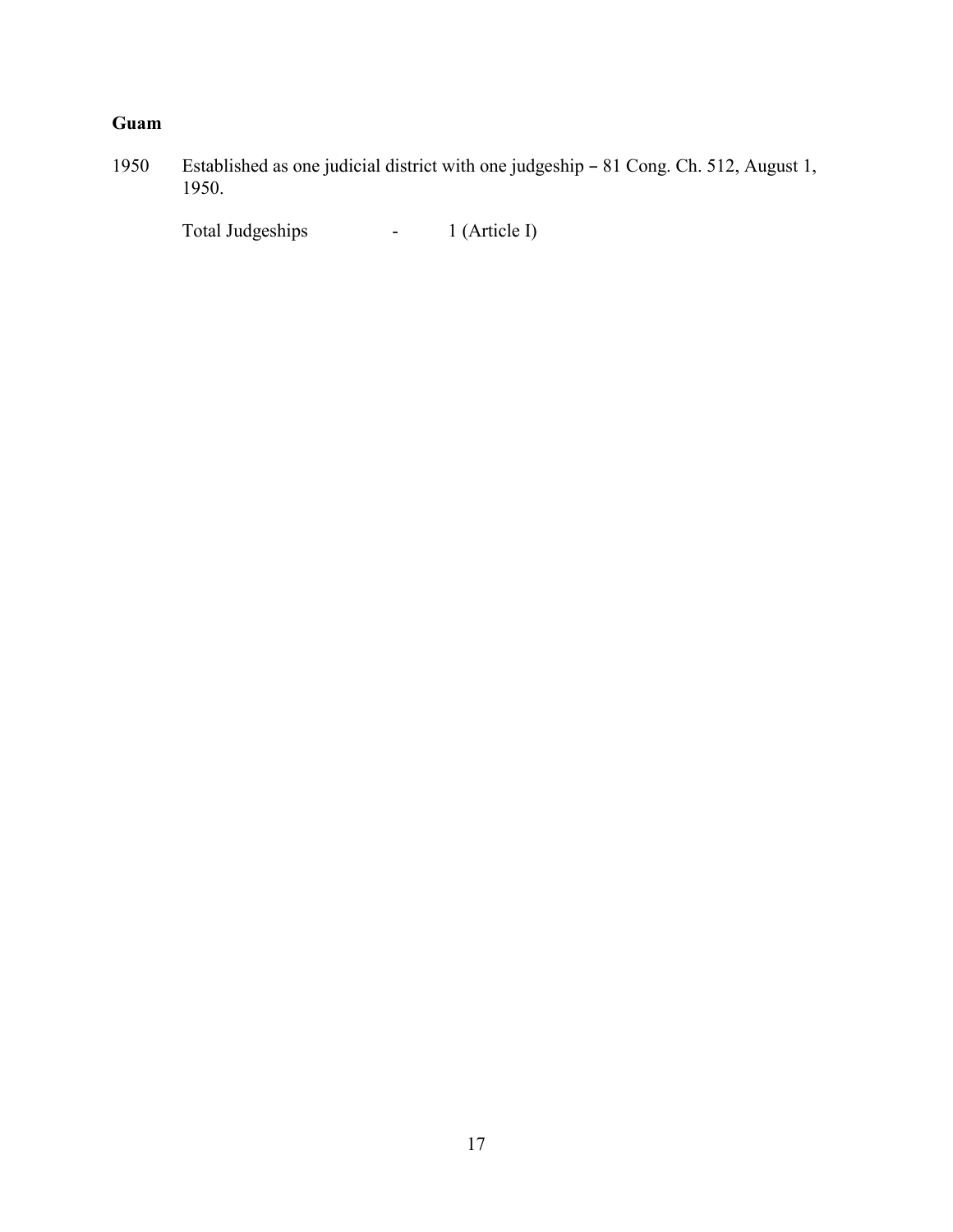### **Guam**

1950 Established as one judicial district with one judgeship - 81 Cong. Ch. 512, August 1, 1950.

Total Judgeships - 1 (Article I)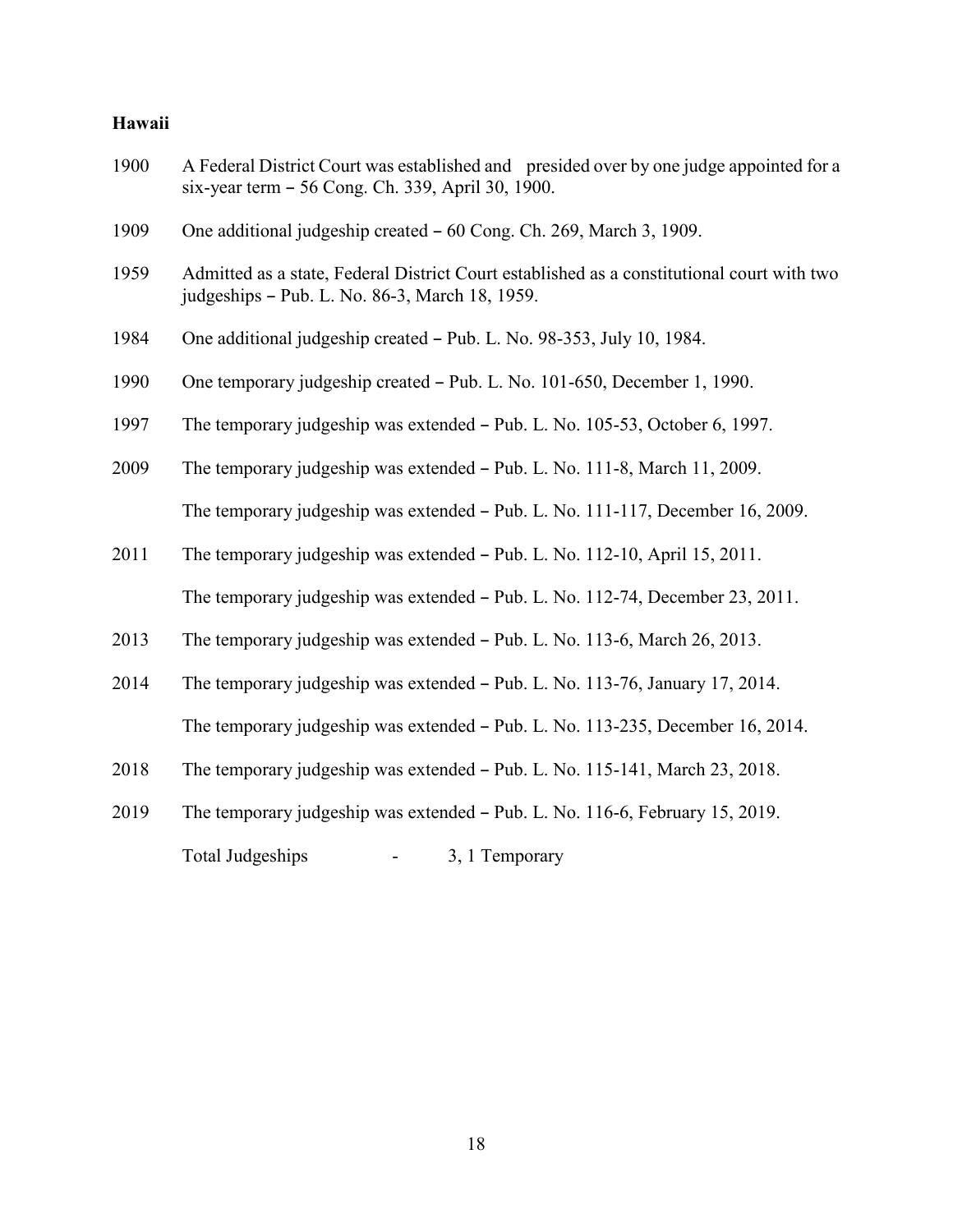### **Hawaii**

| 1900 | A Federal District Court was established and presided over by one judge appointed for a<br>six-year term - 56 Cong. Ch. 339, April 30, 1900. |
|------|----------------------------------------------------------------------------------------------------------------------------------------------|
| 1909 | One additional judgeship created - 60 Cong. Ch. 269, March 3, 1909.                                                                          |
| 1959 | Admitted as a state, Federal District Court established as a constitutional court with two<br>judgeships - Pub. L. No. 86-3, March 18, 1959. |
| 1984 | One additional judgeship created - Pub. L. No. 98-353, July 10, 1984.                                                                        |
| 1990 | One temporary judgeship created – Pub. L. No. 101-650, December 1, 1990.                                                                     |
| 1997 | The temporary judgeship was extended - Pub. L. No. 105-53, October 6, 1997.                                                                  |
| 2009 | The temporary judgeship was extended - Pub. L. No. 111-8, March 11, 2009.                                                                    |
|      | The temporary judgeship was extended - Pub. L. No. 111-117, December 16, 2009.                                                               |
| 2011 | The temporary judgeship was extended - Pub. L. No. 112-10, April 15, 2011.                                                                   |
|      | The temporary judgeship was extended – Pub. L. No. 112-74, December 23, 2011.                                                                |
| 2013 | The temporary judgeship was extended – Pub. L. No. 113-6, March 26, 2013.                                                                    |
| 2014 | The temporary judgeship was extended - Pub. L. No. 113-76, January 17, 2014.                                                                 |
|      | The temporary judgeship was extended - Pub. L. No. 113-235, December 16, 2014.                                                               |
| 2018 | The temporary judgeship was extended - Pub. L. No. 115-141, March 23, 2018.                                                                  |
| 2019 | The temporary judgeship was extended – Pub. L. No. 116-6, February 15, 2019.                                                                 |
|      | <b>Total Judgeships</b><br>3, 1 Temporary                                                                                                    |

18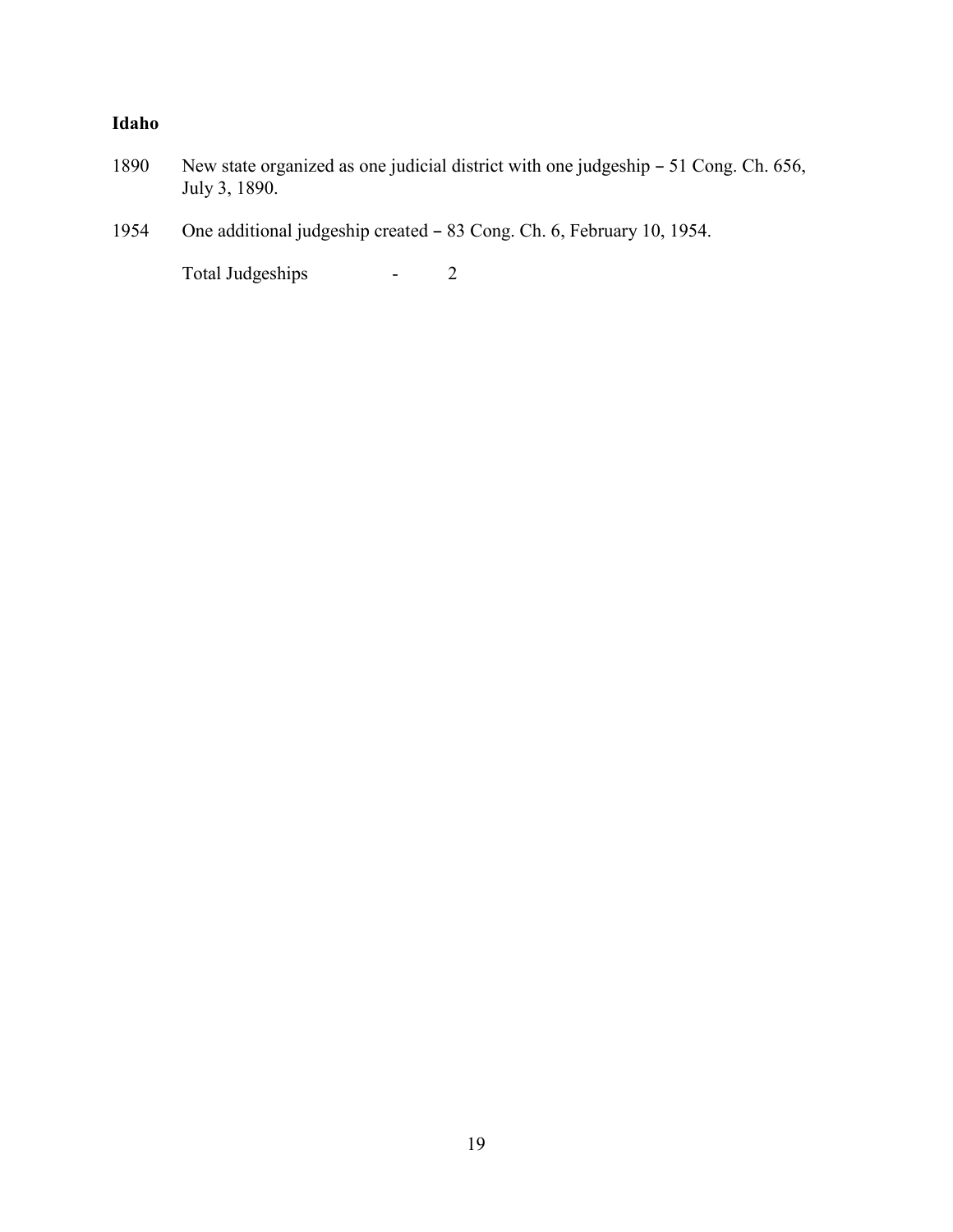### **Idaho**

- 1890 New state organized as one judicial district with one judgeship 51 Cong. Ch. 656, July 3, 1890.
- 1954 One additional judgeship created 83 Cong. Ch. 6, February 10, 1954.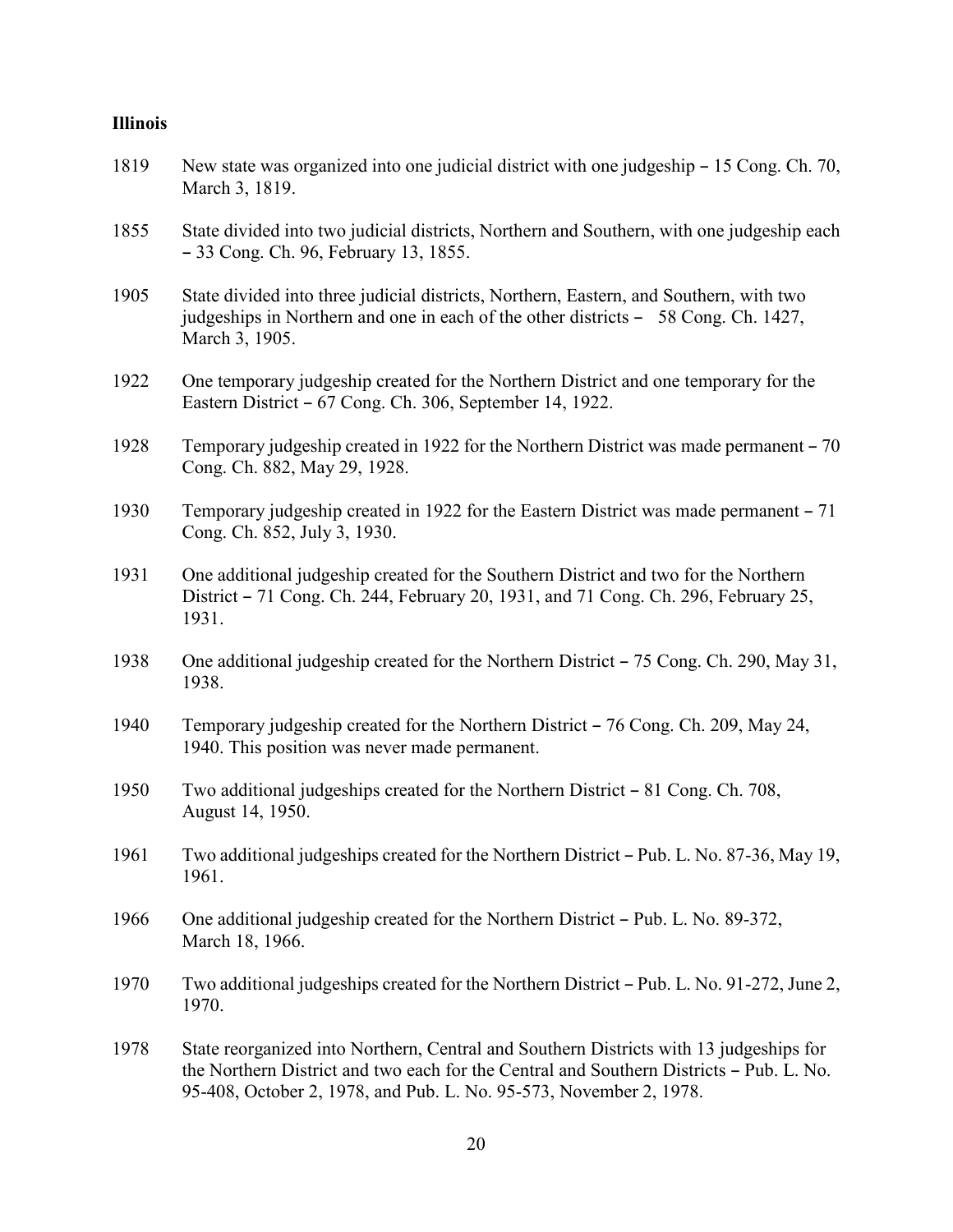#### **Illinois**

- 1819 New state was organized into one judicial district with one judgeship 15 Cong. Ch. 70, March 3, 1819.
- 1855 State divided into two judicial districts, Northern and Southern, with one judgeship each B 33 Cong. Ch. 96, February 13, 1855.
- 1905 State divided into three judicial districts, Northern, Eastern, and Southern, with two judgeships in Northern and one in each of the other districts  $-58$  Cong. Ch. 1427, March 3, 1905.
- 1922 One temporary judgeship created for the Northern District and one temporary for the Eastern District - 67 Cong. Ch. 306, September 14, 1922.
- 1928 Temporary judgeship created in 1922 for the Northern District was made permanent 70 Cong. Ch. 882, May 29, 1928.
- 1930 Temporary judgeship created in 1922 for the Eastern District was made permanent 71 Cong. Ch. 852, July 3, 1930.
- 1931 One additional judgeship created for the Southern District and two for the Northern District – 71 Cong. Ch. 244, February 20, 1931, and 71 Cong. Ch. 296, February 25, 1931.
- 1938 One additional judgeship created for the Northern District  $-75$  Cong. Ch. 290, May 31, 1938.
- 1940 Temporary judgeship created for the Northern District 76 Cong. Ch. 209, May 24, 1940. This position was never made permanent.
- 1950 Two additional judgeships created for the Northern District 81 Cong. Ch. 708, August 14, 1950.
- 1961 Two additional judgeships created for the Northern District Pub. L. No. 87-36, May 19, 1961.
- 1966 One additional judgeship created for the Northern District Pub. L. No. 89-372, March 18, 1966.
- 1970 Two additional judgeships created for the Northern District Pub. L. No. 91-272, June 2, 1970.

1978 State reorganized into Northern, Central and Southern Districts with 13 judgeships for the Northern District and two each for the Central and Southern Districts - Pub. L. No. 95-408, October 2, 1978, and Pub. L. No. 95-573, November 2, 1978.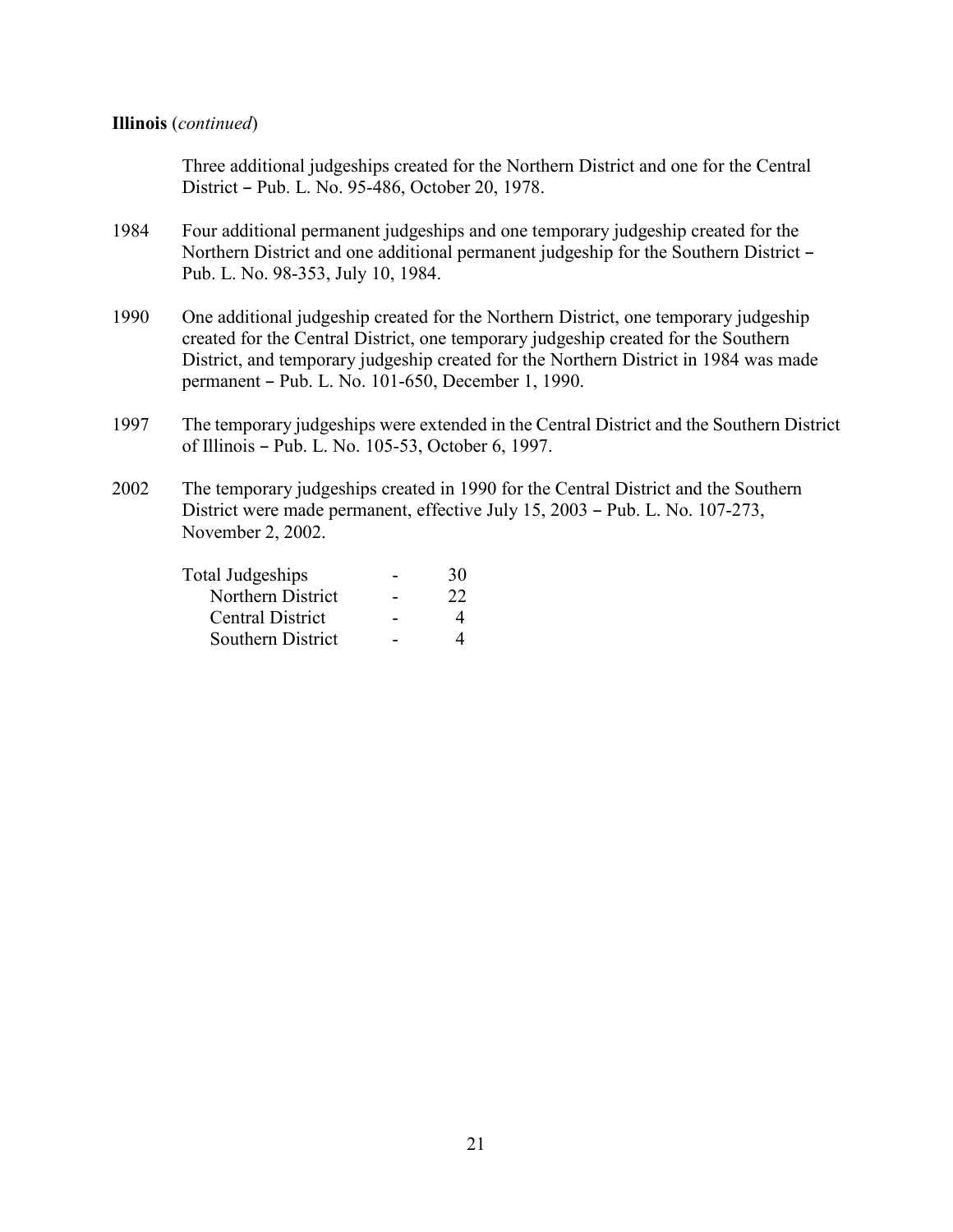#### **Illinois** (*continued*)

Three additional judgeships created for the Northern District and one for the Central District - Pub. L. No. 95-486, October 20, 1978.

- 1984 Four additional permanent judgeships and one temporary judgeship created for the Northern District and one additional permanent judgeship for the Southern District -Pub. L. No. 98-353, July 10, 1984.
- 1990 One additional judgeship created for the Northern District, one temporary judgeship created for the Central District, one temporary judgeship created for the Southern District, and temporary judgeship created for the Northern District in 1984 was made permanent – Pub. L. No. 101-650, December 1, 1990.
- 1997 The temporary judgeships were extended in the Central District and the Southern District of Illinois B Pub. L. No. 105-53, October 6, 1997.
- 2002 The temporary judgeships created in 1990 for the Central District and the Southern District were made permanent, effective July 15, 2003 - Pub. L. No. 107-273, November 2, 2002.

| Total Judgeships        | 30 |
|-------------------------|----|
| Northern District       | 22 |
| <b>Central District</b> |    |
| Southern District       |    |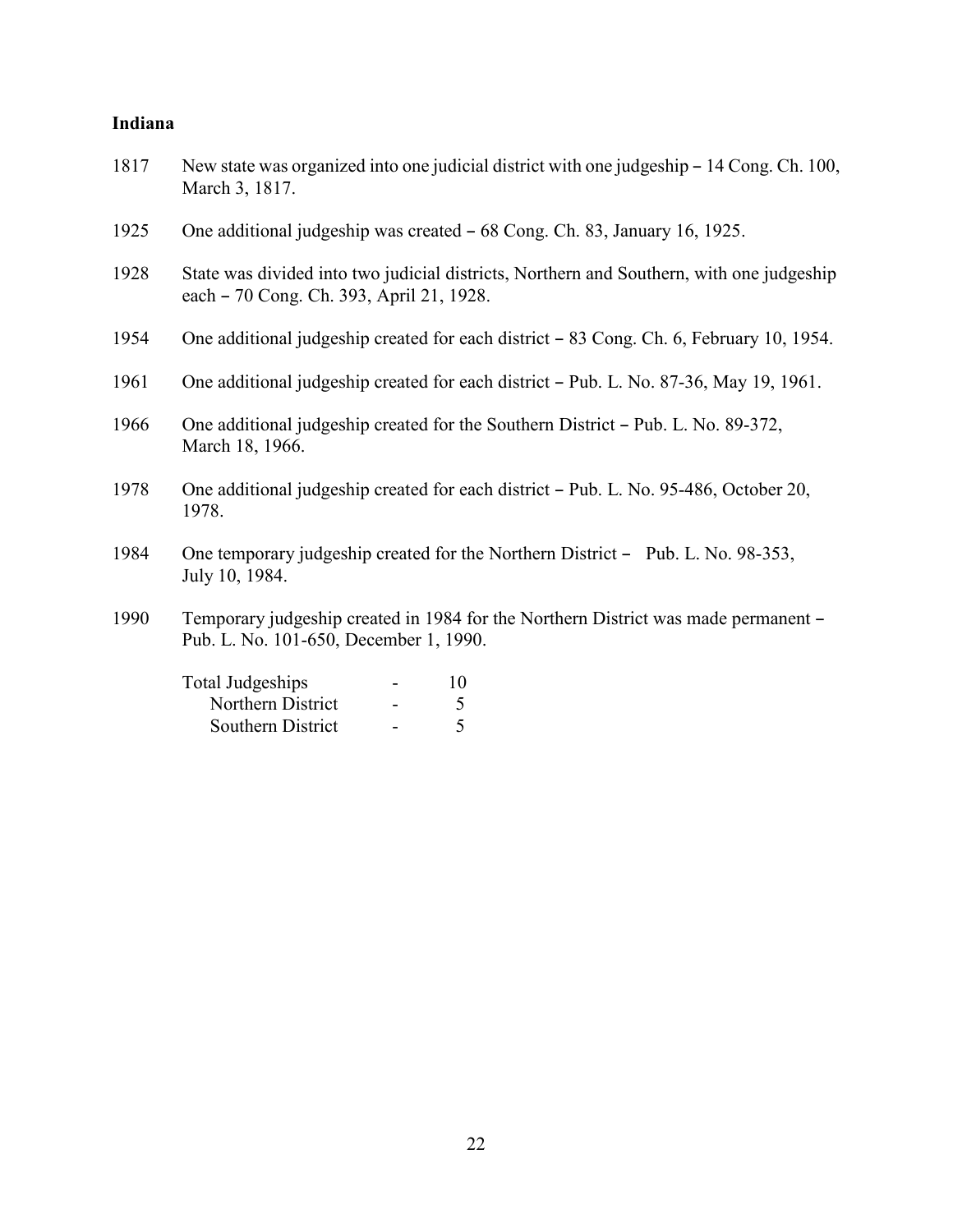### **Indiana**

| 1817 | New state was organized into one judicial district with one judgeship – 14 Cong. Ch. 100,<br>March 3, 1817.                          |
|------|--------------------------------------------------------------------------------------------------------------------------------------|
| 1925 | One additional judgeship was created – 68 Cong. Ch. 83, January 16, 1925.                                                            |
| 1928 | State was divided into two judicial districts, Northern and Southern, with one judgeship<br>each – 70 Cong. Ch. 393, April 21, 1928. |
| 1954 | One additional judgeship created for each district – 83 Cong. Ch. 6, February 10, 1954.                                              |
| 1961 | One additional judgeship created for each district – Pub. L. No. 87-36, May 19, 1961.                                                |
| 1966 | One additional judgeship created for the Southern District – Pub. L. No. 89-372,<br>March 18, 1966.                                  |
| 1978 | One additional judgeship created for each district – Pub. L. No. 95-486, October 20,<br>1978.                                        |
| 1984 | One temporary judgeship created for the Northern District – Pub. L. No. 98-353,<br>July 10, 1984.                                    |
| 1990 | Temporary judgeship created in 1984 for the Northern District was made permanent -<br>Pub. L. No. 101-650, December 1, 1990.         |
|      | Total Judgeships<br>10<br>Northern District<br>5<br>$\blacksquare$                                                                   |

Southern District - 5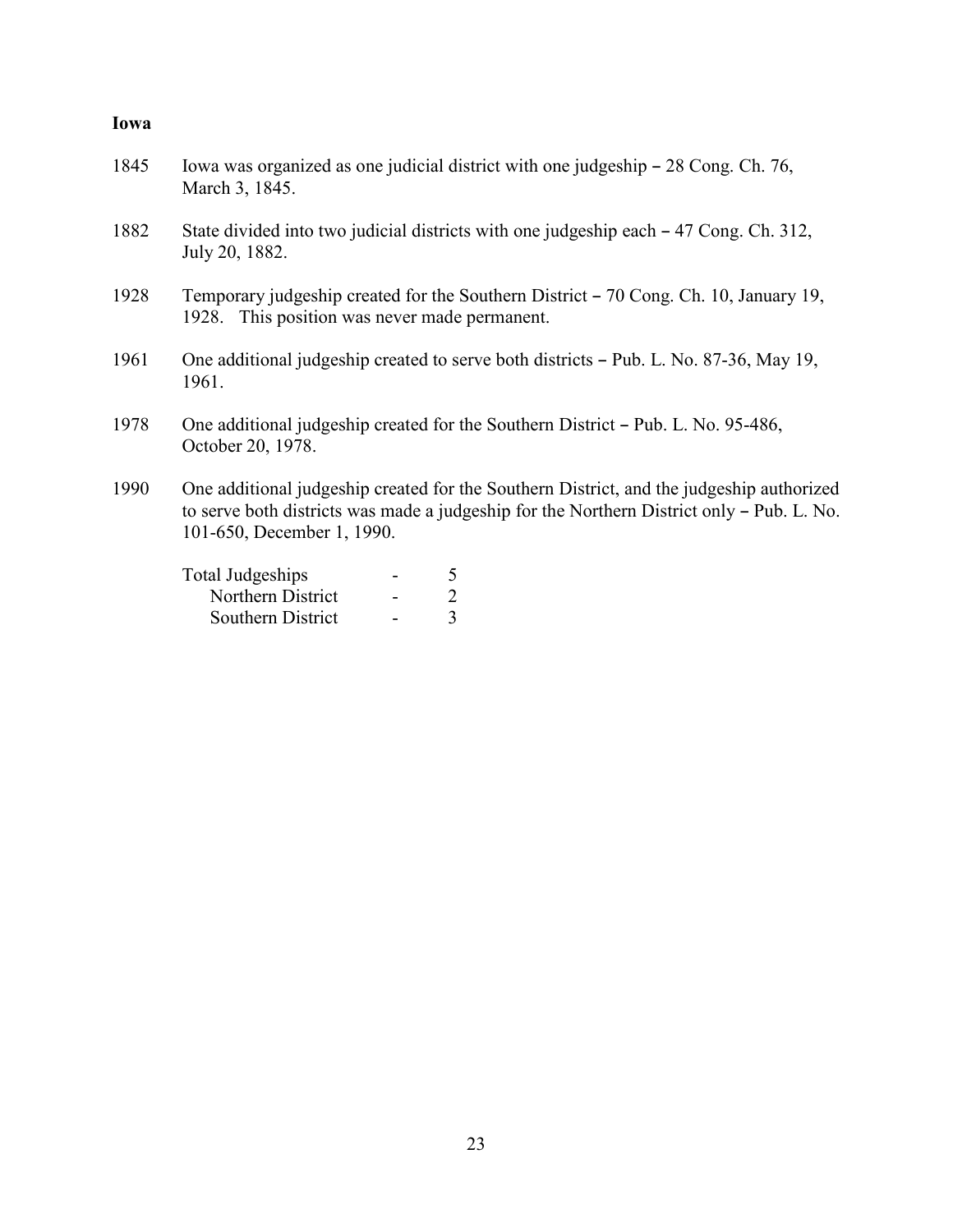### **Iowa**

| 1845 | Iowa was organized as one judicial district with one judgeship – 28 Cong. Ch. 76,<br>March 3, 1845.                                                                                                                 |
|------|---------------------------------------------------------------------------------------------------------------------------------------------------------------------------------------------------------------------|
| 1882 | State divided into two judicial districts with one judgeship each – 47 Cong. Ch. 312,<br>July 20, 1882.                                                                                                             |
| 1928 | Temporary judgeship created for the Southern District – 70 Cong. Ch. 10, January 19,<br>1928. This position was never made permanent.                                                                               |
| 1961 | One additional judgeship created to serve both districts – Pub. L. No. 87-36, May 19,<br>1961.                                                                                                                      |
| 1978 | One additional judgeship created for the Southern District – Pub. L. No. 95-486,<br>October 20, 1978.                                                                                                               |
| 1990 | One additional judgeship created for the Southern District, and the judgeship authorized<br>to serve both districts was made a judgeship for the Northern District only – Pub. L. No.<br>101-650, December 1, 1990. |
|      | <b>Total Judgeships</b><br>5                                                                                                                                                                                        |
|      | $\overline{2}$<br>Northern District                                                                                                                                                                                 |
|      | $\overline{3}$<br>Southern District                                                                                                                                                                                 |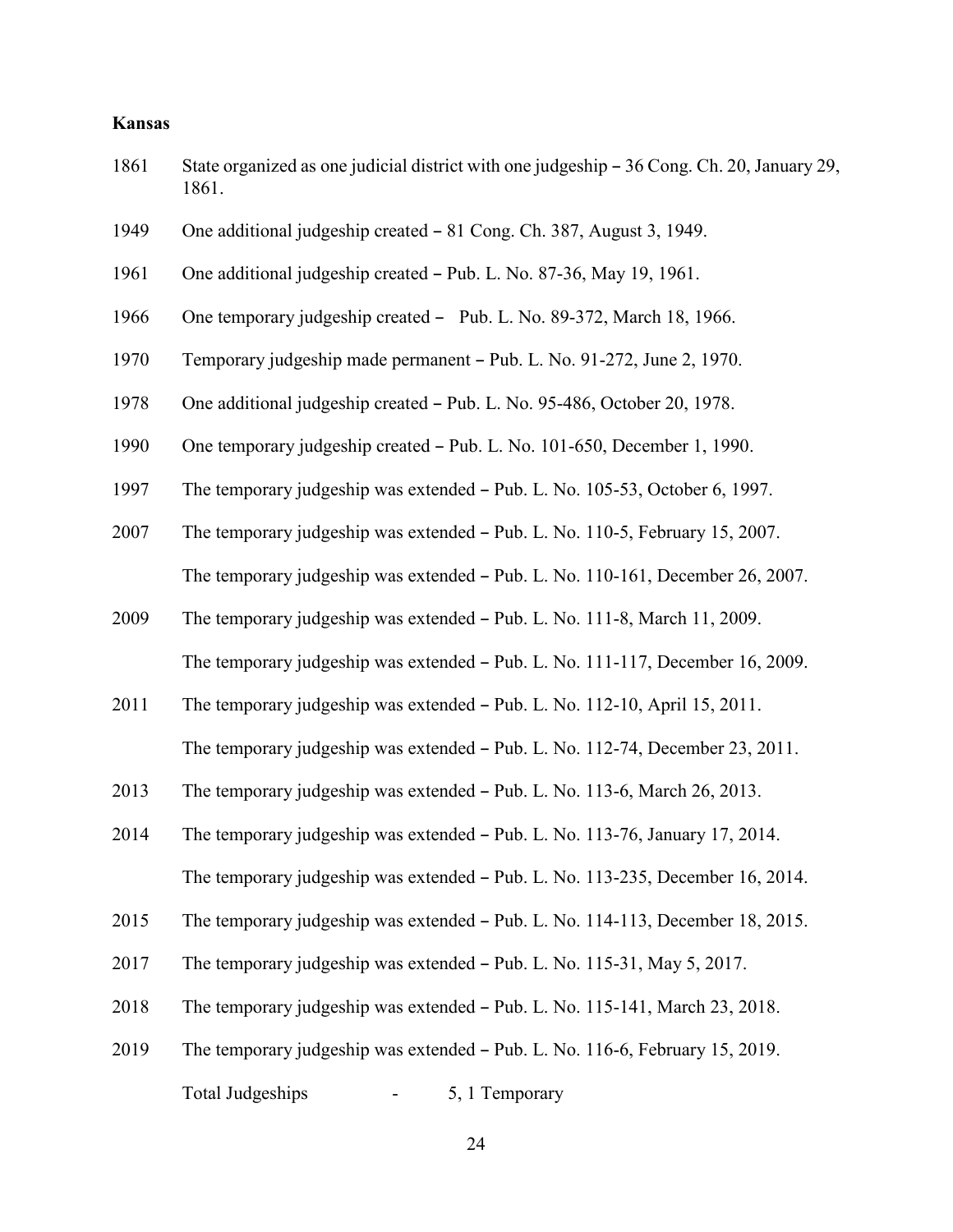### **Kansas**

| 1861 | State organized as one judicial district with one judgeship – 36 Cong. Ch. 20, January 29,<br>1861. |
|------|-----------------------------------------------------------------------------------------------------|
| 1949 | One additional judgeship created - 81 Cong. Ch. 387, August 3, 1949.                                |
| 1961 | One additional judgeship created - Pub. L. No. 87-36, May 19, 1961.                                 |
| 1966 | One temporary judgeship created - Pub. L. No. 89-372, March 18, 1966.                               |
| 1970 | Temporary judgeship made permanent – Pub. L. No. 91-272, June 2, 1970.                              |
| 1978 | One additional judgeship created – Pub. L. No. 95-486, October 20, 1978.                            |
| 1990 | One temporary judgeship created - Pub. L. No. 101-650, December 1, 1990.                            |
| 1997 | The temporary judgeship was extended - Pub. L. No. 105-53, October 6, 1997.                         |
| 2007 | The temporary judgeship was extended - Pub. L. No. 110-5, February 15, 2007.                        |
|      | The temporary judgeship was extended - Pub. L. No. 110-161, December 26, 2007.                      |
| 2009 | The temporary judgeship was extended - Pub. L. No. 111-8, March 11, 2009.                           |
|      | The temporary judgeship was extended - Pub. L. No. 111-117, December 16, 2009.                      |
| 2011 | The temporary judgeship was extended - Pub. L. No. 112-10, April 15, 2011.                          |
|      | The temporary judgeship was extended - Pub. L. No. 112-74, December 23, 2011.                       |
| 2013 | The temporary judgeship was extended - Pub. L. No. 113-6, March 26, 2013.                           |
| 2014 | The temporary judgeship was extended - Pub. L. No. 113-76, January 17, 2014.                        |
|      | The temporary judgeship was extended - Pub. L. No. 113-235, December 16, 2014.                      |
| 2015 | The temporary judgeship was extended - Pub. L. No. 114-113, December 18, 2015.                      |
| 2017 | The temporary judgeship was extended - Pub. L. No. 115-31, May 5, 2017.                             |
| 2018 | The temporary judgeship was extended - Pub. L. No. 115-141, March 23, 2018.                         |
| 2019 | The temporary judgeship was extended – Pub. L. No. 116-6, February 15, 2019.                        |
|      | <b>Total Judgeships</b><br>5, 1 Temporary                                                           |
|      |                                                                                                     |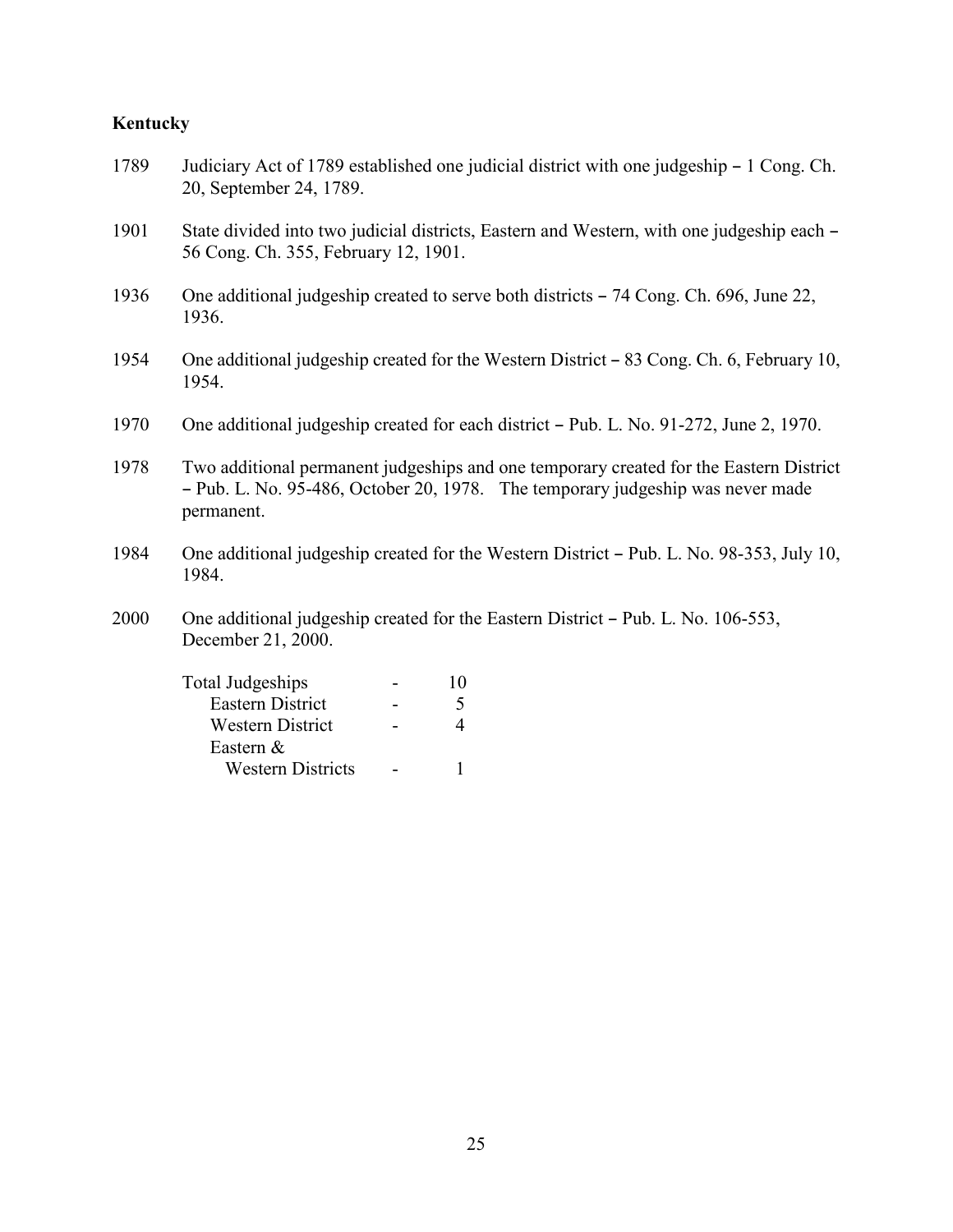# **Kentucky**

Eastern &

Western Districts - 1

| 1789 | Judiciary Act of 1789 established one judicial district with one judgeship – 1 Cong. Ch.<br>20, September 24, 1789.                                                                    |
|------|----------------------------------------------------------------------------------------------------------------------------------------------------------------------------------------|
| 1901 | State divided into two judicial districts, Eastern and Western, with one judgeship each –<br>56 Cong. Ch. 355, February 12, 1901.                                                      |
| 1936 | One additional judgeship created to serve both districts – 74 Cong. Ch. 696, June 22,<br>1936.                                                                                         |
| 1954 | One additional judgeship created for the Western District – 83 Cong. Ch. 6, February 10,<br>1954.                                                                                      |
| 1970 | One additional judgeship created for each district – Pub. L. No. 91-272, June 2, 1970.                                                                                                 |
| 1978 | Two additional permanent judgeships and one temporary created for the Eastern District<br>- Pub. L. No. 95-486, October 20, 1978. The temporary judgeship was never made<br>permanent. |
| 1984 | One additional judgeship created for the Western District – Pub. L. No. 98-353, July 10,<br>1984.                                                                                      |
| 2000 | One additional judgeship created for the Eastern District – Pub. L. No. 106-553,<br>December 21, 2000.                                                                                 |
|      | <b>Total Judgeships</b><br>10                                                                                                                                                          |
|      | Eastern District<br>5                                                                                                                                                                  |
|      | $\overline{4}$<br>Western District                                                                                                                                                     |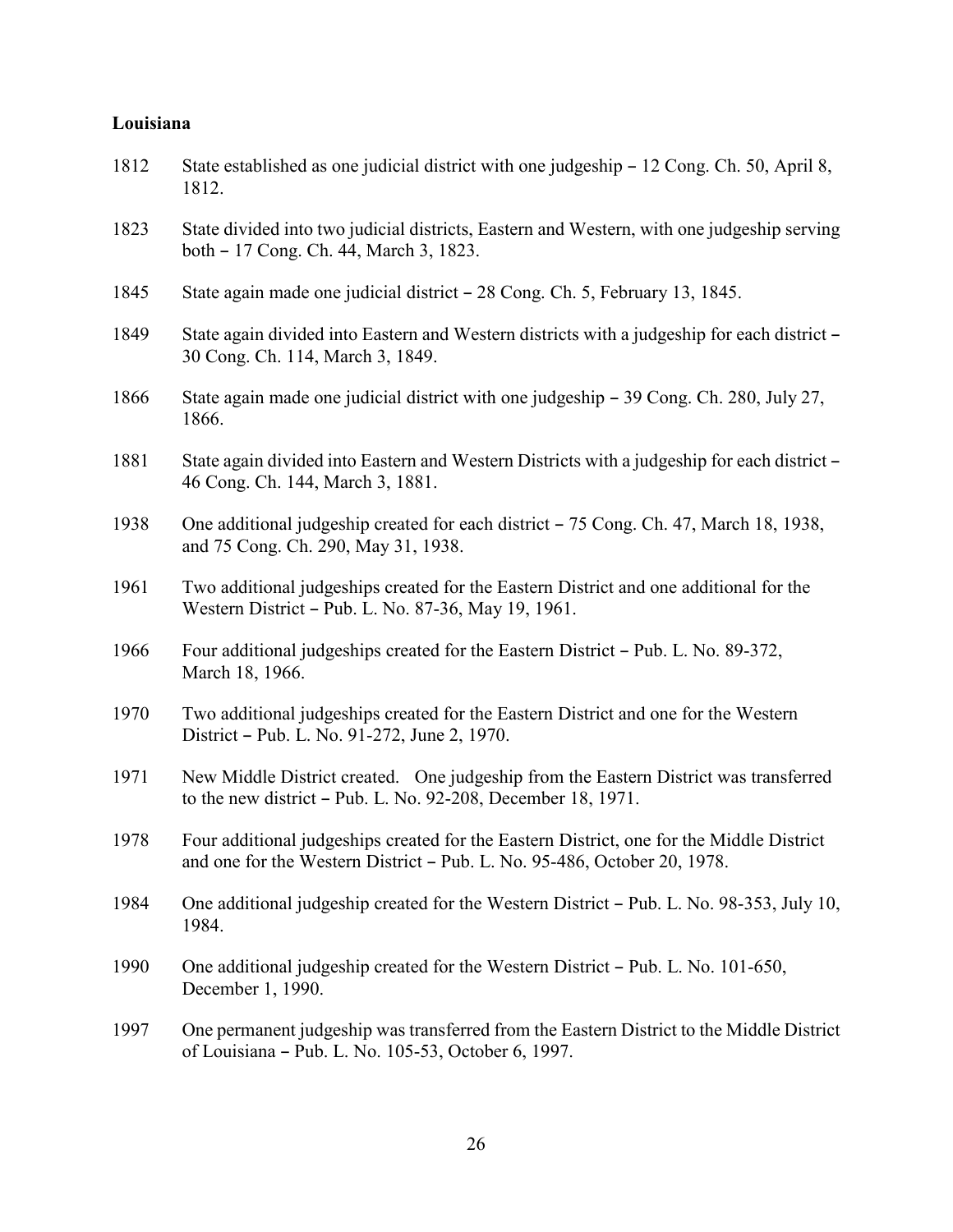### **Louisiana**

| 1812 | State established as one judicial district with one judgeship – 12 Cong. Ch. 50, April 8,<br>1812.                                                                   |
|------|----------------------------------------------------------------------------------------------------------------------------------------------------------------------|
| 1823 | State divided into two judicial districts, Eastern and Western, with one judgeship serving<br>both – 17 Cong. Ch. 44, March 3, 1823.                                 |
| 1845 | State again made one judicial district – 28 Cong. Ch. 5, February 13, 1845.                                                                                          |
| 1849 | State again divided into Eastern and Western districts with a judgeship for each district –<br>30 Cong. Ch. 114, March 3, 1849.                                      |
| 1866 | State again made one judicial district with one judgeship – 39 Cong. Ch. 280, July 27,<br>1866.                                                                      |
| 1881 | State again divided into Eastern and Western Districts with a judgeship for each district –<br>46 Cong. Ch. 144, March 3, 1881.                                      |
| 1938 | One additional judgeship created for each district - 75 Cong. Ch. 47, March 18, 1938,<br>and 75 Cong. Ch. 290, May 31, 1938.                                         |
| 1961 | Two additional judgeships created for the Eastern District and one additional for the<br>Western District – Pub. L. No. 87-36, May 19, 1961.                         |
| 1966 | Four additional judgeships created for the Eastern District – Pub. L. No. 89-372,<br>March 18, 1966.                                                                 |
| 1970 | Two additional judgeships created for the Eastern District and one for the Western<br>District - Pub. L. No. 91-272, June 2, 1970.                                   |
| 1971 | New Middle District created. One judgeship from the Eastern District was transferred<br>to the new district - Pub. L. No. 92-208, December 18, 1971.                 |
| 1978 | Four additional judgeships created for the Eastern District, one for the Middle District<br>and one for the Western District – Pub. L. No. 95-486, October 20, 1978. |
| 1984 | One additional judgeship created for the Western District – Pub. L. No. 98-353, July 10,<br>1984.                                                                    |
| 1990 | One additional judgeship created for the Western District – Pub. L. No. 101-650,<br>December 1, 1990.                                                                |
| 1997 | One permanent judgeship was transferred from the Eastern District to the Middle District<br>of Louisiana - Pub. L. No. 105-53, October 6, 1997.                      |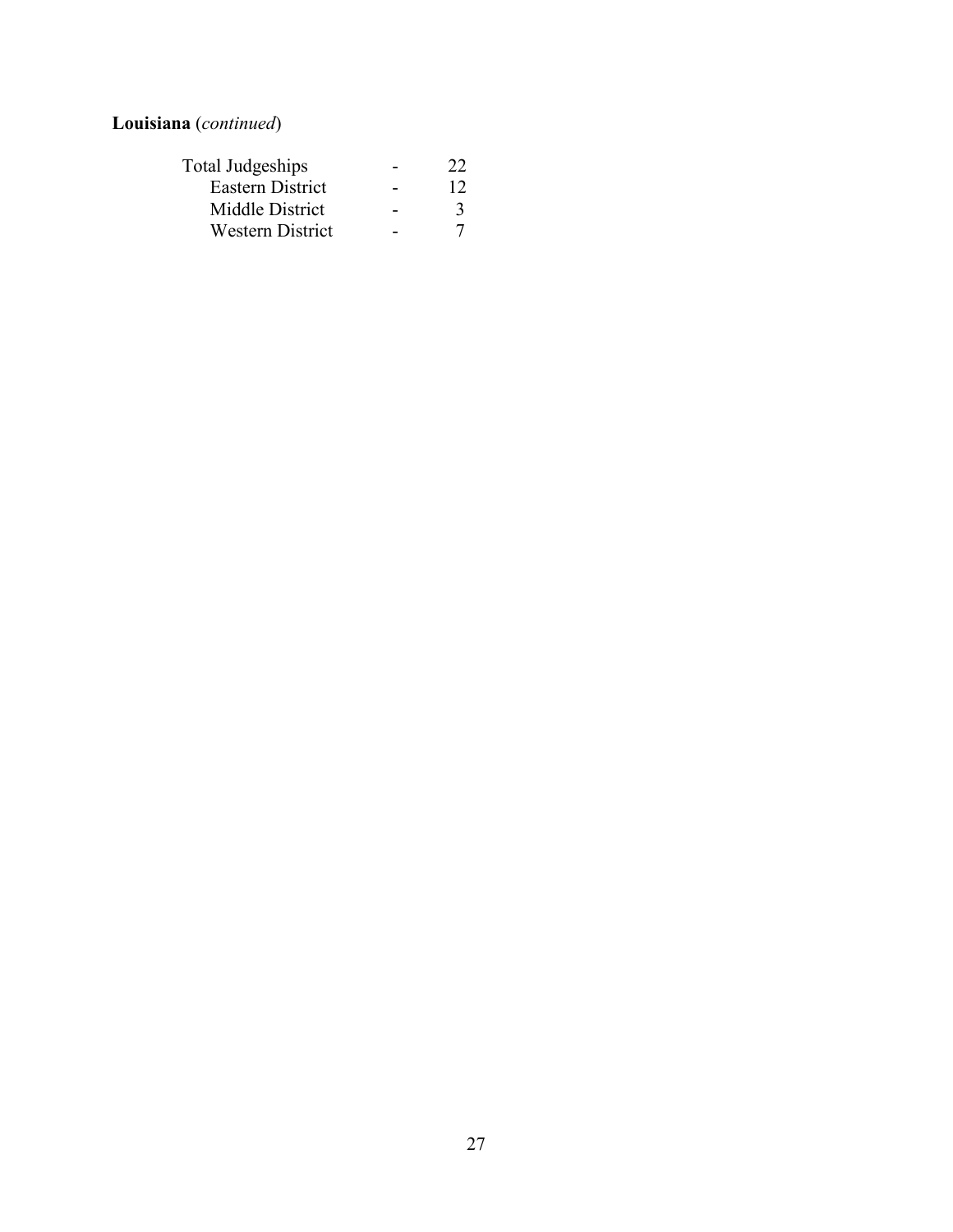**Louisiana** (*continued*)

| 22 |
|----|
| 12 |
|    |
|    |
|    |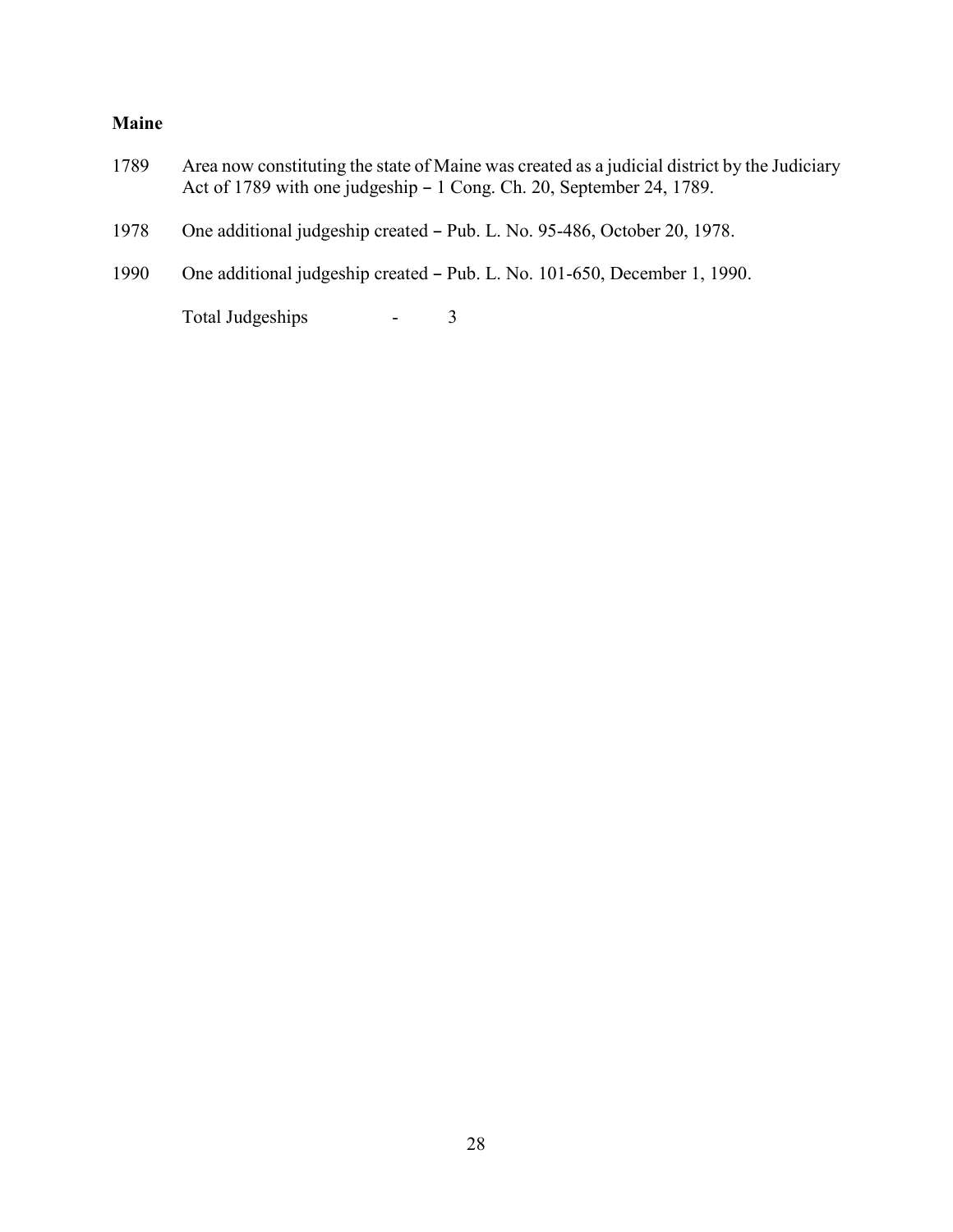### **Maine**

- 1789 Area now constituting the state of Maine was created as a judicial district by the Judiciary Act of 1789 with one judgeship  $-1$  Cong. Ch. 20, September 24, 1789.
- 1978 One additional judgeship created Pub. L. No. 95-486, October 20, 1978.
- 1990 One additional judgeship created Pub. L. No. 101-650, December 1, 1990.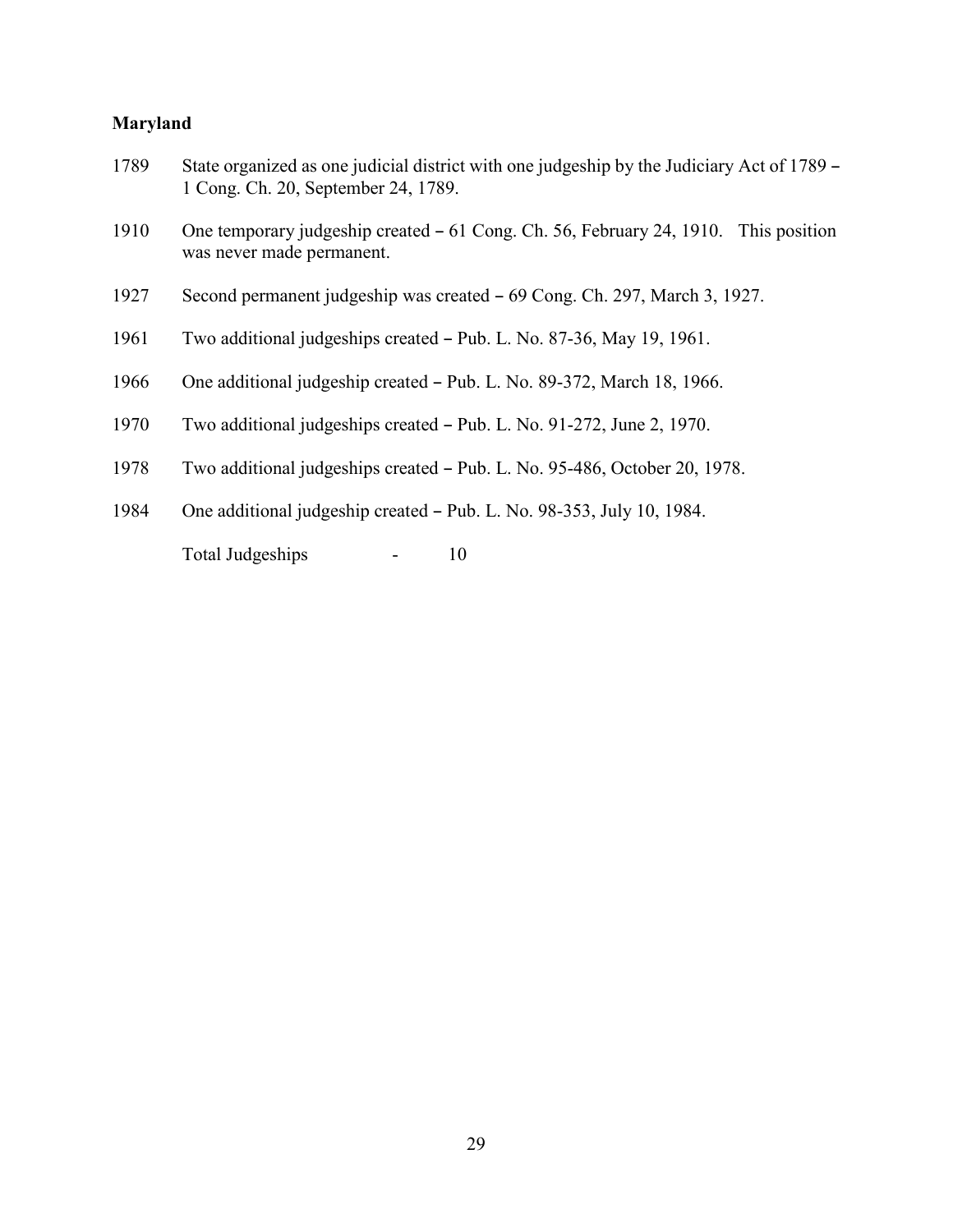### **Maryland**

| 1789 | State organized as one judicial district with one judgeship by the Judiciary Act of 1789 –<br>1 Cong. Ch. 20, September 24, 1789. |  |
|------|-----------------------------------------------------------------------------------------------------------------------------------|--|
| 1910 | One temporary judgeship created – 61 Cong. Ch. 56, February 24, 1910. This position<br>was never made permanent.                  |  |
| 1927 | Second permanent judgeship was created – 69 Cong. Ch. 297, March 3, 1927.                                                         |  |
| 1961 | Two additional judgeships created – Pub. L. No. 87-36, May 19, 1961.                                                              |  |
| 1966 | One additional judgeship created – Pub. L. No. 89-372, March 18, 1966.                                                            |  |
| 1970 | Two additional judgeships created – Pub. L. No. 91-272, June 2, 1970.                                                             |  |
| 1978 | Two additional judgeships created – Pub. L. No. 95-486, October 20, 1978.                                                         |  |
| 1984 | One additional judgeship created - Pub. L. No. 98-353, July 10, 1984.                                                             |  |
|      | <b>Total Judgeships</b><br>10                                                                                                     |  |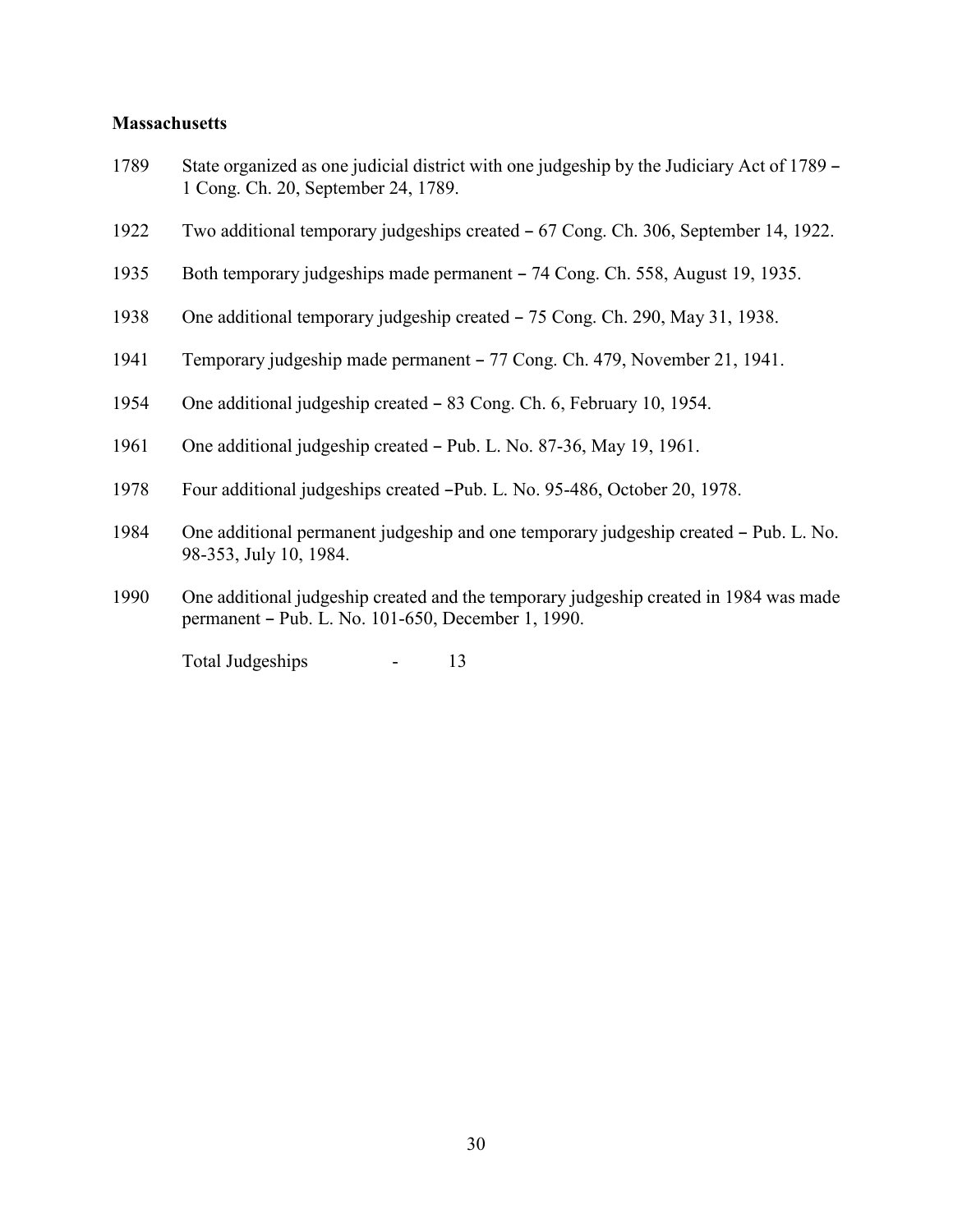#### **Massachusetts**

- 1789 State organized as one judicial district with one judgeship by the Judiciary Act of 1789 1 Cong. Ch. 20, September 24, 1789.
- 1922 Two additional temporary judgeships created  $-67$  Cong. Ch. 306, September 14, 1922.
- 1935 Both temporary judgeships made permanent 74 Cong. Ch. 558, August 19, 1935.
- 1938 One additional temporary judgeship created  $-75$  Cong. Ch. 290, May 31, 1938.
- 1941 Temporary judgeship made permanent 77 Cong. Ch. 479, November 21, 1941.
- 1954 One additional judgeship created 83 Cong. Ch. 6, February 10, 1954.
- 1961 One additional judgeship created Pub. L. No. 87-36, May 19, 1961.
- 1978 Four additional judgeships created -Pub. L. No. 95-486, October 20, 1978.
- 1984 One additional permanent judgeship and one temporary judgeship created Pub. L. No. 98-353, July 10, 1984.
- 1990 One additional judgeship created and the temporary judgeship created in 1984 was made permanent – Pub. L. No. 101-650, December 1, 1990.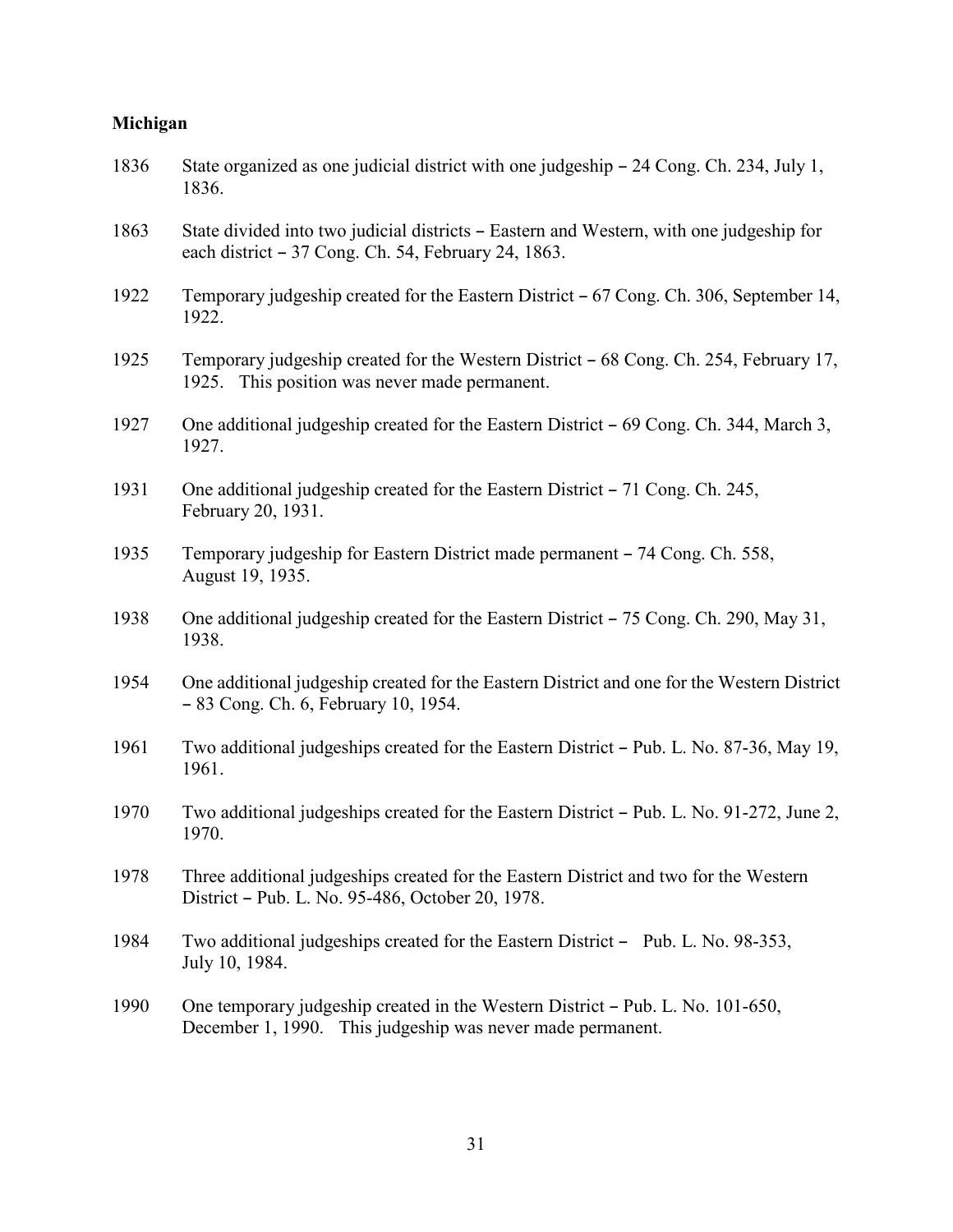### **Michigan**

| 1836 | State organized as one judicial district with one judgeship $-$ 24 Cong. Ch. 234, July 1,<br>1836.                                             |
|------|------------------------------------------------------------------------------------------------------------------------------------------------|
| 1863 | State divided into two judicial districts - Eastern and Western, with one judgeship for<br>each district – 37 Cong. Ch. 54, February 24, 1863. |
| 1922 | Temporary judgeship created for the Eastern District – 67 Cong. Ch. 306, September 14,<br>1922.                                                |
| 1925 | Temporary judgeship created for the Western District – 68 Cong. Ch. 254, February 17,<br>1925. This position was never made permanent.         |
| 1927 | One additional judgeship created for the Eastern District – 69 Cong. Ch. 344, March 3,<br>1927.                                                |
| 1931 | One additional judgeship created for the Eastern District – 71 Cong. Ch. 245,<br>February 20, 1931.                                            |
| 1935 | Temporary judgeship for Eastern District made permanent – 74 Cong. Ch. 558,<br>August 19, 1935.                                                |
| 1938 | One additional judgeship created for the Eastern District – 75 Cong. Ch. 290, May 31,<br>1938.                                                 |
| 1954 | One additional judgeship created for the Eastern District and one for the Western District<br>- 83 Cong. Ch. 6, February 10, 1954.             |
| 1961 | Two additional judgeships created for the Eastern District – Pub. L. No. 87-36, May 19,<br>1961.                                               |
| 1970 | Two additional judgeships created for the Eastern District – Pub. L. No. 91-272, June 2,<br>1970.                                              |
| 1978 | Three additional judgeships created for the Eastern District and two for the Western<br>District – Pub. L. No. 95-486, October 20, 1978.       |
| 1984 | Two additional judgeships created for the Eastern District - Pub. L. No. 98-353,<br>July 10, 1984.                                             |
| 1990 | One temporary judgeship created in the Western District – Pub. L. No. 101-650,<br>December 1, 1990. This judgeship was never made permanent.   |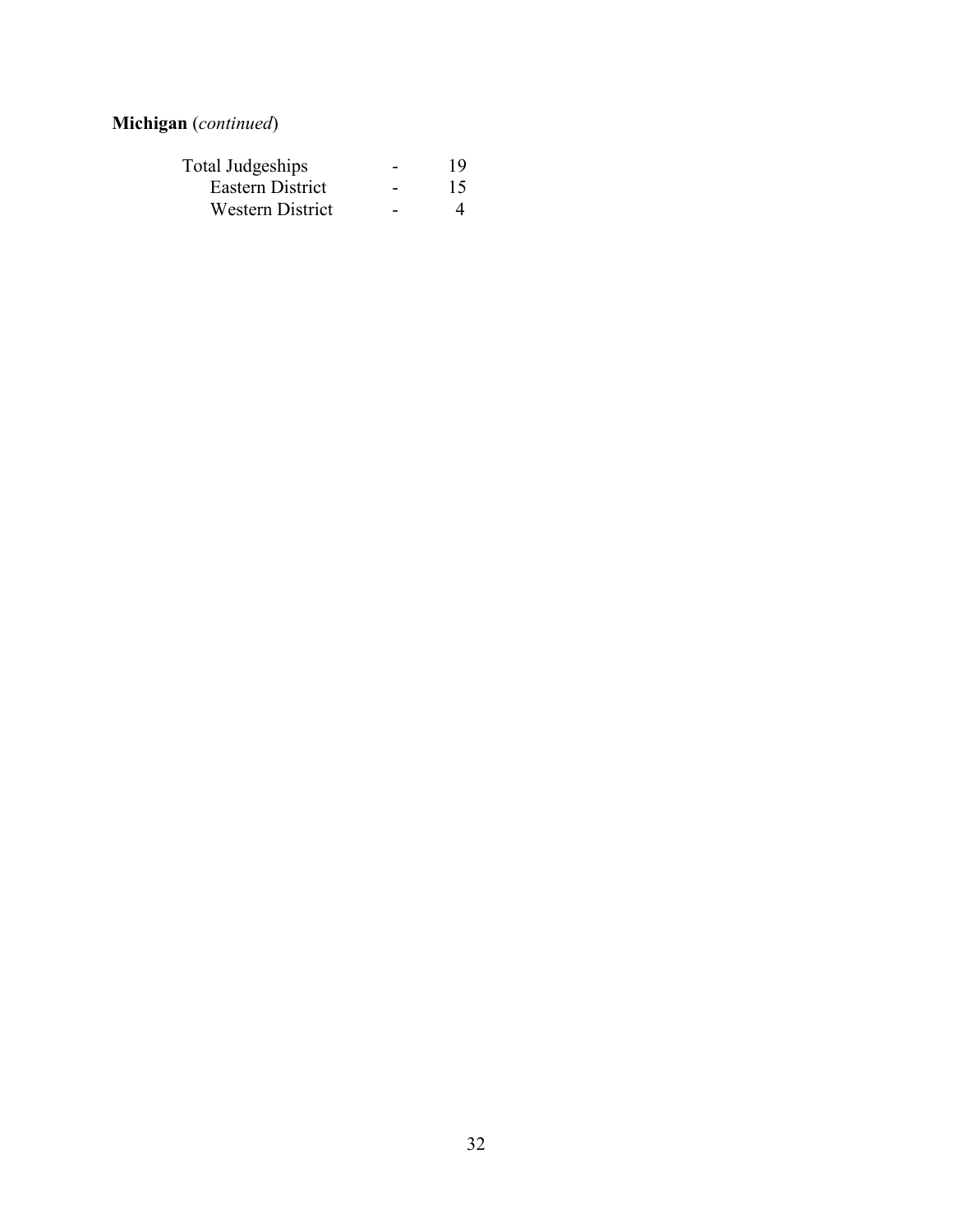### **Michigan** (*continued*)

| Total Judgeships        |   | 19 |
|-------------------------|---|----|
| Eastern District        | - | 15 |
| <b>Western District</b> |   |    |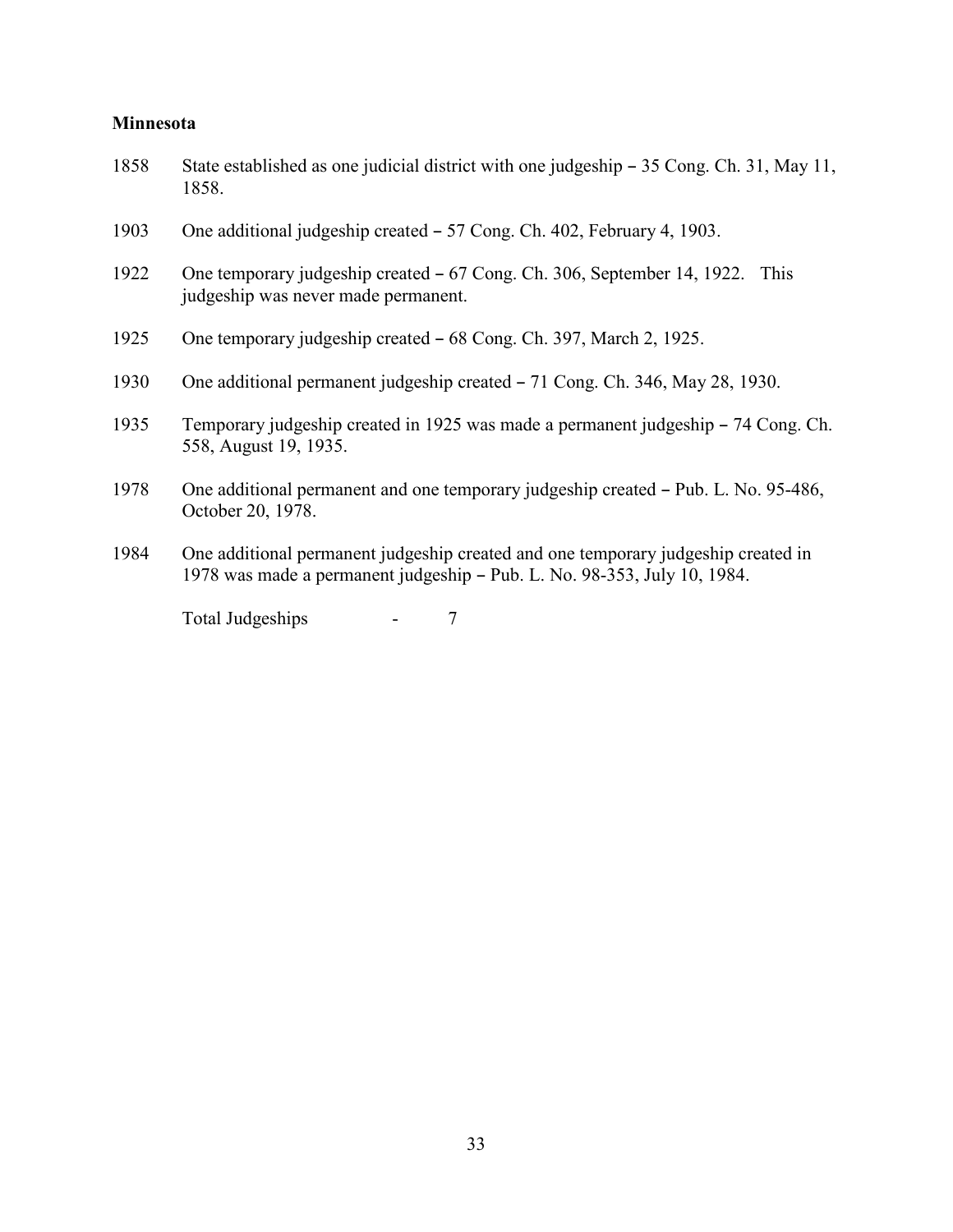### **Minnesota**

| 1858 | State established as one judicial district with one judgeship – 35 Cong. Ch. 31, May 11,<br>1858.                                                             |  |
|------|---------------------------------------------------------------------------------------------------------------------------------------------------------------|--|
| 1903 | One additional judgeship created – 57 Cong. Ch. 402, February 4, 1903.                                                                                        |  |
| 1922 | One temporary judgeship created – 67 Cong. Ch. 306, September 14, 1922.<br>This<br>judgeship was never made permanent.                                        |  |
| 1925 | One temporary judgeship created – 68 Cong. Ch. 397, March 2, 1925.                                                                                            |  |
| 1930 | One additional permanent judgeship created – 71 Cong. Ch. 346, May 28, 1930.                                                                                  |  |
| 1935 | Temporary judgeship created in 1925 was made a permanent judgeship – 74 Cong. Ch.<br>558, August 19, 1935.                                                    |  |
| 1978 | One additional permanent and one temporary judgeship created – Pub. L. No. 95-486,<br>October 20, 1978.                                                       |  |
| 1984 | One additional permanent judgeship created and one temporary judgeship created in<br>1978 was made a permanent judgeship - Pub. L. No. 98-353, July 10, 1984. |  |
|      |                                                                                                                                                               |  |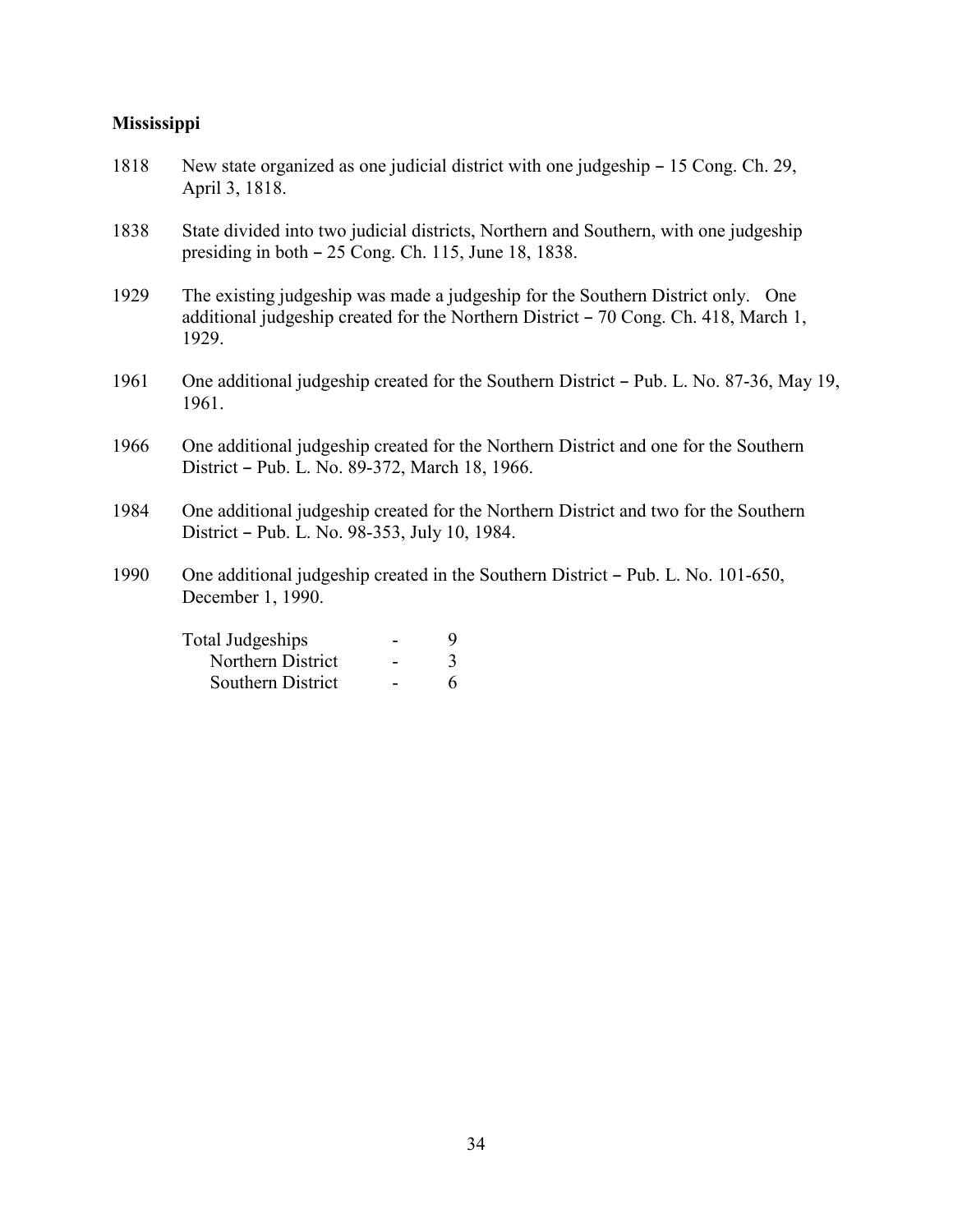### **Mississippi**

| 1818 | New state organized as one judicial district with one judgeship – 15 Cong. Ch. 29,<br>April 3, 1818.                                                                            |
|------|---------------------------------------------------------------------------------------------------------------------------------------------------------------------------------|
| 1838 | State divided into two judicial districts, Northern and Southern, with one judgeship<br>presiding in both – 25 Cong. Ch. 115, June 18, 1838.                                    |
| 1929 | The existing judgeship was made a judgeship for the Southern District only. One<br>additional judgeship created for the Northern District – 70 Cong. Ch. 418, March 1,<br>1929. |
| 1961 | One additional judgeship created for the Southern District – Pub. L. No. 87-36, May 19,<br>1961.                                                                                |
| 1966 | One additional judgeship created for the Northern District and one for the Southern<br>District - Pub. L. No. 89-372, March 18, 1966.                                           |
| 1984 | One additional judgeship created for the Northern District and two for the Southern<br>District – Pub. L. No. 98-353, July 10, 1984.                                            |
| 1990 | One additional judgeship created in the Southern District – Pub. L. No. 101-650,<br>December 1, 1990.                                                                           |
|      | <b>Total Judgeships</b><br>9<br>$\overline{3}$<br>Northern District                                                                                                             |

Southern District - 6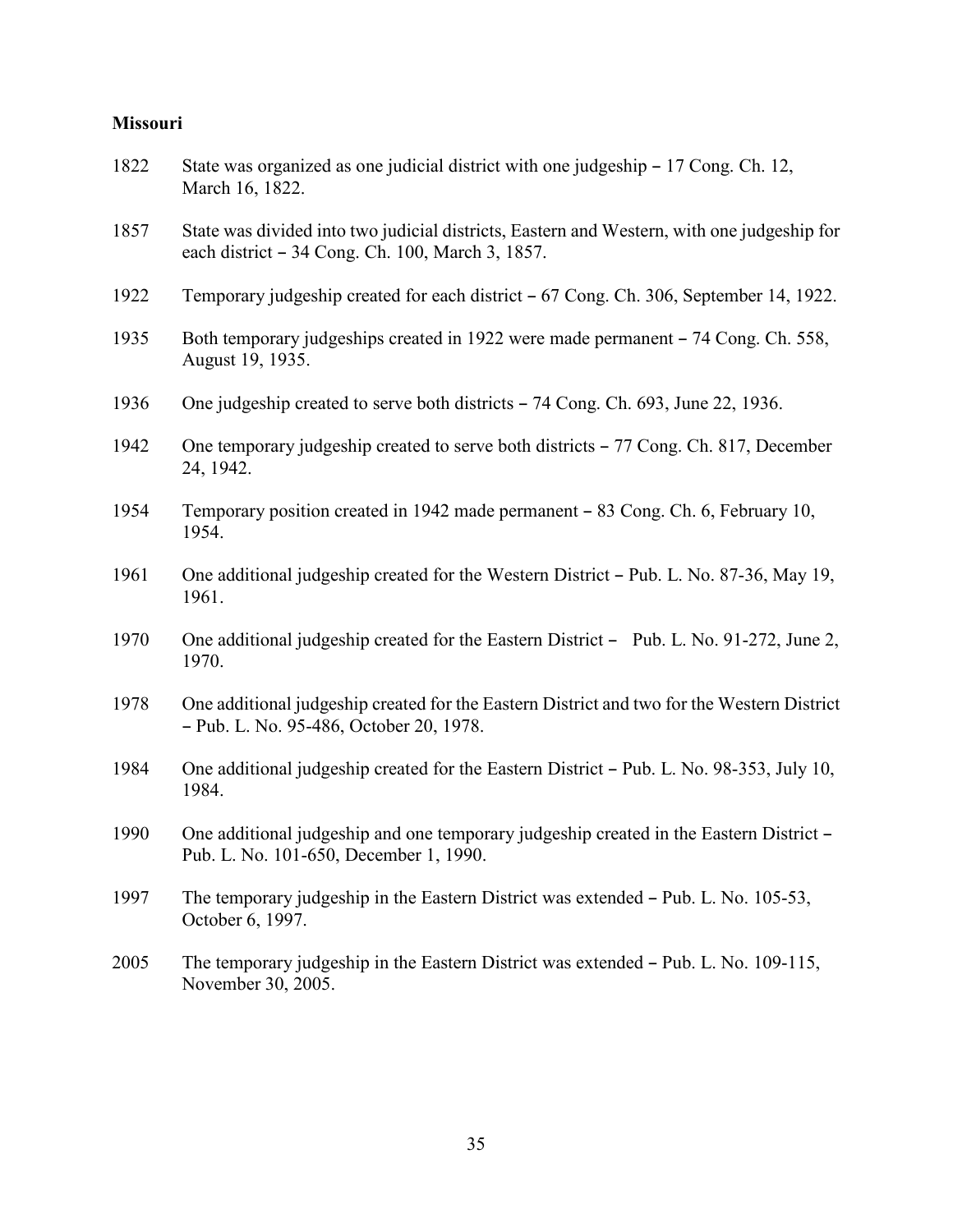#### **Missouri**

- 1822 State was organized as one judicial district with one judgeship 17 Cong. Ch. 12, March 16, 1822.
- 1857 State was divided into two judicial districts, Eastern and Western, with one judgeship for each district  $-34$  Cong. Ch. 100, March 3, 1857.
- 1922 Temporary judgeship created for each district 67 Cong. Ch. 306, September 14, 1922.
- 1935 Both temporary judgeships created in 1922 were made permanent 74 Cong. Ch. 558, August 19, 1935.
- 1936 One judgeship created to serve both districts 74 Cong. Ch. 693, June 22, 1936.
- 1942 One temporary judgeship created to serve both districts 77 Cong. Ch. 817, December 24, 1942.
- 1954 Temporary position created in 1942 made permanent 83 Cong. Ch. 6, February 10, 1954.
- 1961 One additional judgeship created for the Western District Pub. L. No. 87-36, May 19, 1961.
- 1970 One additional judgeship created for the Eastern District Pub. L. No. 91-272, June 2, 1970.
- 1978 One additional judgeship created for the Eastern District and two for the Western District B Pub. L. No. 95-486, October 20, 1978.
- 1984 One additional judgeship created for the Eastern District Pub. L. No. 98-353, July 10, 1984.
- 1990 One additional judgeship and one temporary judgeship created in the Eastern District Pub. L. No. 101-650, December 1, 1990.
- 1997 The temporary judgeship in the Eastern District was extended Pub. L. No. 105-53, October 6, 1997.
- 2005 The temporary judgeship in the Eastern District was extended  $-$  Pub. L. No. 109-115, November 30, 2005.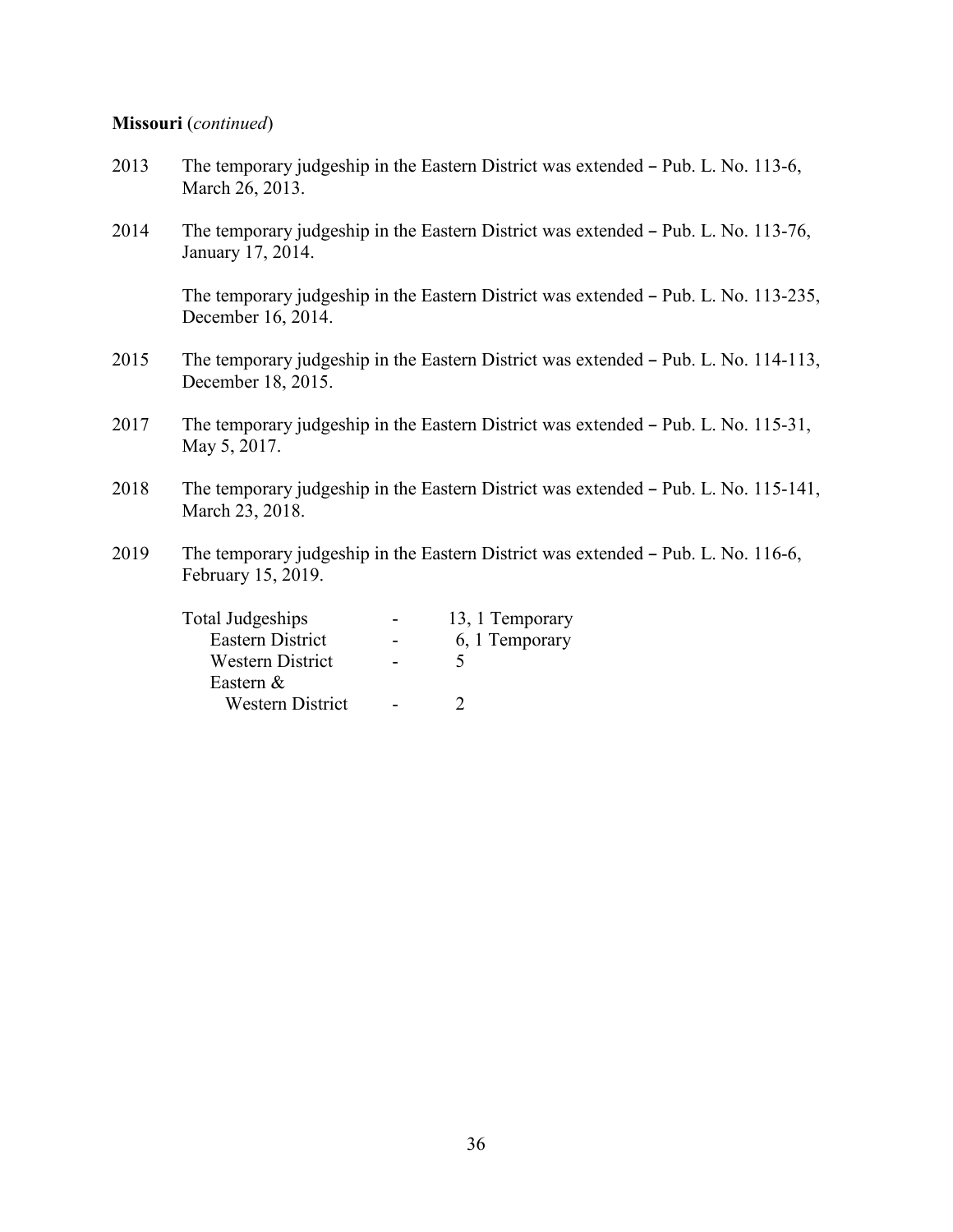#### **Missouri** (*continued*)

- 2013 The temporary judgeship in the Eastern District was extended Pub. L. No. 113-6, March 26, 2013.
- 2014 The temporary judgeship in the Eastern District was extended Pub. L. No. 113-76, January 17, 2014.

The temporary judgeship in the Eastern District was extended – Pub. L. No. 113-235, December 16, 2014.

- 2015 The temporary judgeship in the Eastern District was extended Pub. L. No. 114-113, December 18, 2015.
- 2017 The temporary judgeship in the Eastern District was extended Pub. L. No. 115-31, May 5, 2017.
- 2018 The temporary judgeship in the Eastern District was extended Pub. L. No. 115-141, March 23, 2018.
- 2019 The temporary judgeship in the Eastern District was extended Pub. L. No. 116-6, February 15, 2019.

| Total Judgeships        | 13, 1 Temporary |
|-------------------------|-----------------|
| Eastern District        | 6, 1 Temporary  |
| Western District        |                 |
| Eastern $&$             |                 |
| <b>Western District</b> |                 |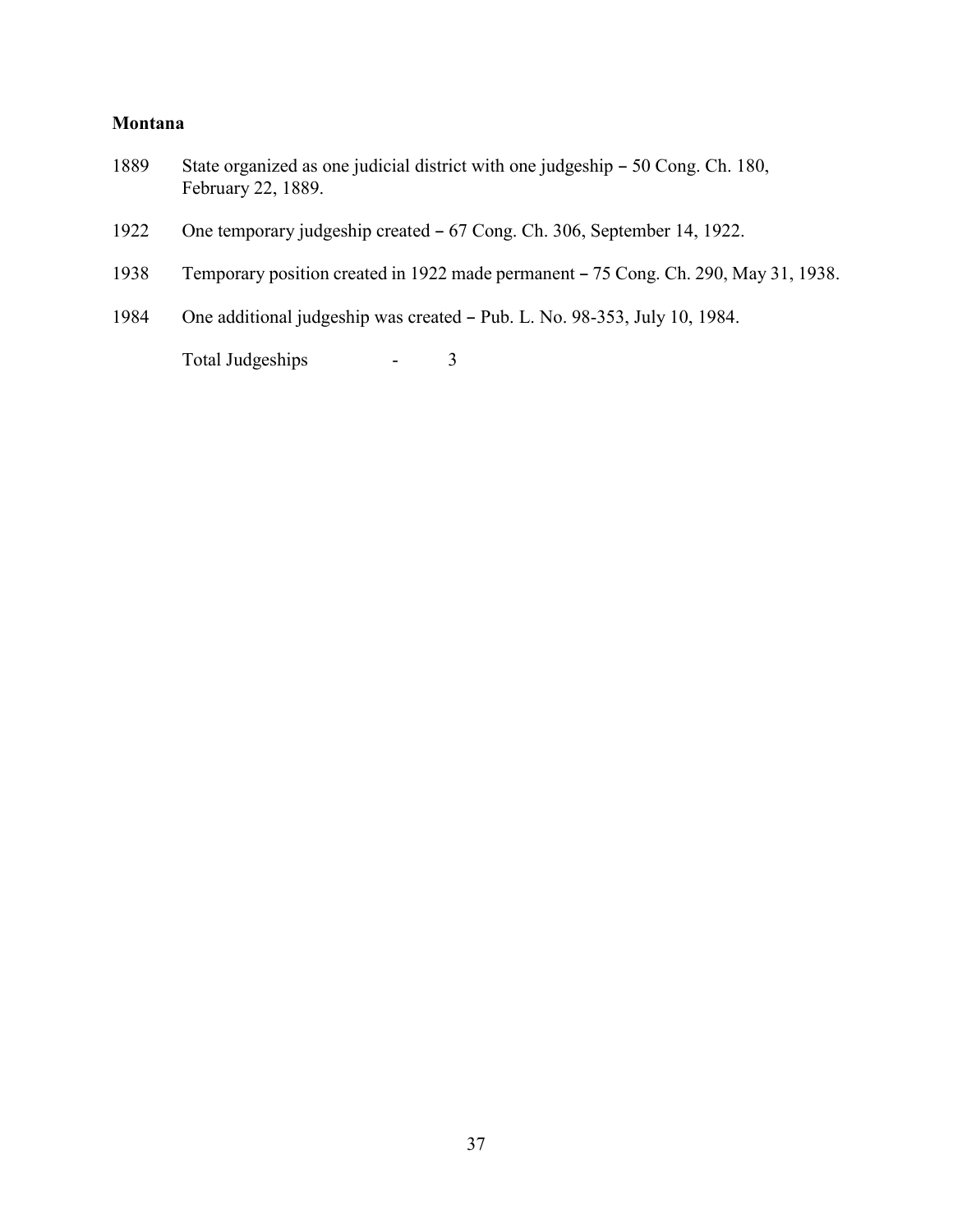### **Montana**

- 1889 State organized as one judicial district with one judgeship 50 Cong. Ch. 180, February 22, 1889.
- 1922 One temporary judgeship created 67 Cong. Ch. 306, September 14, 1922.
- 1938 Temporary position created in 1922 made permanent 75 Cong. Ch. 290, May 31, 1938.
- 1984 One additional judgeship was created Pub. L. No. 98-353, July 10, 1984.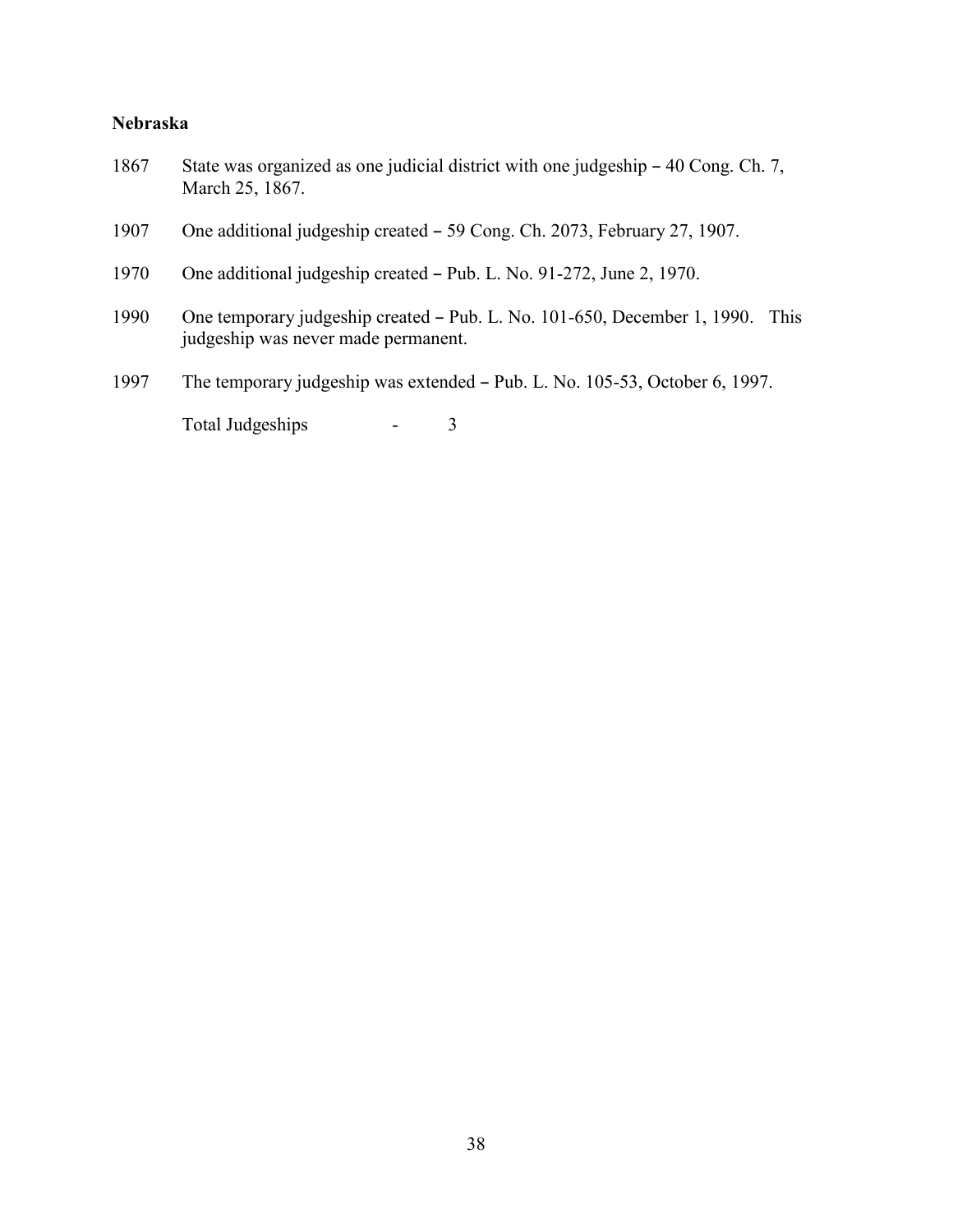#### **Nebraska**

- 1867 State was organized as one judicial district with one judgeship 40 Cong. Ch. 7, March 25, 1867.
- 1907 One additional judgeship created 59 Cong. Ch. 2073, February 27, 1907.
- 1970 One additional judgeship created Pub. L. No. 91-272, June 2, 1970.
- 1990 One temporary judgeship created Pub. L. No. 101-650, December 1, 1990. This judgeship was never made permanent.
- 1997 The temporary judgeship was extended Pub. L. No. 105-53, October 6, 1997.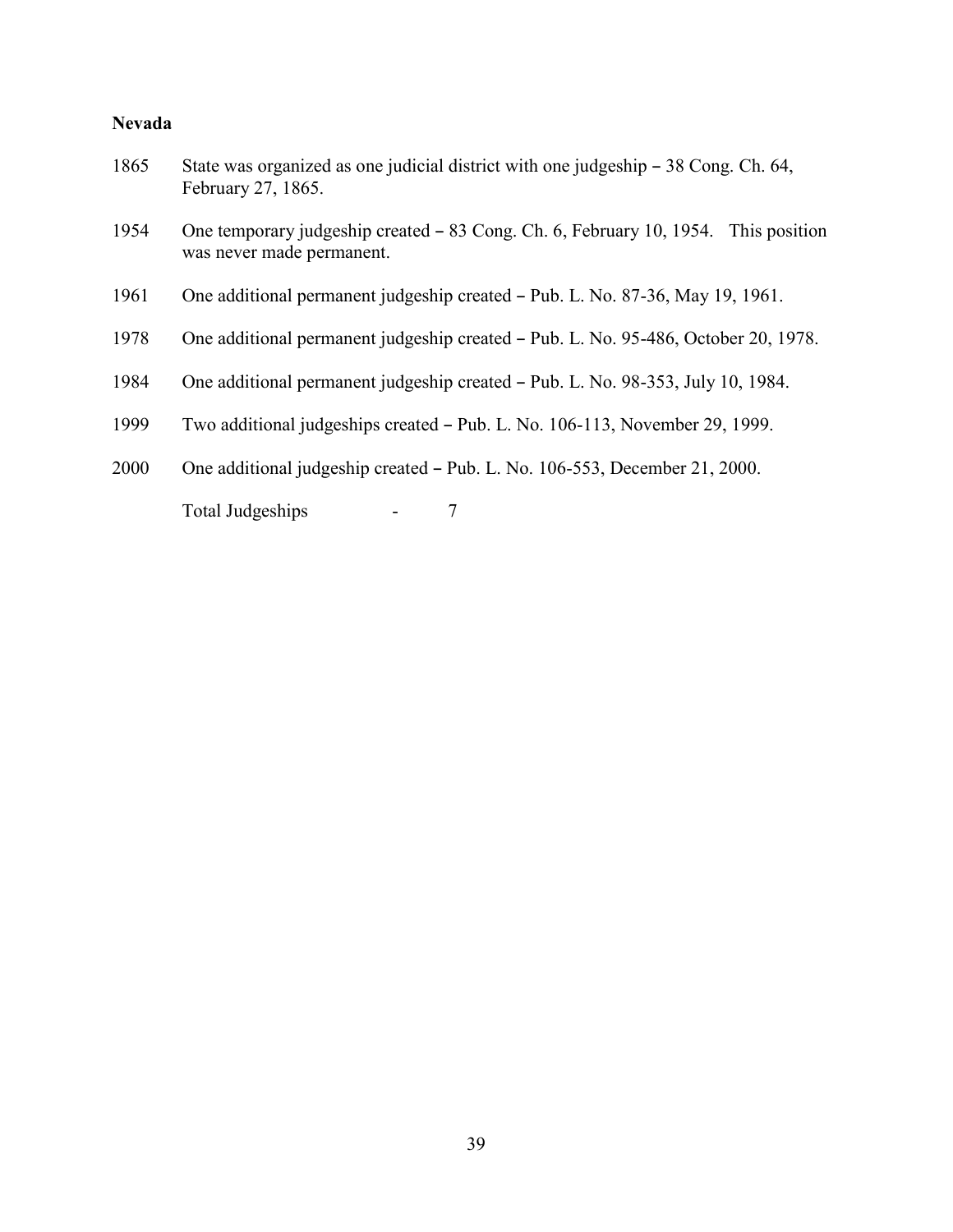### **Nevada**

| 1865 | State was organized as one judicial district with one judgeship $-38$ Cong. Ch. 64,<br>February 27, 1865.       |
|------|-----------------------------------------------------------------------------------------------------------------|
| 1954 | One temporary judgeship created – 83 Cong. Ch. 6, February 10, 1954. This position<br>was never made permanent. |
| 1961 | One additional permanent judgeship created - Pub. L. No. 87-36, May 19, 1961.                                   |
| 1978 | One additional permanent judgeship created – Pub. L. No. 95-486, October 20, 1978.                              |
| 1984 | One additional permanent judgeship created – Pub. L. No. 98-353, July 10, 1984.                                 |
| 1999 | Two additional judgeships created – Pub. L. No. 106-113, November 29, 1999.                                     |
| 2000 | One additional judgeship created – Pub. L. No. 106-553, December 21, 2000.                                      |
|      | Total Judgeships<br>7                                                                                           |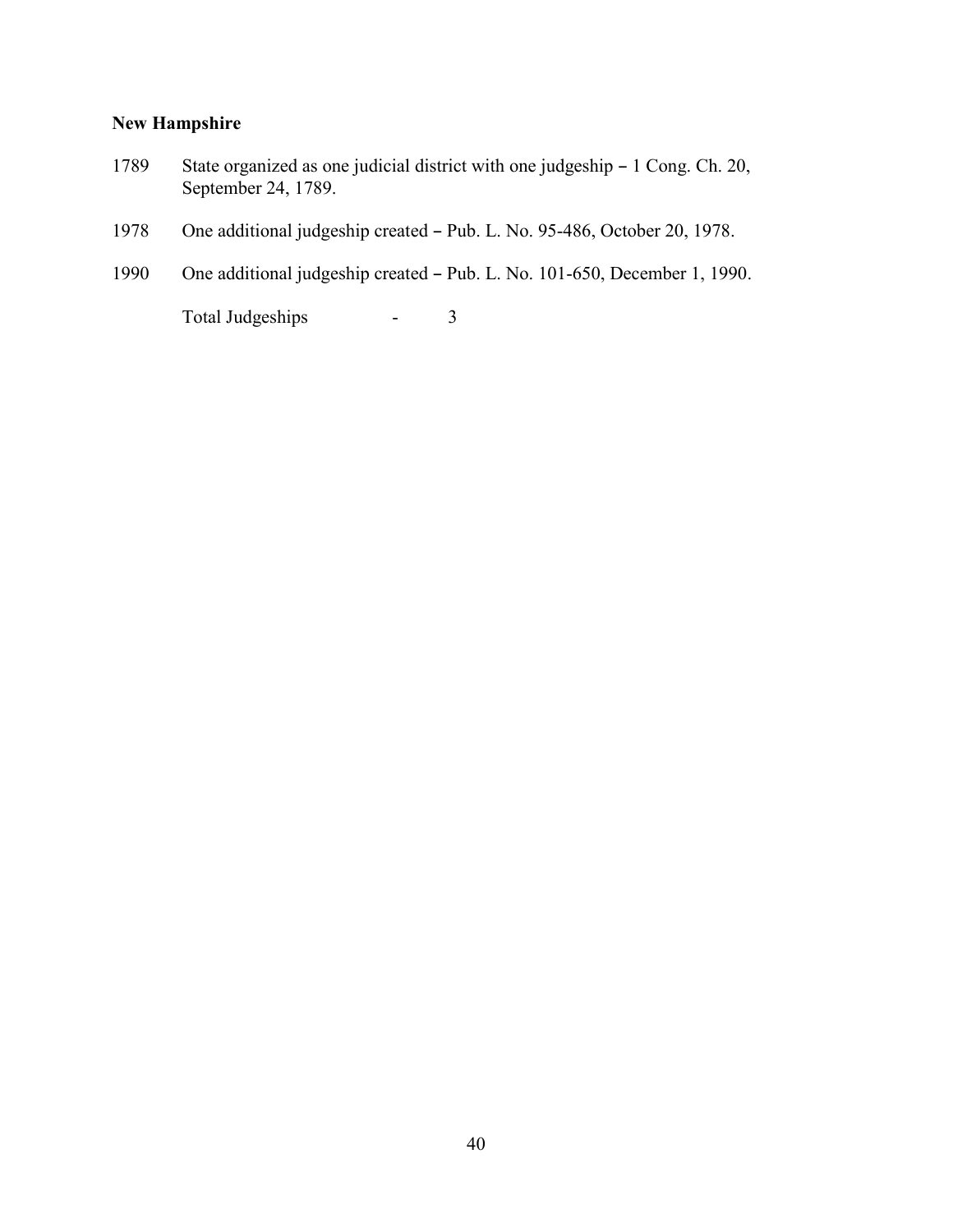### **New Hampshire**

- 1789 State organized as one judicial district with one judgeship 1 Cong. Ch. 20, September 24, 1789.
- 1978 One additional judgeship created Pub. L. No. 95-486, October 20, 1978.
- 1990 One additional judgeship created Pub. L. No. 101-650, December 1, 1990.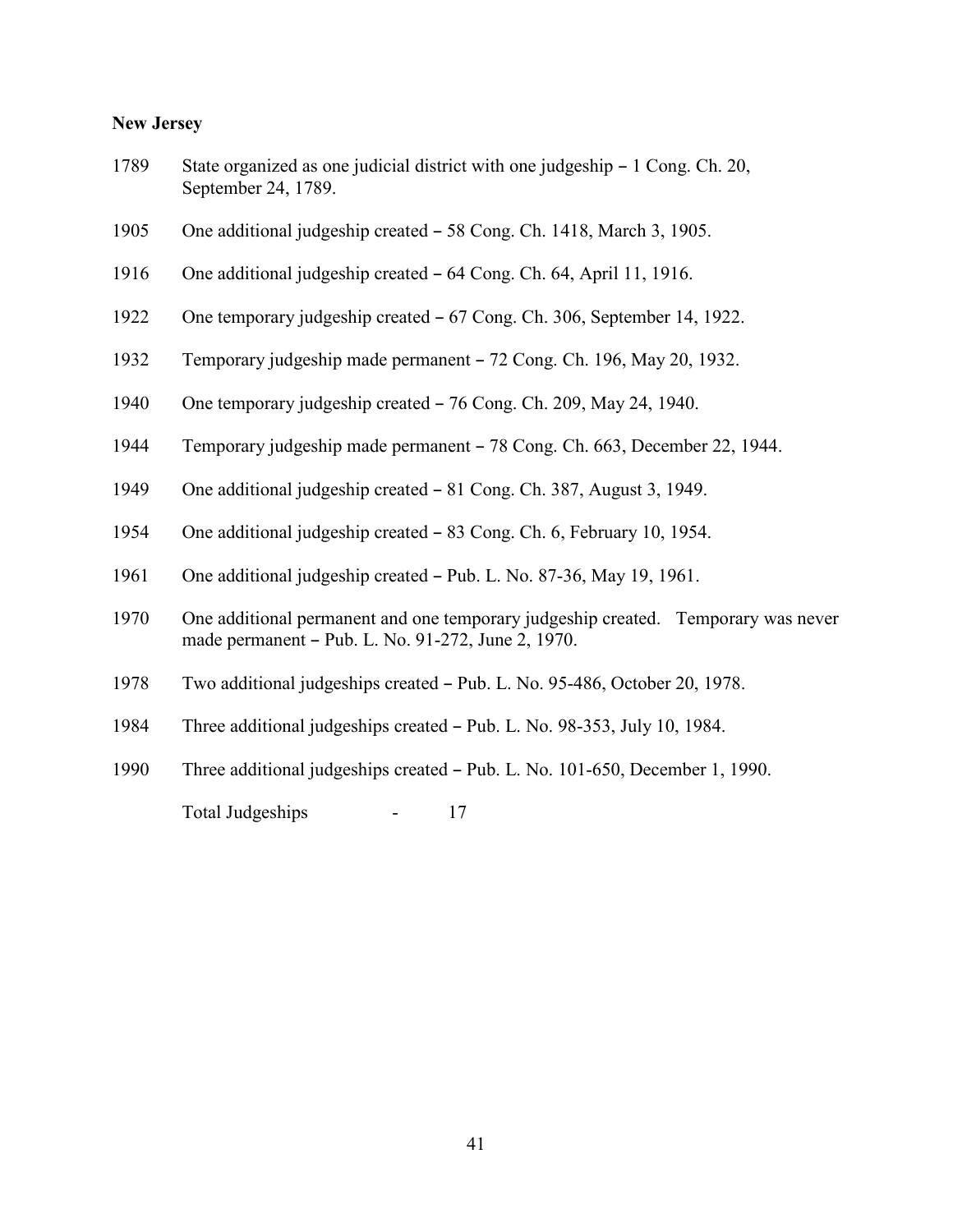#### **New Jersey**

| 1789 | State organized as one judicial district with one judgeship – 1 Cong. Ch. 20, |
|------|-------------------------------------------------------------------------------|
|      | September 24, 1789.                                                           |

- 1905 One additional judgeship created 58 Cong. Ch. 1418, March 3, 1905.
- 1916 One additional judgeship created 64 Cong. Ch. 64, April 11, 1916.
- 1922 One temporary judgeship created 67 Cong. Ch. 306, September 14, 1922.
- 1932 Temporary judgeship made permanent 72 Cong. Ch. 196, May 20, 1932.
- 1940 One temporary judgeship created 76 Cong. Ch. 209, May 24, 1940.
- 1944 Temporary judgeship made permanent 78 Cong. Ch. 663, December 22, 1944.
- 1949 One additional judgeship created 81 Cong. Ch. 387, August 3, 1949.
- 1954 One additional judgeship created 83 Cong. Ch. 6, February 10, 1954.
- 1961 One additional judgeship created Pub. L. No. 87-36, May 19, 1961.
- 1970 One additional permanent and one temporary judgeship created. Temporary was never made permanent - Pub. L. No. 91-272, June 2, 1970.
- 1978 Two additional judgeships created Pub. L. No. 95-486, October 20, 1978.
- 1984 Three additional judgeships created Pub. L. No. 98-353, July 10, 1984.
- 1990 Three additional judgeships created Pub. L. No. 101-650, December 1, 1990.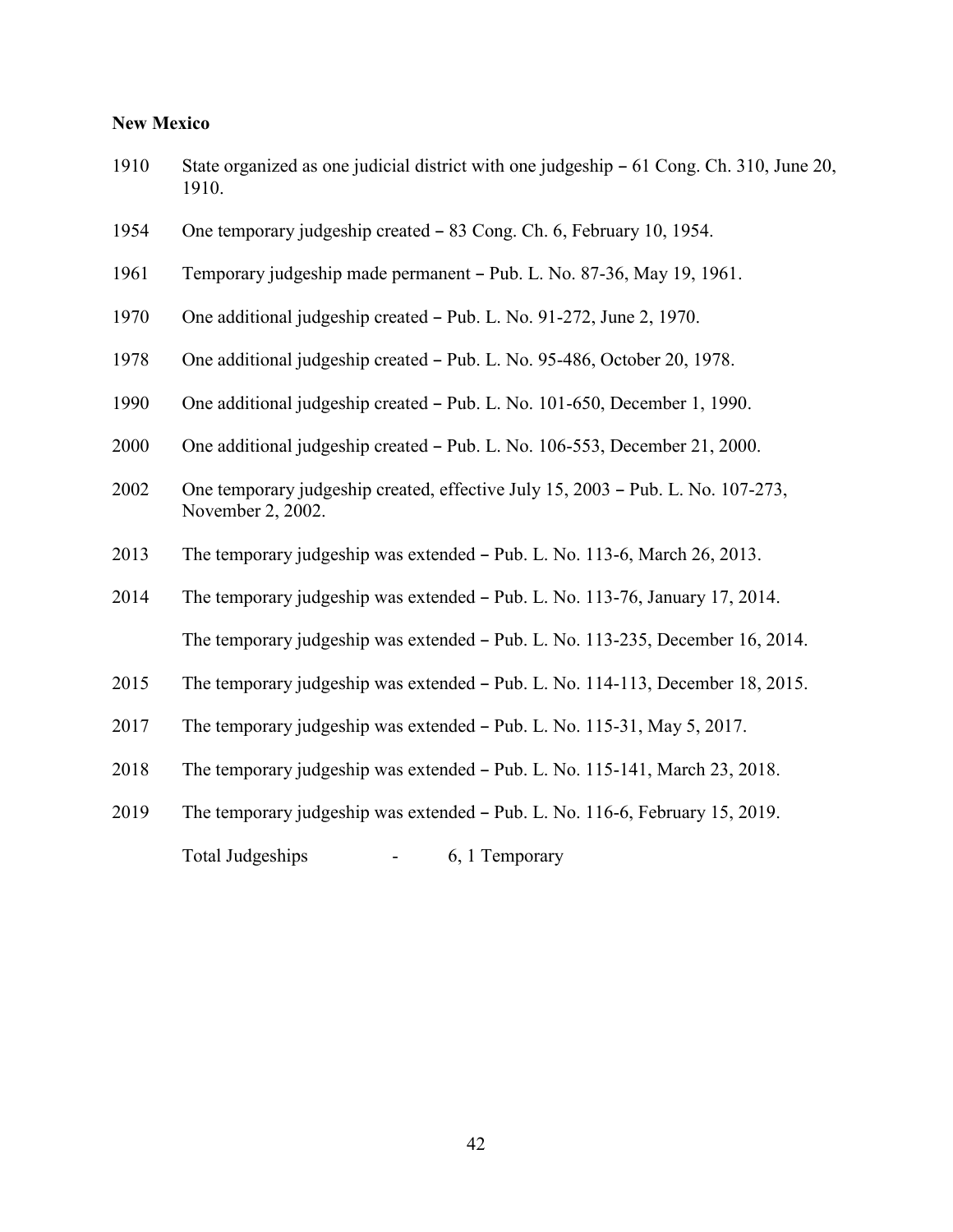### **New Mexico**

| 1910 | State organized as one judicial district with one judgeship – 61 Cong. Ch. 310, June 20,<br>1910.    |
|------|------------------------------------------------------------------------------------------------------|
| 1954 | One temporary judgeship created – 83 Cong. Ch. 6, February 10, 1954.                                 |
| 1961 | Temporary judgeship made permanent - Pub. L. No. 87-36, May 19, 1961.                                |
| 1970 | One additional judgeship created - Pub. L. No. 91-272, June 2, 1970.                                 |
| 1978 | One additional judgeship created – Pub. L. No. 95-486, October 20, 1978.                             |
| 1990 | One additional judgeship created - Pub. L. No. 101-650, December 1, 1990.                            |
| 2000 | One additional judgeship created – Pub. L. No. 106-553, December 21, 2000.                           |
| 2002 | One temporary judgeship created, effective July 15, 2003 - Pub. L. No. 107-273,<br>November 2, 2002. |
| 2013 | The temporary judgeship was extended - Pub. L. No. 113-6, March 26, 2013.                            |
| 2014 | The temporary judgeship was extended - Pub. L. No. 113-76, January 17, 2014.                         |
|      | The temporary judgeship was extended – Pub. L. No. 113-235, December 16, 2014.                       |
| 2015 | The temporary judgeship was extended - Pub. L. No. 114-113, December 18, 2015.                       |
| 2017 | The temporary judgeship was extended – Pub. L. No. 115-31, May 5, 2017.                              |
| 2018 | The temporary judgeship was extended - Pub. L. No. 115-141, March 23, 2018.                          |
| 2019 | The temporary judgeship was extended – Pub. L. No. 116-6, February 15, 2019.                         |
|      | <b>Total Judgeships</b><br>6, 1 Temporary                                                            |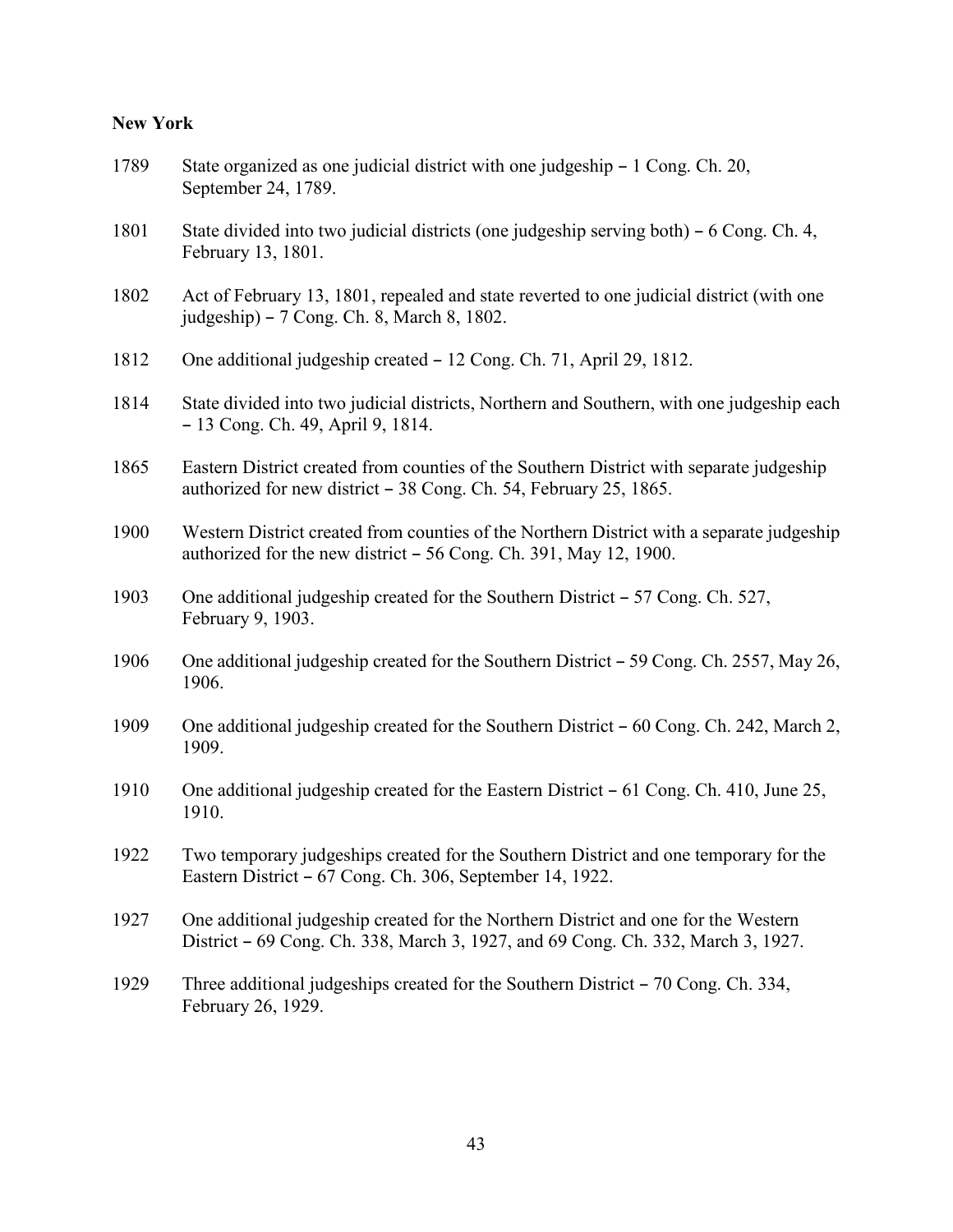### **New York**

| 1789 | State organized as one judicial district with one judgeship – 1 Cong. Ch. 20,<br>September 24, 1789.                                                                   |
|------|------------------------------------------------------------------------------------------------------------------------------------------------------------------------|
| 1801 | State divided into two judicial districts (one judgeship serving both) – 6 Cong. Ch. 4,<br>February 13, 1801.                                                          |
| 1802 | Act of February 13, 1801, repealed and state reverted to one judicial district (with one<br>judgeship) – 7 Cong. Ch. 8, March 8, 1802.                                 |
| 1812 | One additional judgeship created – 12 Cong. Ch. 71, April 29, 1812.                                                                                                    |
| 1814 | State divided into two judicial districts, Northern and Southern, with one judgeship each<br>- 13 Cong. Ch. 49, April 9, 1814.                                         |
| 1865 | Eastern District created from counties of the Southern District with separate judgeship<br>authorized for new district – 38 Cong. Ch. 54, February 25, 1865.           |
| 1900 | Western District created from counties of the Northern District with a separate judgeship<br>authorized for the new district $-56$ Cong. Ch. 391, May 12, 1900.        |
| 1903 | One additional judgeship created for the Southern District – 57 Cong. Ch. 527,<br>February 9, 1903.                                                                    |
| 1906 | One additional judgeship created for the Southern District – 59 Cong. Ch. 2557, May 26,<br>1906.                                                                       |
| 1909 | One additional judgeship created for the Southern District – 60 Cong. Ch. 242, March 2,<br>1909.                                                                       |
| 1910 | One additional judgeship created for the Eastern District – 61 Cong. Ch. 410, June 25,<br>1910.                                                                        |
| 1922 | Two temporary judgeships created for the Southern District and one temporary for the<br>Eastern District – 67 Cong. Ch. 306, September 14, 1922.                       |
| 1927 | One additional judgeship created for the Northern District and one for the Western<br>District – 69 Cong. Ch. 338, March 3, 1927, and 69 Cong. Ch. 332, March 3, 1927. |
| 1929 | Three additional judgeships created for the Southern District – 70 Cong. Ch. 334,<br>February 26, 1929.                                                                |
|      |                                                                                                                                                                        |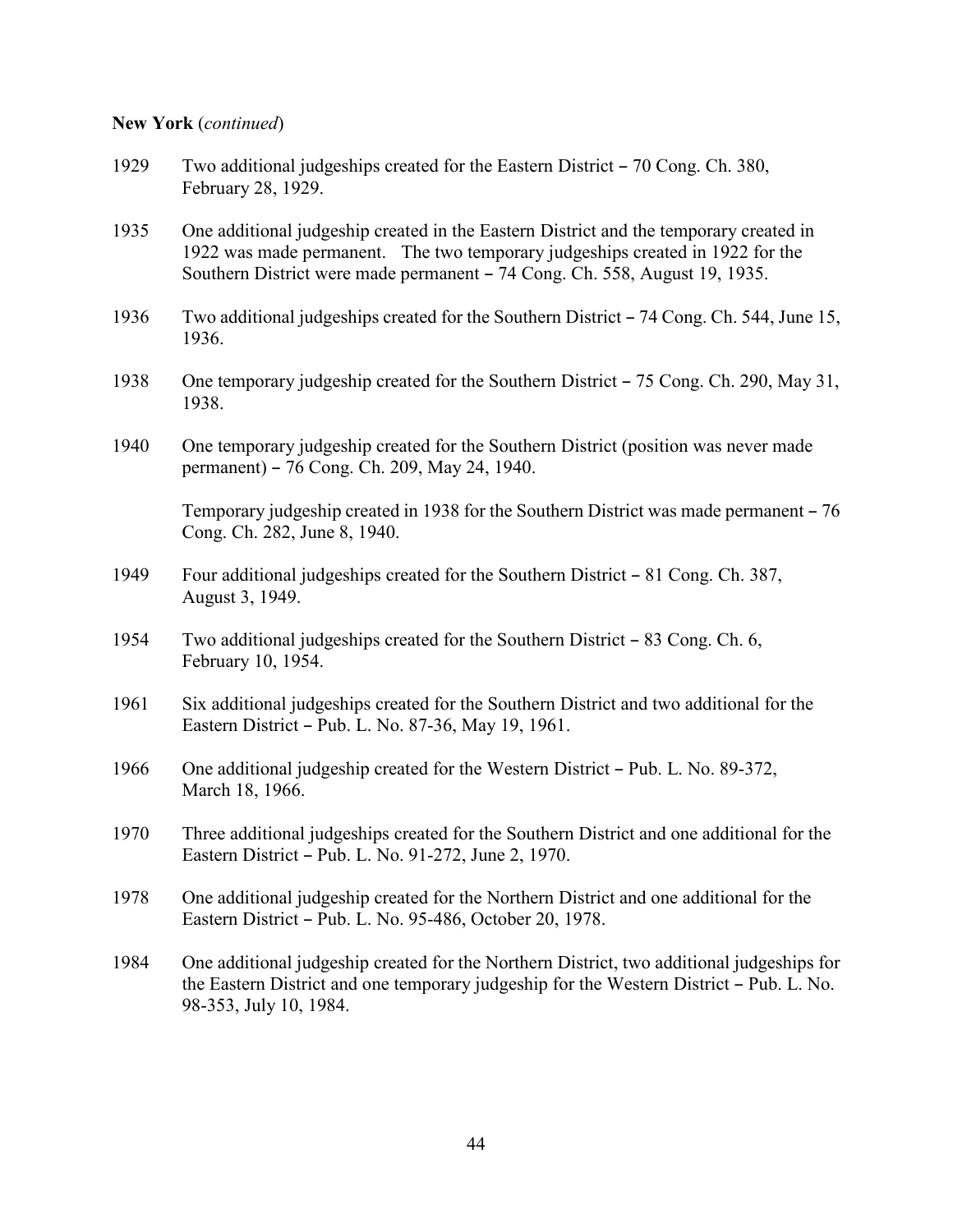#### **New York** (*continued*)

- 1929 Two additional judgeships created for the Eastern District 70 Cong. Ch. 380, February 28, 1929.
- 1935 One additional judgeship created in the Eastern District and the temporary created in 1922 was made permanent. The two temporary judgeships created in 1922 for the Southern District were made permanent – 74 Cong. Ch. 558, August 19, 1935.
- 1936 Two additional judgeships created for the Southern District 74 Cong. Ch. 544, June 15, 1936.
- 1938 One temporary judgeship created for the Southern District  $-75$  Cong. Ch. 290, May 31, 1938.
- 1940 One temporary judgeship created for the Southern District (position was never made permanent) – 76 Cong. Ch. 209, May 24, 1940.

Temporary judgeship created in 1938 for the Southern District was made permanent  $-76$ Cong. Ch. 282, June 8, 1940.

- 1949 Four additional judgeships created for the Southern District 81 Cong. Ch. 387, August 3, 1949.
- 1954 Two additional judgeships created for the Southern District 83 Cong. Ch. 6, February 10, 1954.
- 1961 Six additional judgeships created for the Southern District and two additional for the Eastern District – Pub. L. No. 87-36, May 19, 1961.
- 1966 One additional judgeship created for the Western District Pub. L. No. 89-372, March 18, 1966.
- 1970 Three additional judgeships created for the Southern District and one additional for the Eastern District – Pub. L. No. 91-272, June 2, 1970.
- 1978 One additional judgeship created for the Northern District and one additional for the Eastern District - Pub. L. No. 95-486, October 20, 1978.
- 1984 One additional judgeship created for the Northern District, two additional judgeships for the Eastern District and one temporary judgeship for the Western District – Pub. L. No. 98-353, July 10, 1984.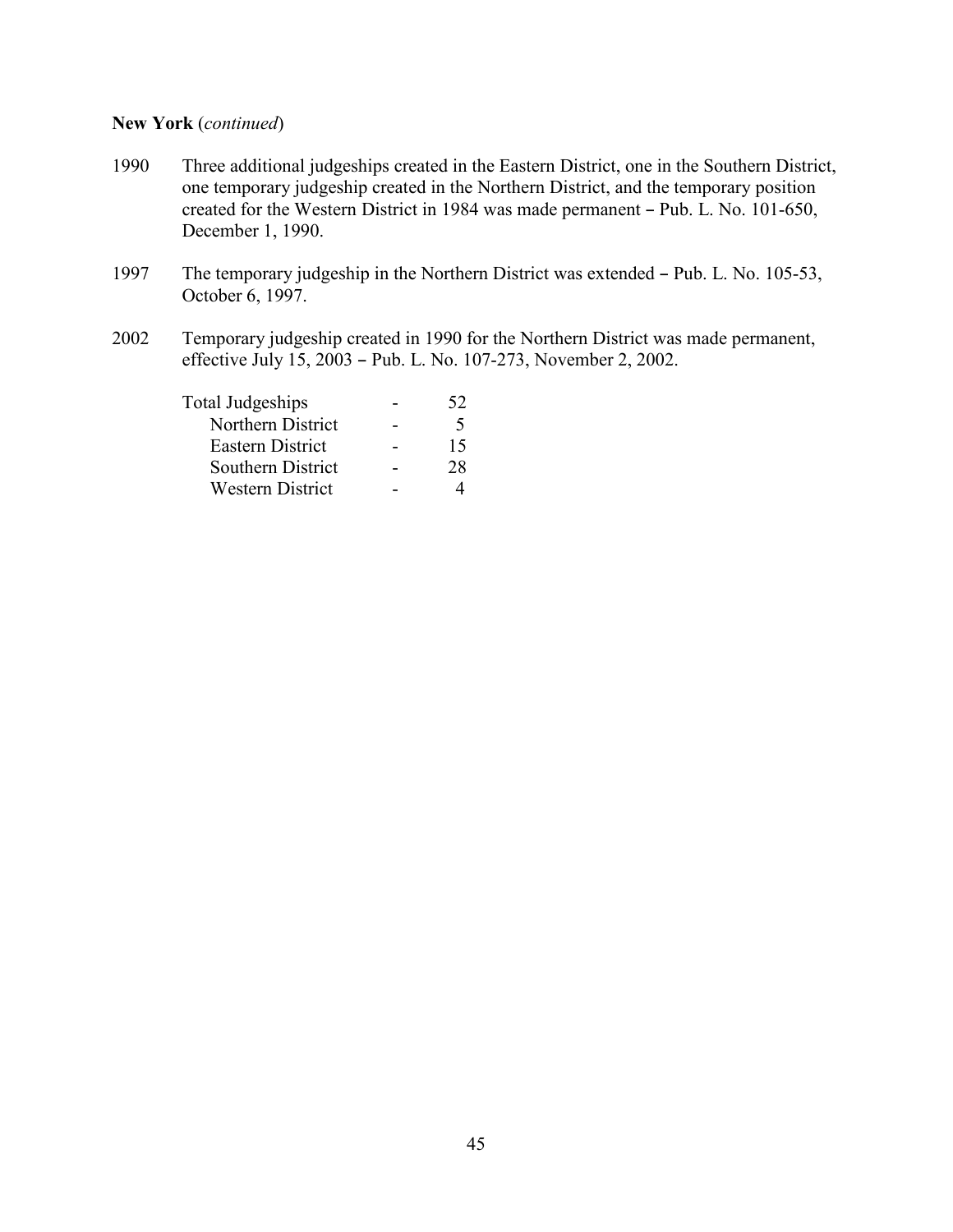#### **New York** (*continued*)

- 1990 Three additional judgeships created in the Eastern District, one in the Southern District, one temporary judgeship created in the Northern District, and the temporary position created for the Western District in 1984 was made permanent  $-$  Pub. L. No. 101-650, December 1, 1990.
- 1997 The temporary judgeship in the Northern District was extended Pub. L. No. 105-53, October 6, 1997.
- 2002 Temporary judgeship created in 1990 for the Northern District was made permanent, effective July 15, 2003 - Pub. L. No. 107-273, November 2, 2002.

| Total Judgeships        | 52          |
|-------------------------|-------------|
| Northern District       | $\varsigma$ |
| <b>Eastern District</b> | 15          |
| Southern District       | 28          |
| <b>Western District</b> |             |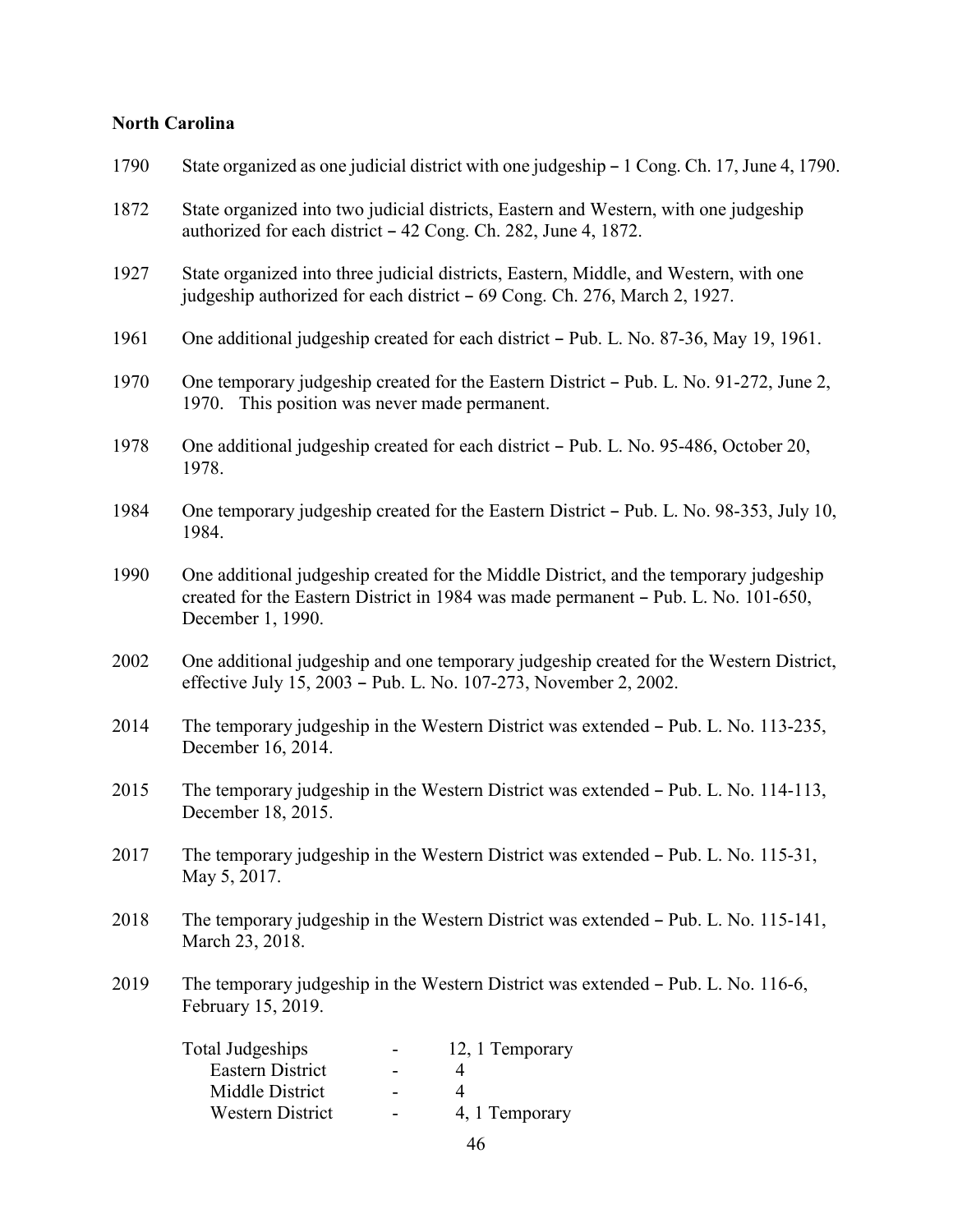### **North Carolina**

| 1790 | State organized as one judicial district with one judgeship – 1 Cong. Ch. 17, June 4, 1790.                                                                                                      |
|------|--------------------------------------------------------------------------------------------------------------------------------------------------------------------------------------------------|
| 1872 | State organized into two judicial districts, Eastern and Western, with one judgeship<br>authorized for each district – 42 Cong. Ch. 282, June 4, 1872.                                           |
| 1927 | State organized into three judicial districts, Eastern, Middle, and Western, with one<br>judgeship authorized for each district – 69 Cong. Ch. 276, March 2, 1927.                               |
| 1961 | One additional judgeship created for each district – Pub. L. No. 87-36, May 19, 1961.                                                                                                            |
| 1970 | One temporary judgeship created for the Eastern District - Pub. L. No. 91-272, June 2,<br>1970. This position was never made permanent.                                                          |
| 1978 | One additional judgeship created for each district – Pub. L. No. 95-486, October 20,<br>1978.                                                                                                    |
| 1984 | One temporary judgeship created for the Eastern District – Pub. L. No. 98-353, July 10,<br>1984.                                                                                                 |
| 1990 | One additional judgeship created for the Middle District, and the temporary judgeship<br>created for the Eastern District in 1984 was made permanent - Pub. L. No. 101-650,<br>December 1, 1990. |
| 2002 | One additional judgeship and one temporary judgeship created for the Western District,<br>effective July 15, 2003 - Pub. L. No. 107-273, November 2, 2002.                                       |
| 2014 | The temporary judgeship in the Western District was extended – Pub. L. No. 113-235,<br>December 16, 2014.                                                                                        |
| 2015 | The temporary judgeship in the Western District was extended – Pub. L. No. 114-113,<br>December 18, 2015.                                                                                        |
| 2017 | The temporary judgeship in the Western District was extended - Pub. L. No. 115-31,<br>May 5, 2017.                                                                                               |
| 2018 | The temporary judgeship in the Western District was extended - Pub. L. No. 115-141,<br>March 23, 2018.                                                                                           |
| 2019 | The temporary judgeship in the Western District was extended - Pub. L. No. 116-6,<br>February 15, 2019.                                                                                          |
|      | <b>Total Judgeships</b><br>12, 1 Temporary<br>$\sim 1000$<br>Eastern District<br>$\overline{4}$<br>Middle District<br>$\overline{4}$<br>$\sim$<br>Western District<br>4, 1 Temporary             |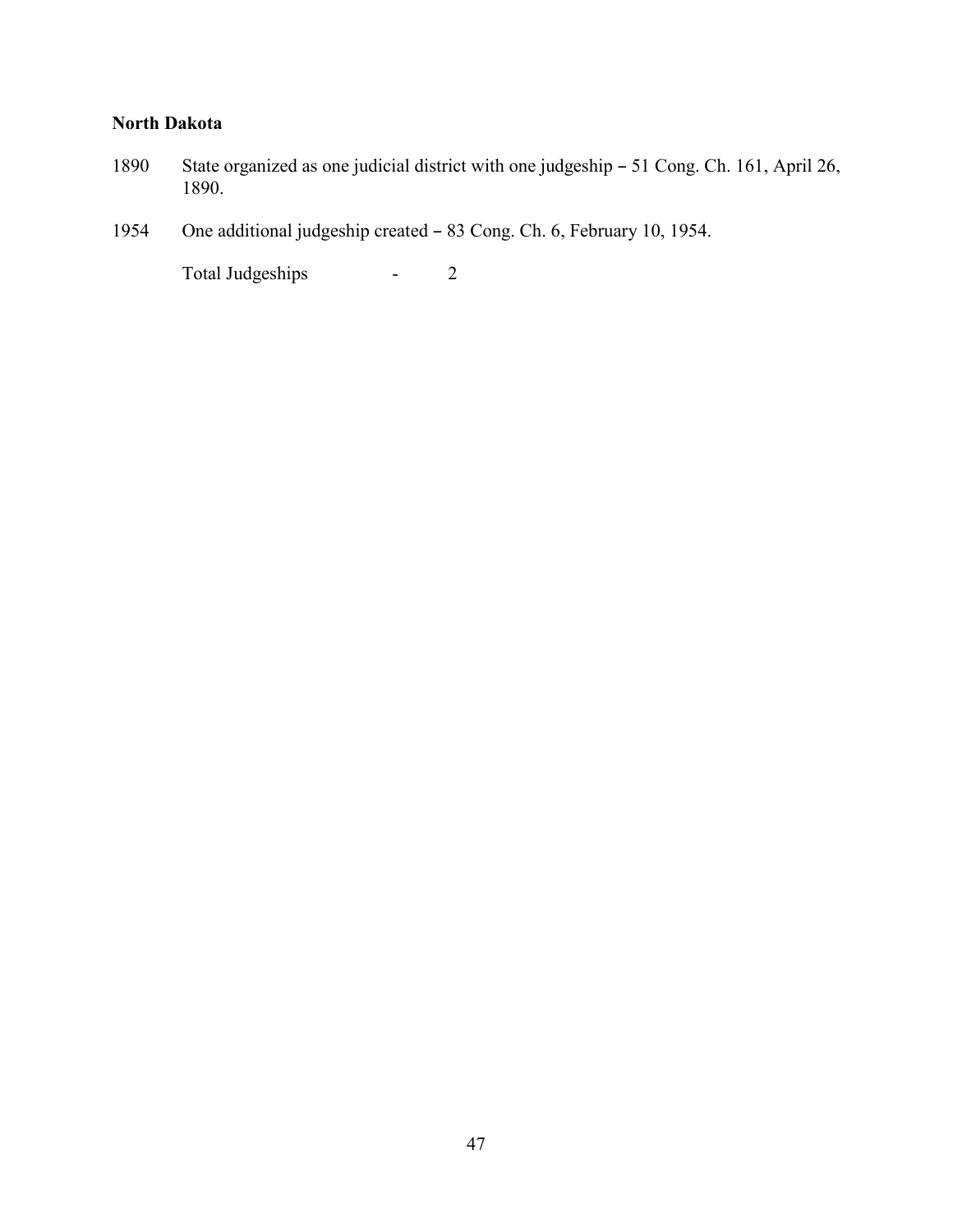### **North Dakota**

- 1890 State organized as one judicial district with one judgeship 51 Cong. Ch. 161, April 26, 1890.
- 1954 One additional judgeship created 83 Cong. Ch. 6, February 10, 1954.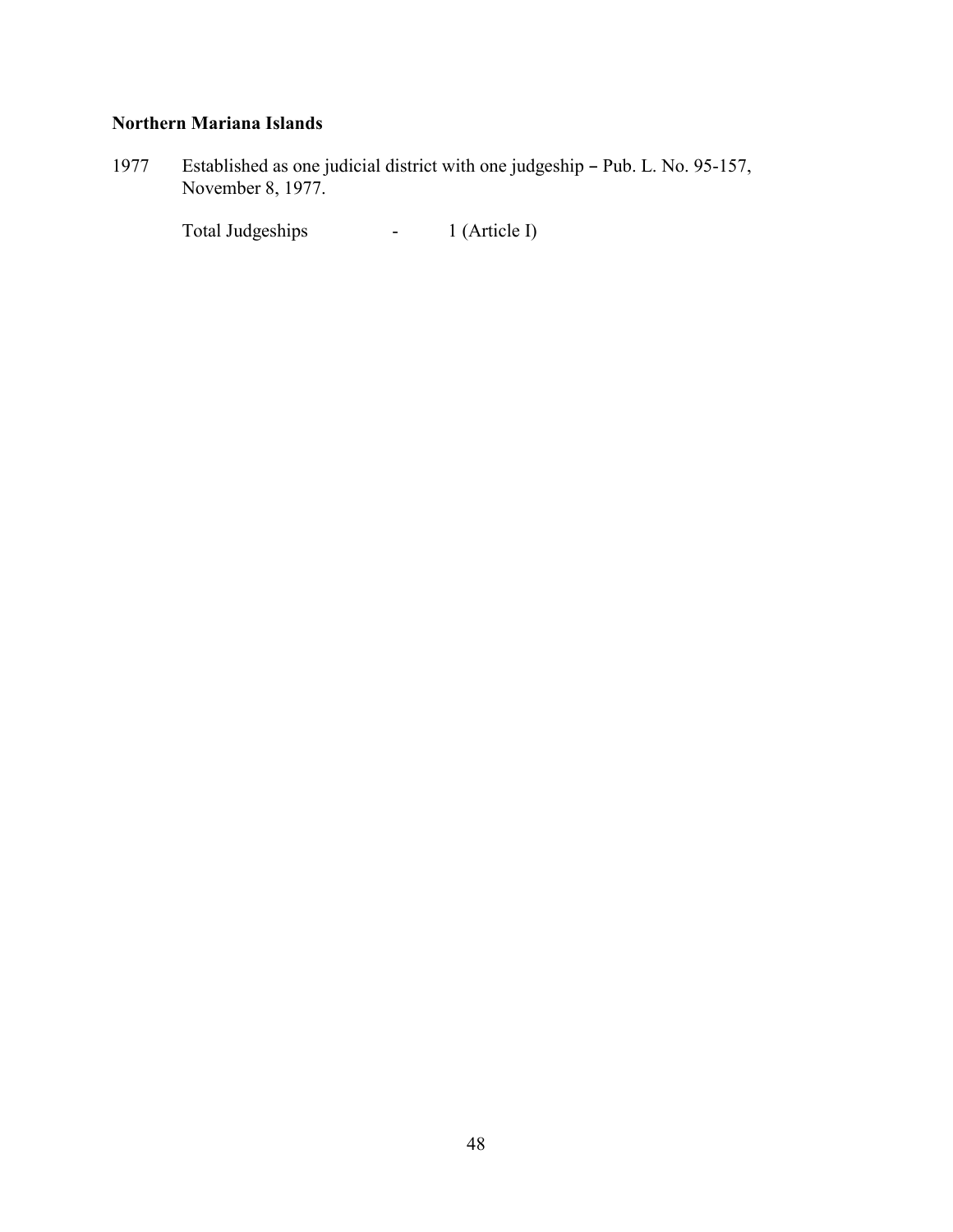### **Northern Mariana Islands**

1977 Established as one judicial district with one judgeship - Pub. L. No. 95-157, November 8, 1977.

Total Judgeships - 1 (Article I)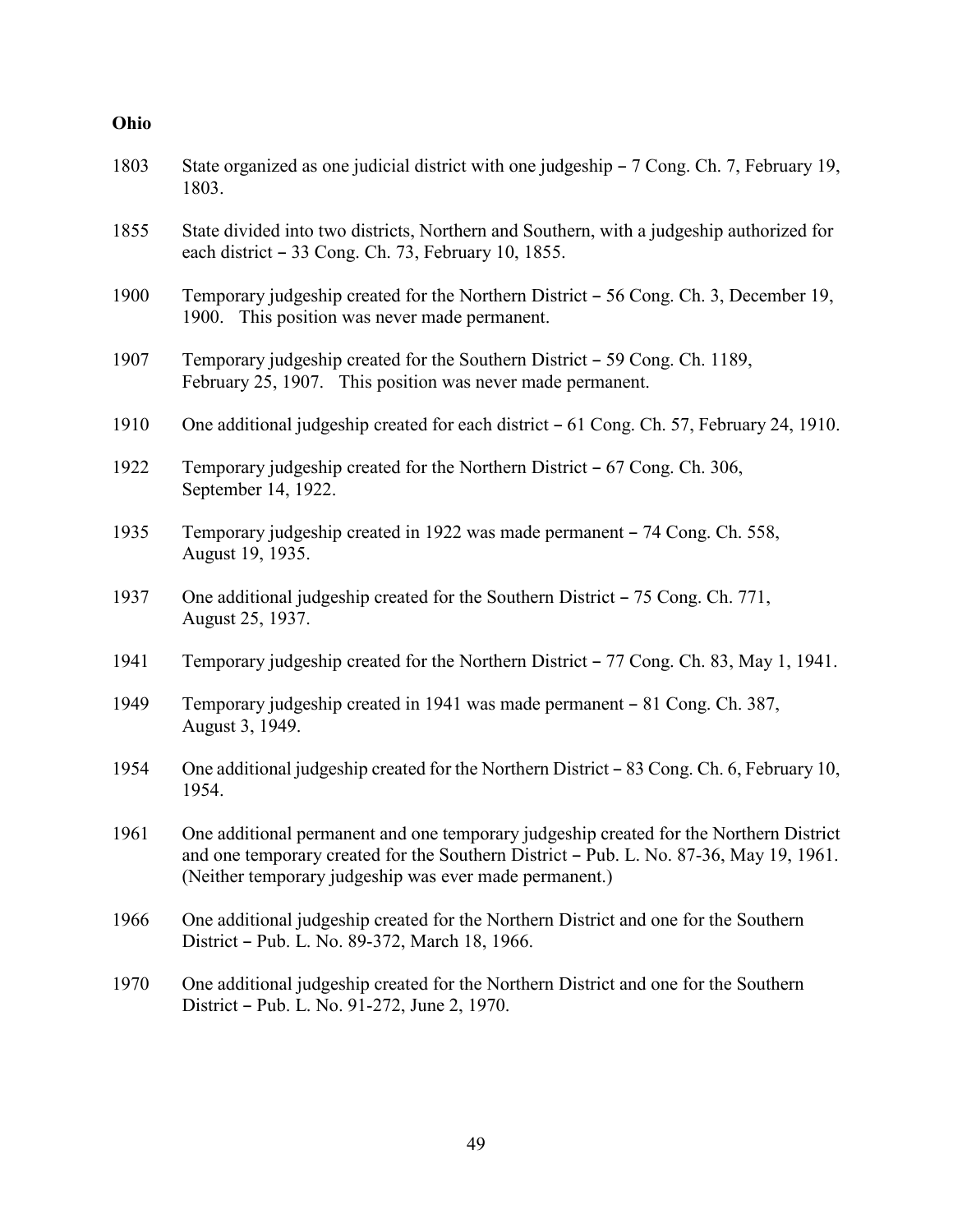| Ohio |                                                                                                                                                                                                                                            |
|------|--------------------------------------------------------------------------------------------------------------------------------------------------------------------------------------------------------------------------------------------|
| 1803 | State organized as one judicial district with one judgeship – 7 Cong. Ch. 7, February 19,<br>1803.                                                                                                                                         |
| 1855 | State divided into two districts, Northern and Southern, with a judgeship authorized for<br>each district - 33 Cong. Ch. 73, February 10, 1855.                                                                                            |
| 1900 | Temporary judgeship created for the Northern District – 56 Cong. Ch. 3, December 19,<br>1900. This position was never made permanent.                                                                                                      |
| 1907 | Temporary judgeship created for the Southern District – 59 Cong. Ch. 1189,<br>February 25, 1907. This position was never made permanent.                                                                                                   |
| 1910 | One additional judgeship created for each district – 61 Cong. Ch. 57, February 24, 1910.                                                                                                                                                   |
| 1922 | Temporary judgeship created for the Northern District – 67 Cong. Ch. 306,<br>September 14, 1922.                                                                                                                                           |
| 1935 | Temporary judgeship created in 1922 was made permanent – 74 Cong. Ch. 558,<br>August 19, 1935.                                                                                                                                             |
| 1937 | One additional judgeship created for the Southern District - 75 Cong. Ch. 771,<br>August 25, 1937.                                                                                                                                         |
| 1941 | Temporary judgeship created for the Northern District – 77 Cong. Ch. 83, May 1, 1941.                                                                                                                                                      |
| 1949 | Temporary judgeship created in 1941 was made permanent - 81 Cong. Ch. 387,<br>August 3, 1949.                                                                                                                                              |
| 1954 | One additional judgeship created for the Northern District – 83 Cong. Ch. 6, February 10,<br>1954.                                                                                                                                         |
| 1961 | One additional permanent and one temporary judgeship created for the Northern District<br>and one temporary created for the Southern District - Pub. L. No. 87-36, May 19, 1961.<br>(Neither temporary judgeship was ever made permanent.) |
| 1966 | One additional judgeship created for the Northern District and one for the Southern<br>District - Pub. L. No. 89-372, March 18, 1966.                                                                                                      |
| 1970 | One additional judgeship created for the Northern District and one for the Southern<br>District - Pub. L. No. 91-272, June 2, 1970.                                                                                                        |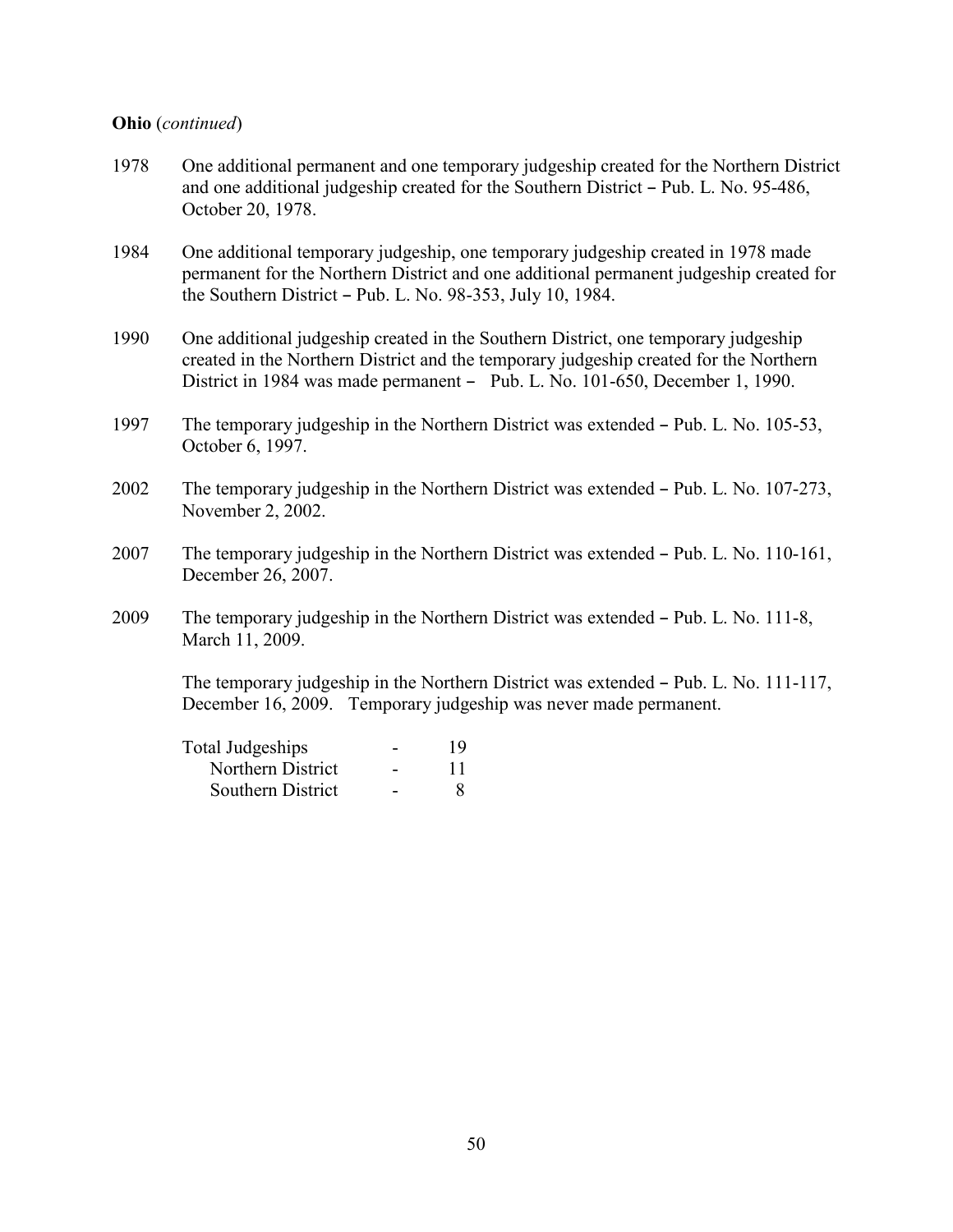#### **Ohio** (*continued*)

- 1978 One additional permanent and one temporary judgeship created for the Northern District and one additional judgeship created for the Southern District - Pub. L. No. 95-486, October 20, 1978.
- 1984 One additional temporary judgeship, one temporary judgeship created in 1978 made permanent for the Northern District and one additional permanent judgeship created for the Southern District  $-$  Pub. L. No. 98-353, July 10, 1984.
- 1990 One additional judgeship created in the Southern District, one temporary judgeship created in the Northern District and the temporary judgeship created for the Northern District in 1984 was made permanent - Pub. L. No. 101-650, December 1, 1990.
- 1997 The temporary judgeship in the Northern District was extended Pub. L. No. 105-53, October 6, 1997.
- $2002$  The temporary judgeship in the Northern District was extended  $-$  Pub. L. No. 107-273, November 2, 2002.
- 2007 The temporary judgeship in the Northern District was extended  $-$  Pub. L. No. 110-161, December 26, 2007.
- 2009 The temporary judgeship in the Northern District was extended Pub. L. No. 111-8, March 11, 2009.

The temporary judgeship in the Northern District was extended – Pub. L. No. 111-117, December 16, 2009. Temporary judgeship was never made permanent.

| Total Judgeships  | 19 |
|-------------------|----|
| Northern District | 11 |
| Southern District |    |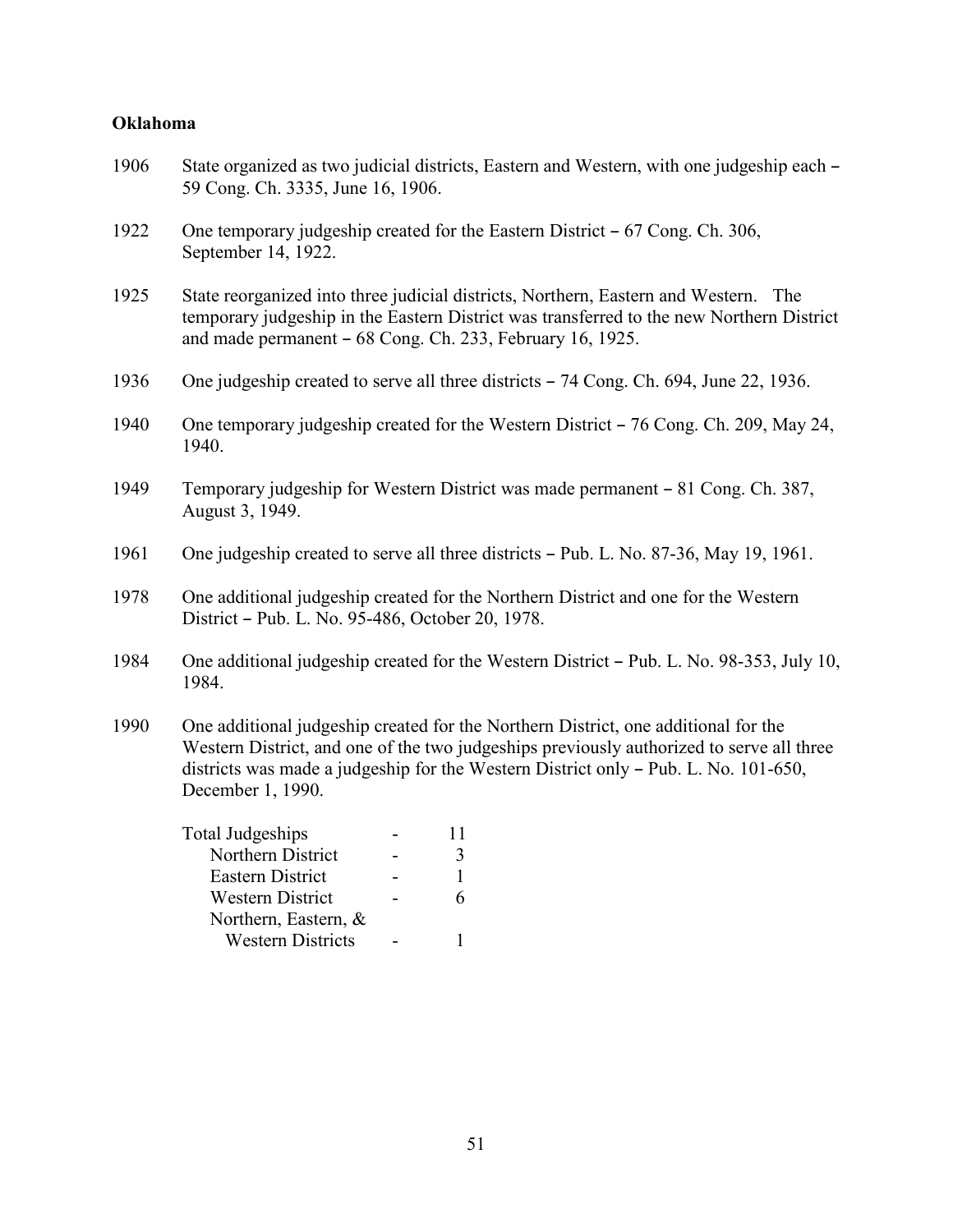### **Oklahoma**

| 1906 | State organized as two judicial districts, Eastern and Western, with one judgeship each -<br>59 Cong. Ch. 3335, June 16, 1906.                                                                                                                                                             |
|------|--------------------------------------------------------------------------------------------------------------------------------------------------------------------------------------------------------------------------------------------------------------------------------------------|
| 1922 | One temporary judgeship created for the Eastern District – 67 Cong. Ch. 306,<br>September 14, 1922.                                                                                                                                                                                        |
| 1925 | State reorganized into three judicial districts, Northern, Eastern and Western. The<br>temporary judgeship in the Eastern District was transferred to the new Northern District<br>and made permanent - 68 Cong. Ch. 233, February 16, 1925.                                               |
| 1936 | One judgeship created to serve all three districts - 74 Cong. Ch. 694, June 22, 1936.                                                                                                                                                                                                      |
| 1940 | One temporary judgeship created for the Western District – 76 Cong. Ch. 209, May 24,<br>1940.                                                                                                                                                                                              |
| 1949 | Temporary judgeship for Western District was made permanent – 81 Cong. Ch. 387,<br>August 3, 1949.                                                                                                                                                                                         |
| 1961 | One judgeship created to serve all three districts – Pub. L. No. 87-36, May 19, 1961.                                                                                                                                                                                                      |
| 1978 | One additional judgeship created for the Northern District and one for the Western<br>District - Pub. L. No. 95-486, October 20, 1978.                                                                                                                                                     |
| 1984 | One additional judgeship created for the Western District – Pub. L. No. 98-353, July 10,<br>1984.                                                                                                                                                                                          |
| 1990 | One additional judgeship created for the Northern District, one additional for the<br>Western District, and one of the two judgeships previously authorized to serve all three<br>districts was made a judgeship for the Western District only - Pub. L. No. 101-650,<br>December 1, 1990. |
|      | <b>Total Judgeships</b><br>11<br>Northern District<br>3<br>$\Delta \phi$<br><b>Eastern District</b><br>$\mathbf{1}$<br><b>Western District</b><br>6<br>Northern, Eastern, &                                                                                                                |

Western Districts - 1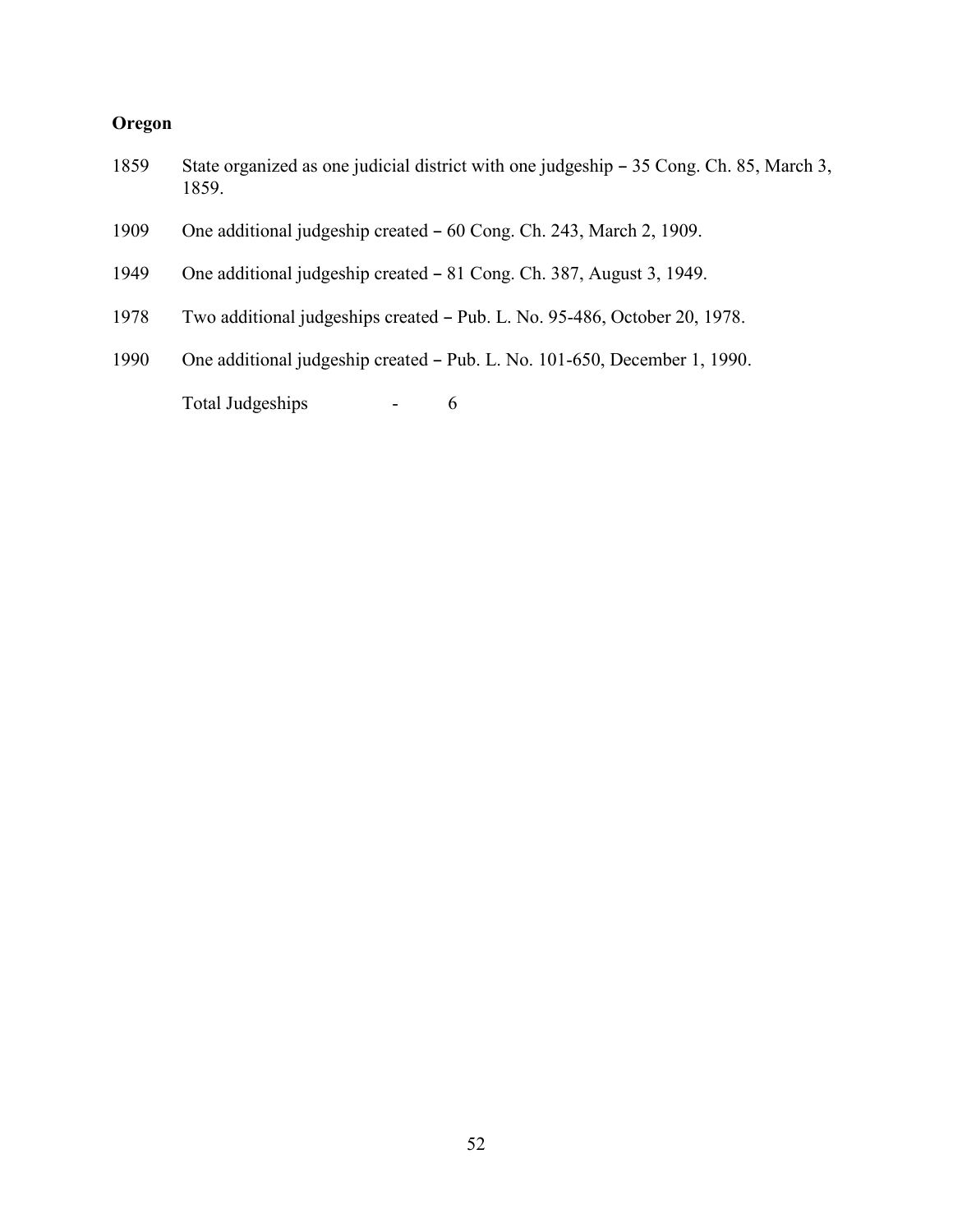### **Oregon**

- 1859 State organized as one judicial district with one judgeship 35 Cong. Ch. 85, March 3, 1859.
- 1909 One additional judgeship created 60 Cong. Ch. 243, March 2, 1909.
- 1949 One additional judgeship created 81 Cong. Ch. 387, August 3, 1949.
- 1978 Two additional judgeships created Pub. L. No. 95-486, October 20, 1978.
- 1990 One additional judgeship created Pub. L. No. 101-650, December 1, 1990.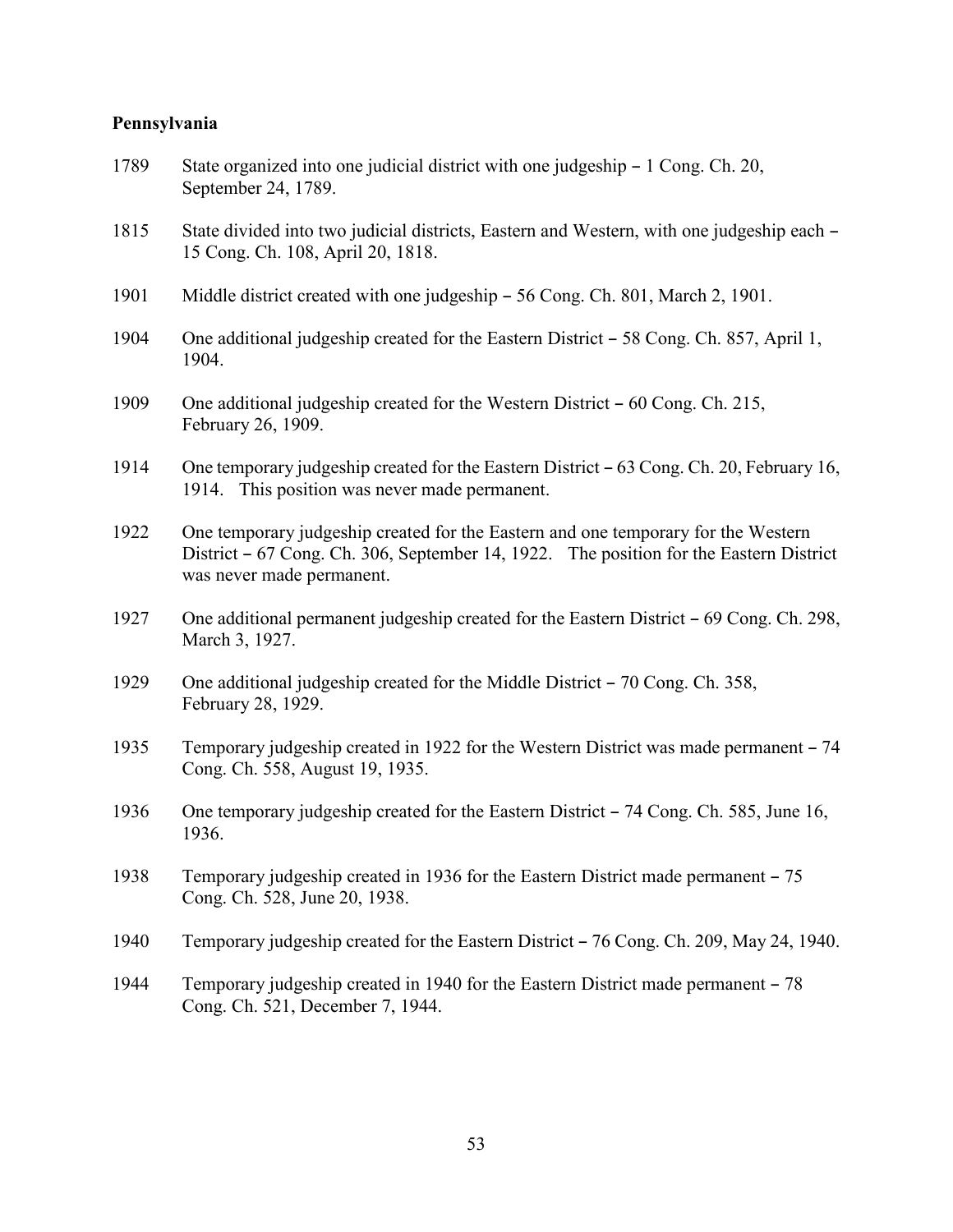#### **Pennsylvania**

- 1789 State organized into one judicial district with one judgeship 1 Cong. Ch. 20, September 24, 1789.
- 1815 State divided into two judicial districts, Eastern and Western, with one judgeship each -15 Cong. Ch. 108, April 20, 1818.
- 1901 Middle district created with one judgeship 56 Cong. Ch. 801, March 2, 1901.
- 1904 One additional judgeship created for the Eastern District  $-58$  Cong. Ch. 857, April 1, 1904.
- 1909 One additional judgeship created for the Western District  $-60$  Cong. Ch. 215, February 26, 1909.
- 1914 One temporary judgeship created for the Eastern District 63 Cong. Ch. 20, February 16, 1914. This position was never made permanent.
- 1922 One temporary judgeship created for the Eastern and one temporary for the Western District  $-67$  Cong. Ch. 306, September 14, 1922. The position for the Eastern District was never made permanent.
- 1927 One additional permanent judgeship created for the Eastern District  $-69$  Cong. Ch. 298, March 3, 1927.
- 1929 One additional judgeship created for the Middle District  $-70$  Cong. Ch. 358, February 28, 1929.
- 1935 Temporary judgeship created in 1922 for the Western District was made permanent 74 Cong. Ch. 558, August 19, 1935.
- 1936 One temporary judgeship created for the Eastern District 74 Cong. Ch. 585, June 16, 1936.
- 1938 Temporary judgeship created in 1936 for the Eastern District made permanent 75 Cong. Ch. 528, June 20, 1938.
- 1940 Temporary judgeship created for the Eastern District 76 Cong. Ch. 209, May 24, 1940.
- 1944 Temporary judgeship created in 1940 for the Eastern District made permanent 78 Cong. Ch. 521, December 7, 1944.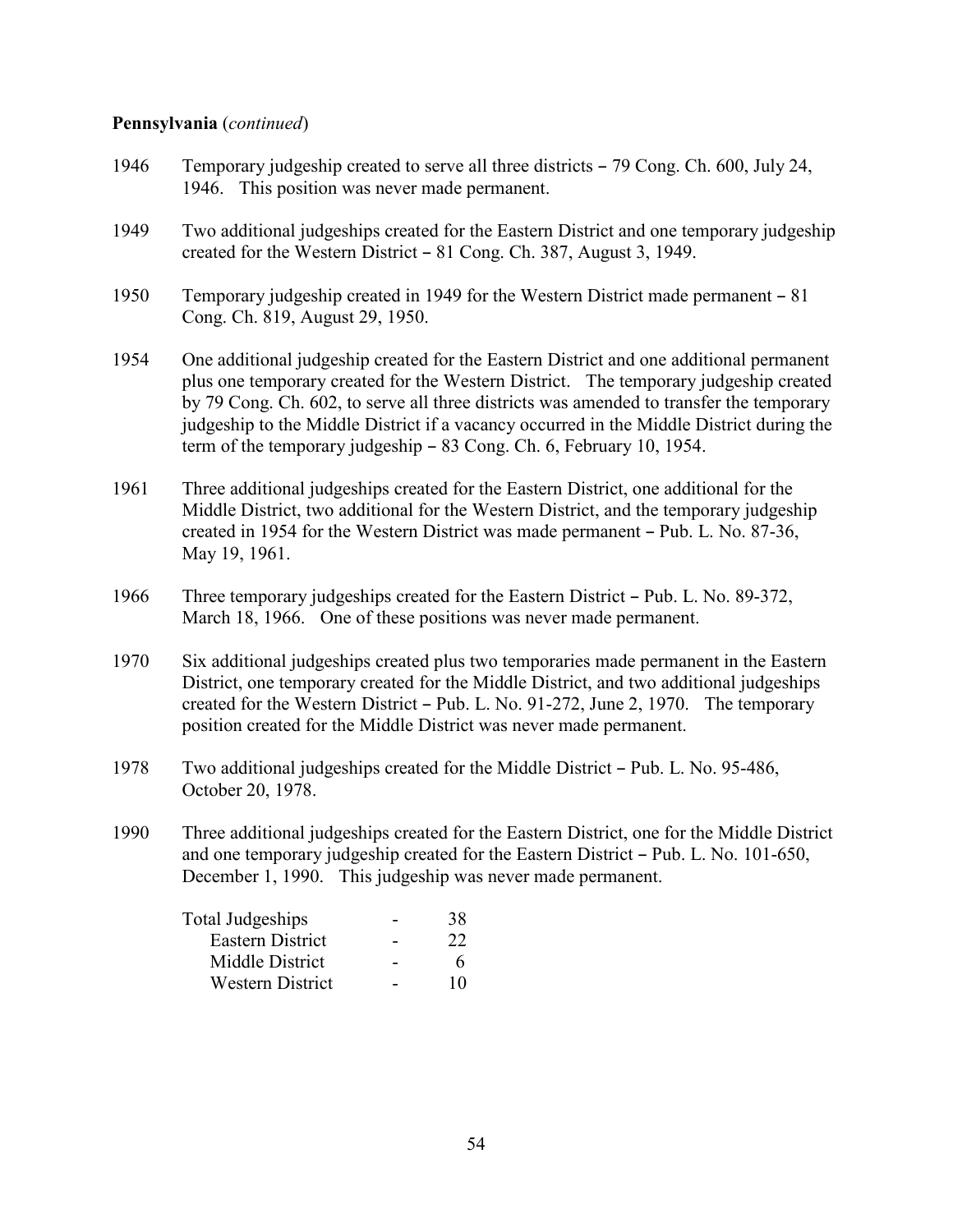#### **Pennsylvania** (*continued*)

- 1946 Temporary judgeship created to serve all three districts 79 Cong. Ch. 600, July 24, 1946. This position was never made permanent.
- 1949 Two additional judgeships created for the Eastern District and one temporary judgeship created for the Western District  $-81$  Cong. Ch. 387, August 3, 1949.
- 1950 Temporary judgeship created in 1949 for the Western District made permanent 81 Cong. Ch. 819, August 29, 1950.
- 1954 One additional judgeship created for the Eastern District and one additional permanent plus one temporary created for the Western District. The temporary judgeship created by 79 Cong. Ch. 602, to serve all three districts was amended to transfer the temporary judgeship to the Middle District if a vacancy occurred in the Middle District during the term of the temporary judgeship  $-83$  Cong. Ch. 6, February 10, 1954.
- 1961 Three additional judgeships created for the Eastern District, one additional for the Middle District, two additional for the Western District, and the temporary judgeship created in 1954 for the Western District was made permanent - Pub. L. No. 87-36, May 19, 1961.
- 1966 Three temporary judgeships created for the Eastern District Pub. L. No. 89-372, March 18, 1966. One of these positions was never made permanent.
- 1970 Six additional judgeships created plus two temporaries made permanent in the Eastern District, one temporary created for the Middle District, and two additional judgeships created for the Western District  $-$  Pub. L. No. 91-272, June 2, 1970. The temporary position created for the Middle District was never made permanent.
- 1978 Two additional judgeships created for the Middle District Pub. L. No. 95-486, October 20, 1978.
- 1990 Three additional judgeships created for the Eastern District, one for the Middle District and one temporary judgeship created for the Eastern District  $-$  Pub. L. No. 101-650, December 1, 1990. This judgeship was never made permanent.

| Total Judgeships        | 38 |
|-------------------------|----|
| Eastern District        | 22 |
| Middle District         | 6  |
| <b>Western District</b> | 10 |
|                         |    |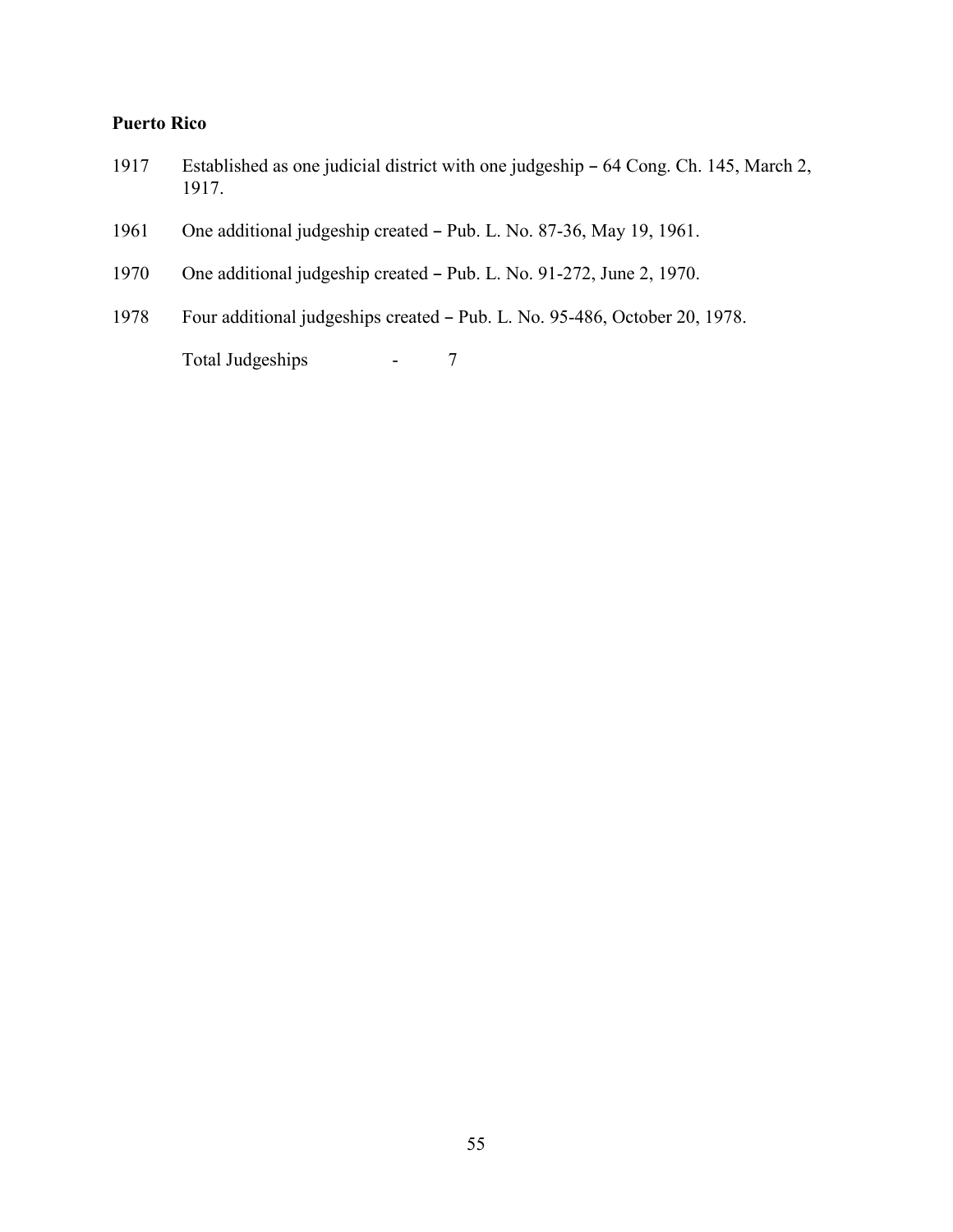### **Puerto Rico**

- 1917 Established as one judicial district with one judgeship 64 Cong. Ch. 145, March 2, 1917.
- 1961 One additional judgeship created Pub. L. No. 87-36, May 19, 1961.
- 1970 One additional judgeship created Pub. L. No. 91-272, June 2, 1970.
- 1978 Four additional judgeships created Pub. L. No. 95-486, October 20, 1978.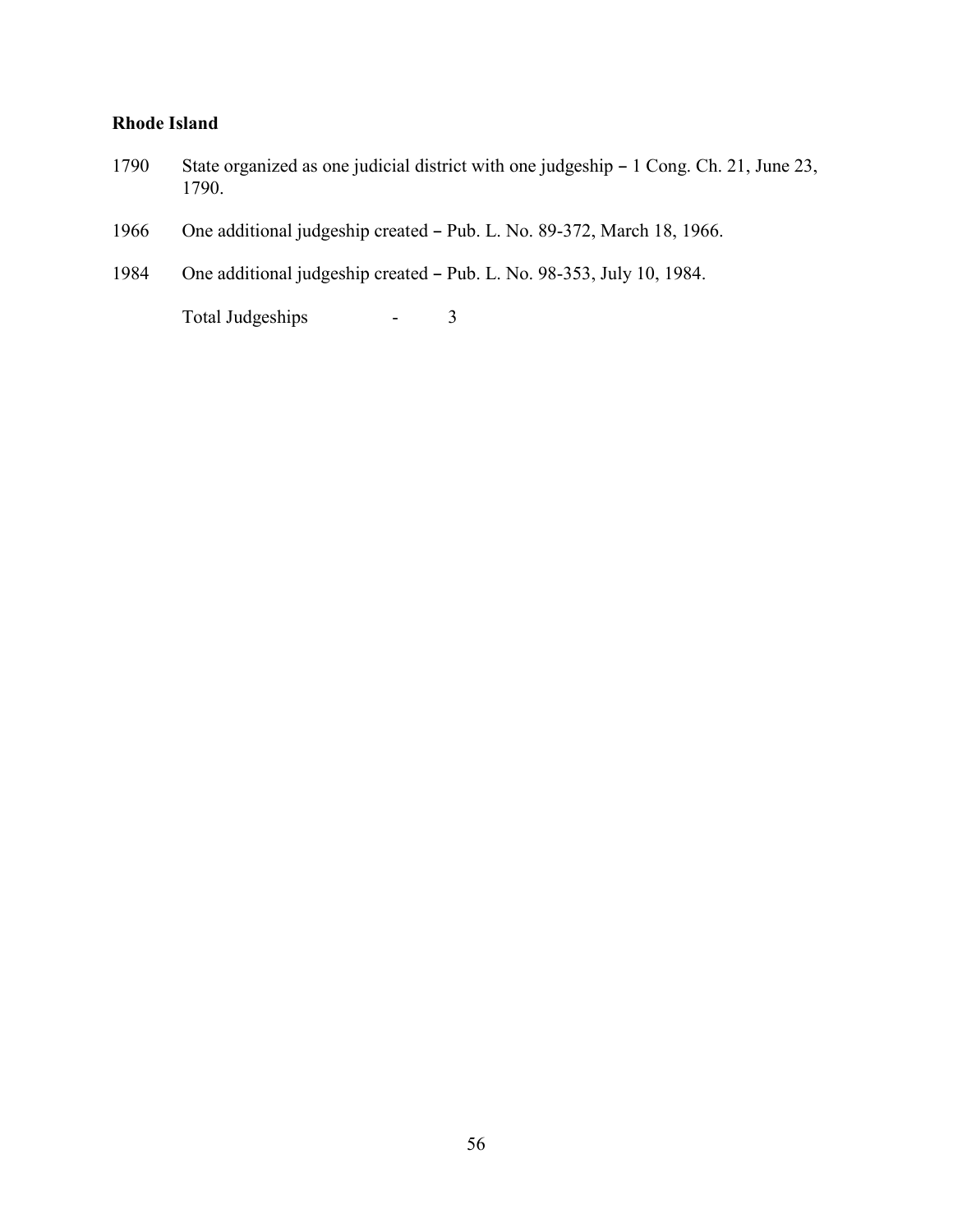### **Rhode Island**

- 1790 State organized as one judicial district with one judgeship 1 Cong. Ch. 21, June 23, 1790.
- 1966 One additional judgeship created Pub. L. No. 89-372, March 18, 1966.
- 1984 One additional judgeship created Pub. L. No. 98-353, July 10, 1984.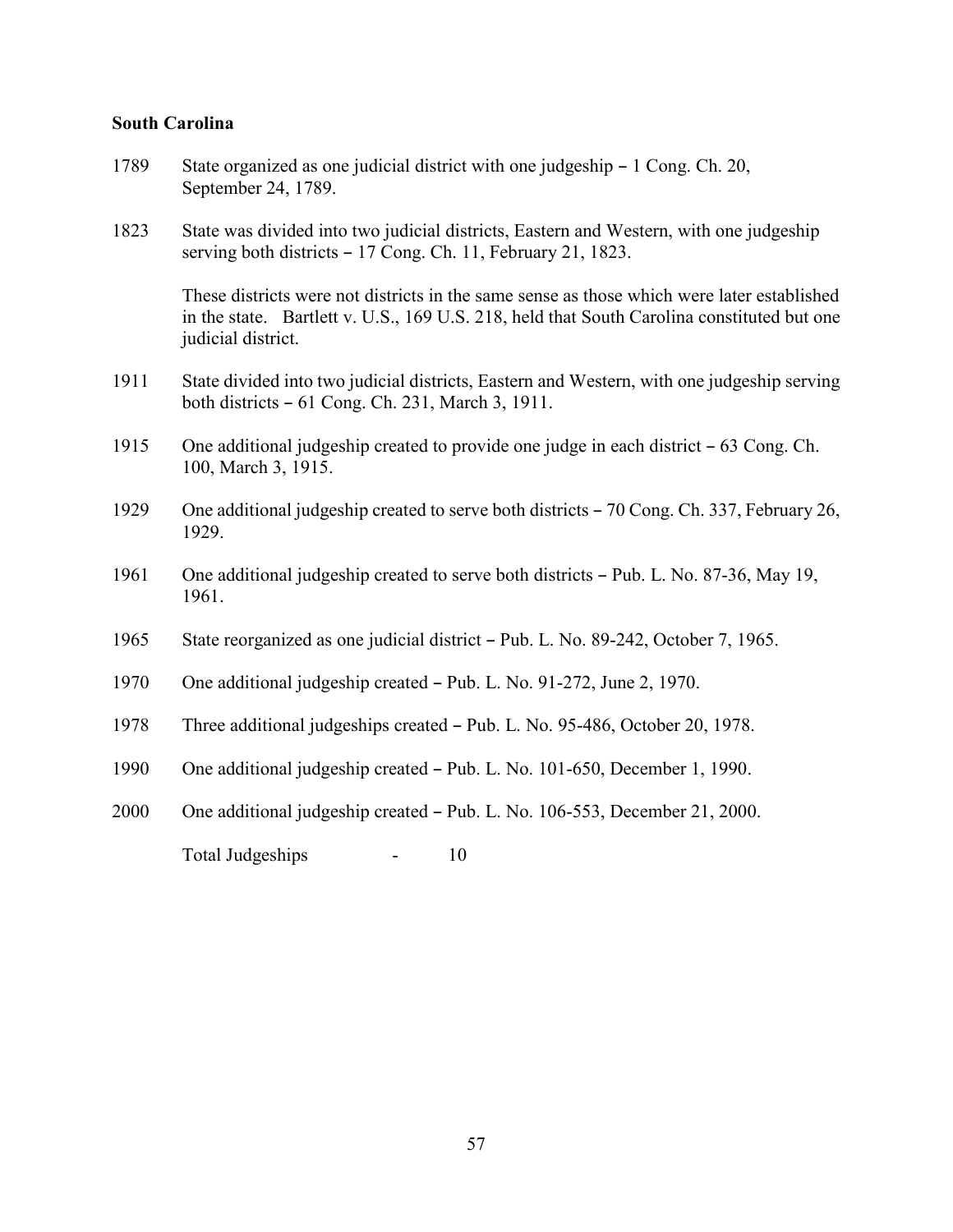#### **South Carolina**

- 1789 State organized as one judicial district with one judgeship 1 Cong. Ch. 20, September 24, 1789.
- 1823 State was divided into two judicial districts, Eastern and Western, with one judgeship serving both districts  $-17$  Cong. Ch. 11, February 21, 1823.

These districts were not districts in the same sense as those which were later established in the state. Bartlett v. U.S., 169 U.S. 218, held that South Carolina constituted but one judicial district.

- 1911 State divided into two judicial districts, Eastern and Western, with one judgeship serving both districts  $-61$  Cong. Ch. 231, March 3, 1911.
- 1915 One additional judgeship created to provide one judge in each district  $-63$  Cong. Ch. 100, March 3, 1915.
- 1929 One additional judgeship created to serve both districts 70 Cong. Ch. 337, February 26, 1929.
- 1961 One additional judgeship created to serve both districts  $-$  Pub. L. No. 87-36, May 19, 1961.
- 1965 State reorganized as one judicial district Pub. L. No. 89-242, October 7, 1965.
- 1970 One additional judgeship created Pub. L. No. 91-272, June 2, 1970.
- 1978 Three additional judgeships created Pub. L. No. 95-486, October 20, 1978.
- 1990 One additional judgeship created Pub. L. No. 101-650, December 1, 1990.
- 2000 One additional judgeship created Pub. L. No. 106-553, December 21, 2000.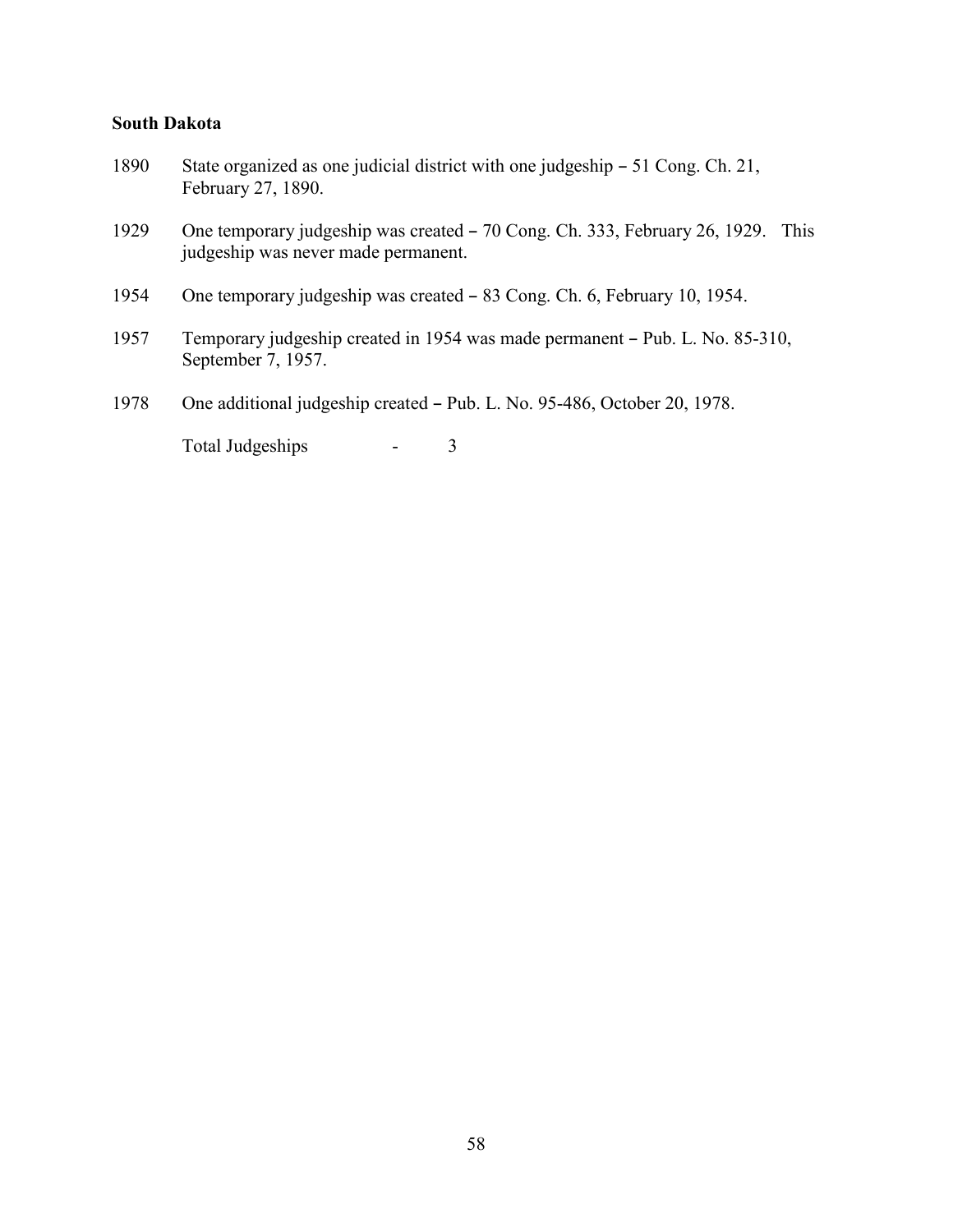#### **South Dakota**

- 1890 State organized as one judicial district with one judgeship 51 Cong. Ch. 21, February 27, 1890.
- 1929 One temporary judgeship was created 70 Cong. Ch. 333, February 26, 1929. This judgeship was never made permanent.
- 1954 One temporary judgeship was created 83 Cong. Ch. 6, February 10, 1954.
- 1957 Temporary judgeship created in 1954 was made permanent Pub. L. No. 85-310, September 7, 1957.
- 1978 One additional judgeship created Pub. L. No. 95-486, October 20, 1978.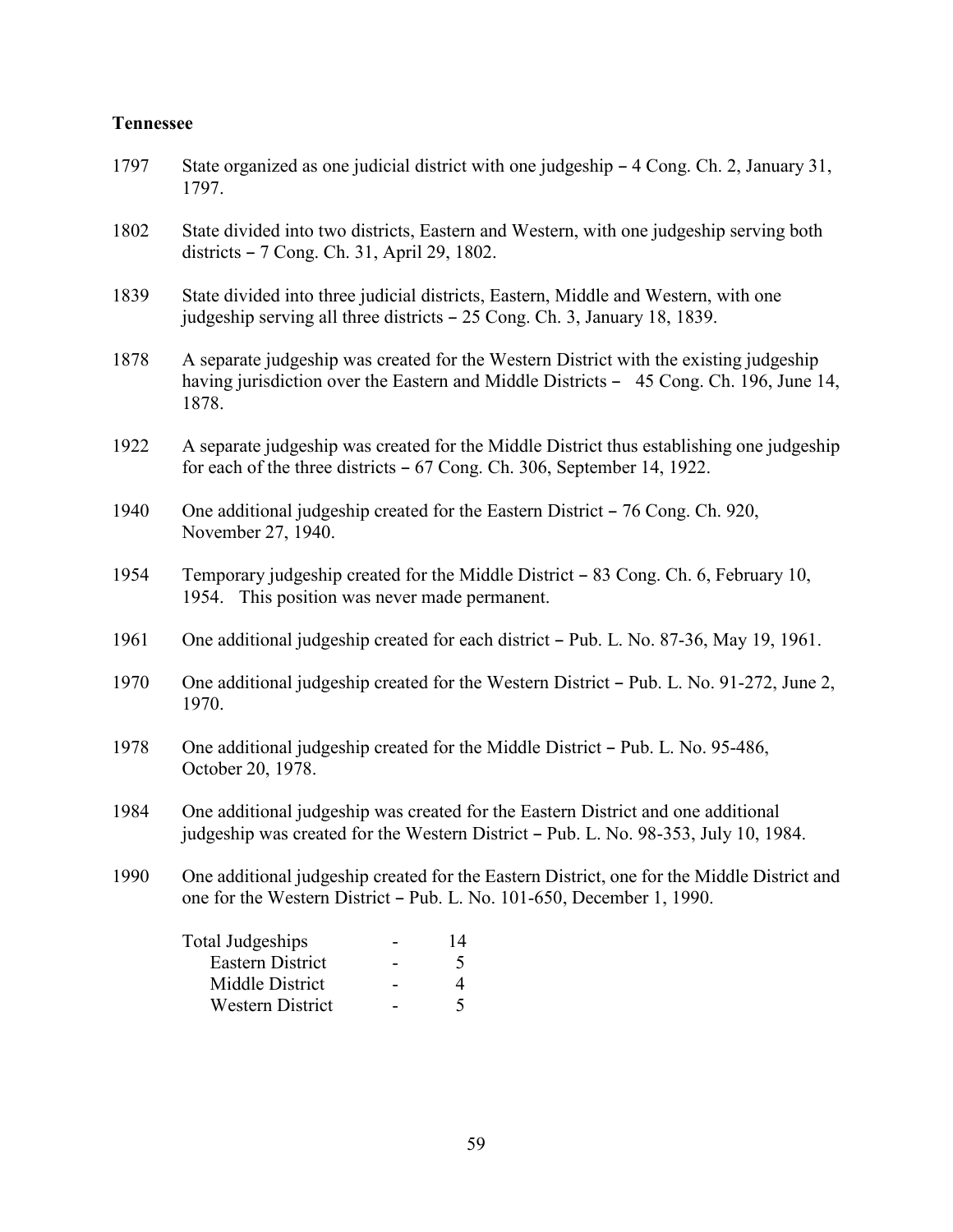#### **Tennessee**

- 1797 State organized as one judicial district with one judgeship  $-4$  Cong. Ch. 2, January 31, 1797.
- 1802 State divided into two districts, Eastern and Western, with one judgeship serving both districts - 7 Cong. Ch. 31, April 29, 1802.
- 1839 State divided into three judicial districts, Eastern, Middle and Western, with one judgeship serving all three districts  $-25$  Cong. Ch. 3, January 18, 1839.
- 1878 A separate judgeship was created for the Western District with the existing judgeship having jurisdiction over the Eastern and Middle Districts  $-45$  Cong. Ch. 196, June 14, 1878.
- 1922 A separate judgeship was created for the Middle District thus establishing one judgeship for each of the three districts  $-67$  Cong. Ch. 306, September 14, 1922.
- 1940 One additional judgeship created for the Eastern District  $-76$  Cong. Ch. 920, November 27, 1940.
- 1954 Temporary judgeship created for the Middle District  $-83$  Cong. Ch. 6, February 10, 1954. This position was never made permanent.
- 1961 One additional judgeship created for each district Pub. L. No. 87-36, May 19, 1961.
- 1970 One additional judgeship created for the Western District Pub. L. No. 91-272, June 2, 1970.
- 1978 One additional judgeship created for the Middle District Pub. L. No. 95-486, October 20, 1978.
- 1984 One additional judgeship was created for the Eastern District and one additional judgeship was created for the Western District – Pub. L. No. 98-353, July 10, 1984.
- 1990 One additional judgeship created for the Eastern District, one for the Middle District and one for the Western District – Pub. L. No. 101-650, December 1, 1990.

| 14 |
|----|
|    |
|    |
|    |
|    |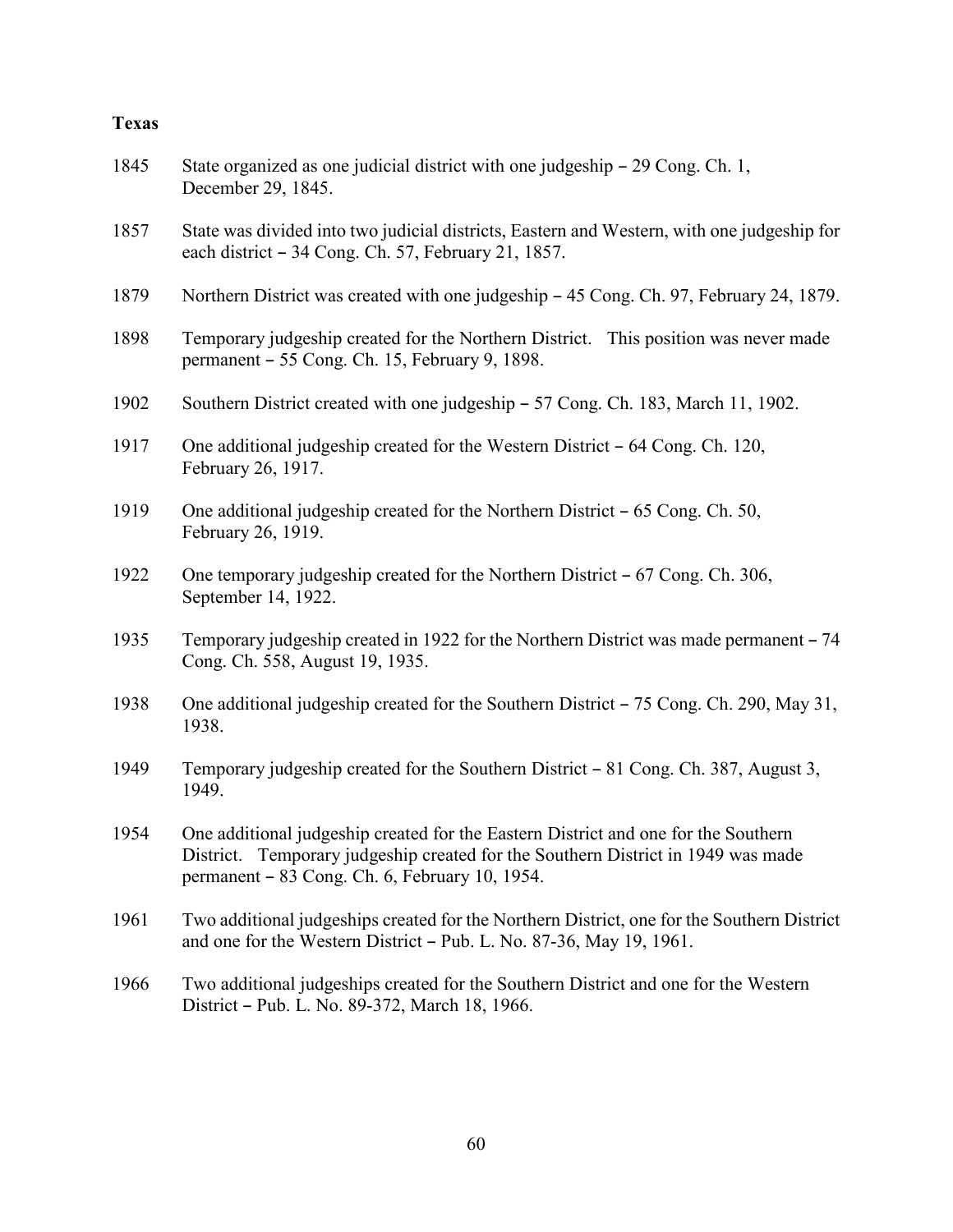#### **Texas**

- 1845 State organized as one judicial district with one judgeship 29 Cong. Ch. 1, December 29, 1845.
- 1857 State was divided into two judicial districts, Eastern and Western, with one judgeship for each district  $-34$  Cong. Ch. 57, February 21, 1857.
- 1879 Northern District was created with one judgeship 45 Cong. Ch. 97, February 24, 1879.
- 1898 Temporary judgeship created for the Northern District. This position was never made permanent  $-55$  Cong. Ch. 15, February 9, 1898.
- 1902 Southern District created with one judgeship 57 Cong. Ch. 183, March 11, 1902.
- 1917 One additional judgeship created for the Western District  $-64$  Cong. Ch. 120, February 26, 1917.
- 1919 One additional judgeship created for the Northern District  $-65$  Cong. Ch. 50, February 26, 1919.
- 1922 One temporary judgeship created for the Northern District  $-67$  Cong. Ch. 306, September 14, 1922.
- 1935 Temporary judgeship created in 1922 for the Northern District was made permanent 74 Cong. Ch. 558, August 19, 1935.
- 1938 One additional judgeship created for the Southern District  $-75$  Cong. Ch. 290, May 31, 1938.
- 1949 Temporary judgeship created for the Southern District 81 Cong. Ch. 387, August 3, 1949.
- 1954 One additional judgeship created for the Eastern District and one for the Southern District. Temporary judgeship created for the Southern District in 1949 was made permanent  $-83$  Cong. Ch. 6, February 10, 1954.
- 1961 Two additional judgeships created for the Northern District, one for the Southern District and one for the Western District  $-$  Pub. L. No. 87-36, May 19, 1961.
- 1966 Two additional judgeships created for the Southern District and one for the Western District - Pub. L. No. 89-372, March 18, 1966.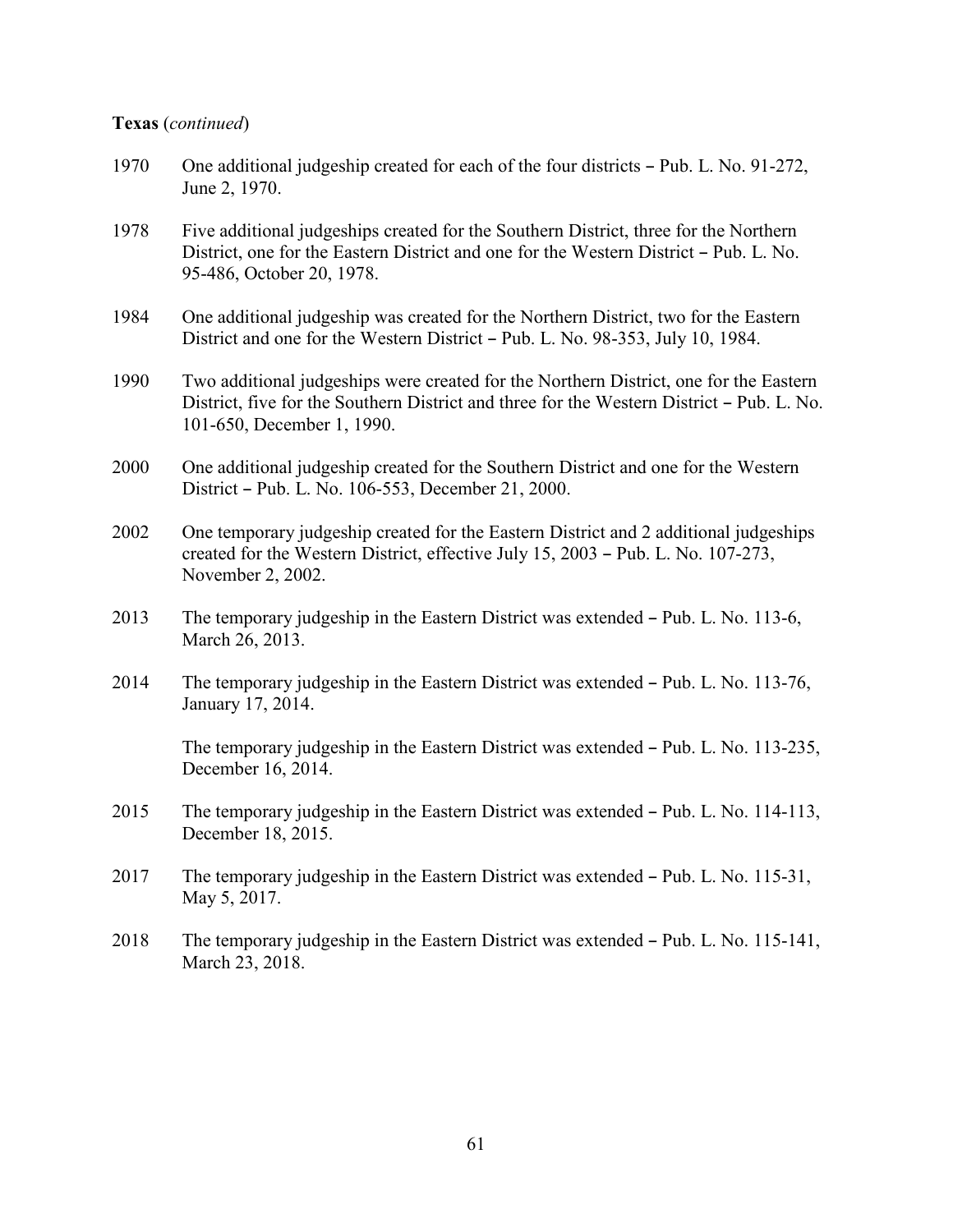#### **Texas** (*continued*)

- 1970 One additional judgeship created for each of the four districts  $-$  Pub. L. No. 91-272, June 2, 1970.
- 1978 Five additional judgeships created for the Southern District, three for the Northern District, one for the Eastern District and one for the Western District – Pub. L. No. 95-486, October 20, 1978.
- 1984 One additional judgeship was created for the Northern District, two for the Eastern District and one for the Western District – Pub. L. No. 98-353, July 10, 1984.
- 1990 Two additional judgeships were created for the Northern District, one for the Eastern District, five for the Southern District and three for the Western District – Pub. L. No. 101-650, December 1, 1990.
- 2000 One additional judgeship created for the Southern District and one for the Western District – Pub. L. No. 106-553, December 21, 2000.
- 2002 One temporary judgeship created for the Eastern District and 2 additional judgeships created for the Western District, effective July  $15$ ,  $2003$  – Pub. L. No. 107-273, November 2, 2002.
- 2013 The temporary judgeship in the Eastern District was extended Pub. L. No. 113-6, March 26, 2013.
- 2014 The temporary judgeship in the Eastern District was extended Pub. L. No. 113-76, January 17, 2014.

The temporary judgeship in the Eastern District was extended  $-$  Pub. L. No. 113-235, December 16, 2014.

- 2015 The temporary judgeship in the Eastern District was extended Pub. L. No. 114-113, December 18, 2015.
- 2017 The temporary judgeship in the Eastern District was extended  $-$  Pub. L. No. 115-31, May 5, 2017.
- 2018 The temporary judgeship in the Eastern District was extended Pub. L. No. 115-141, March 23, 2018.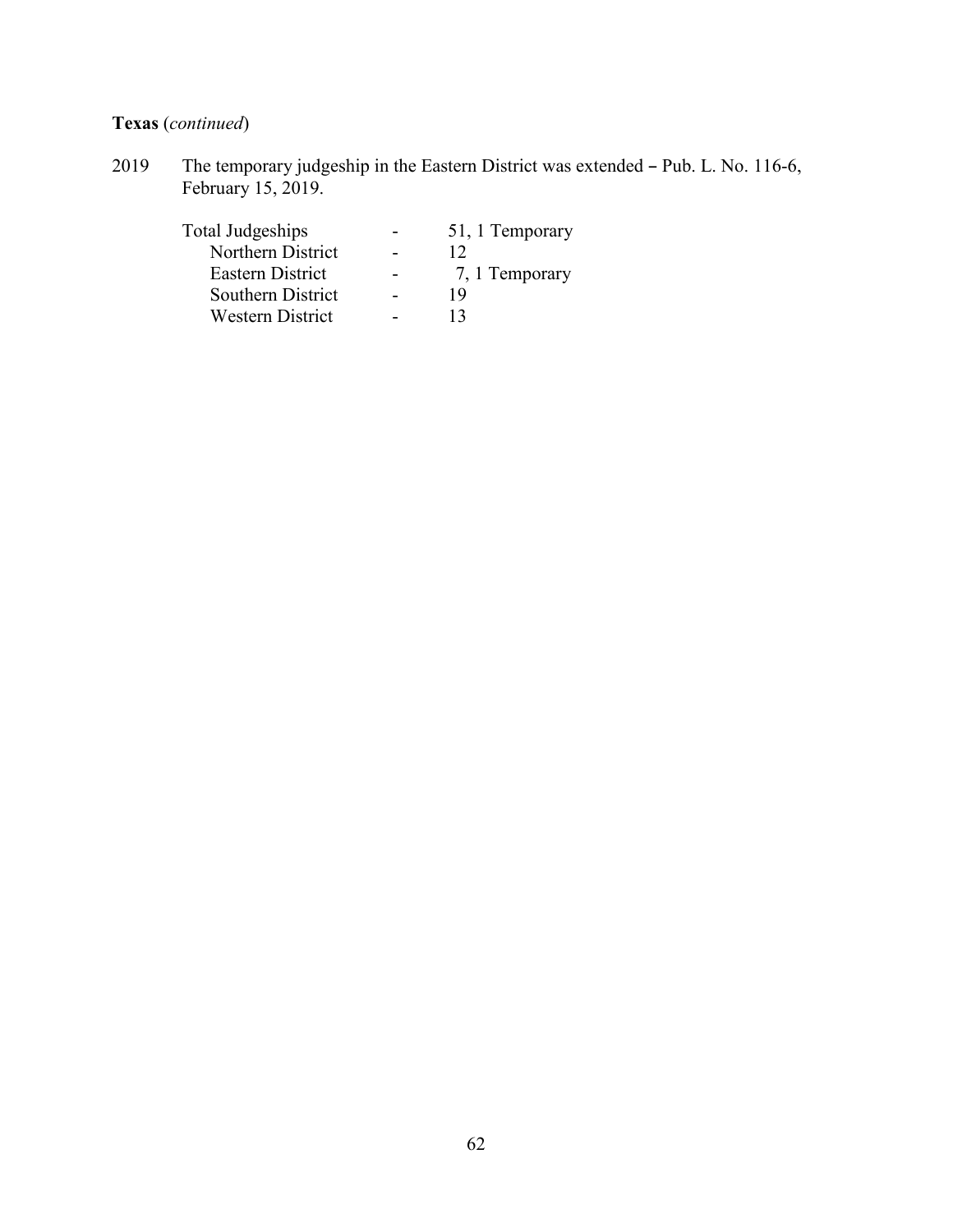# **Texas** (*continued*)

2019 The temporary judgeship in the Eastern District was extended – Pub. L. No. 116-6, February 15, 2019.

| Total Judgeships        | 51, 1 Temporary |
|-------------------------|-----------------|
| Northern District       | 12              |
| Eastern District        | 7, 1 Temporary  |
| Southern District       | 19              |
| <b>Western District</b> | 13              |
|                         |                 |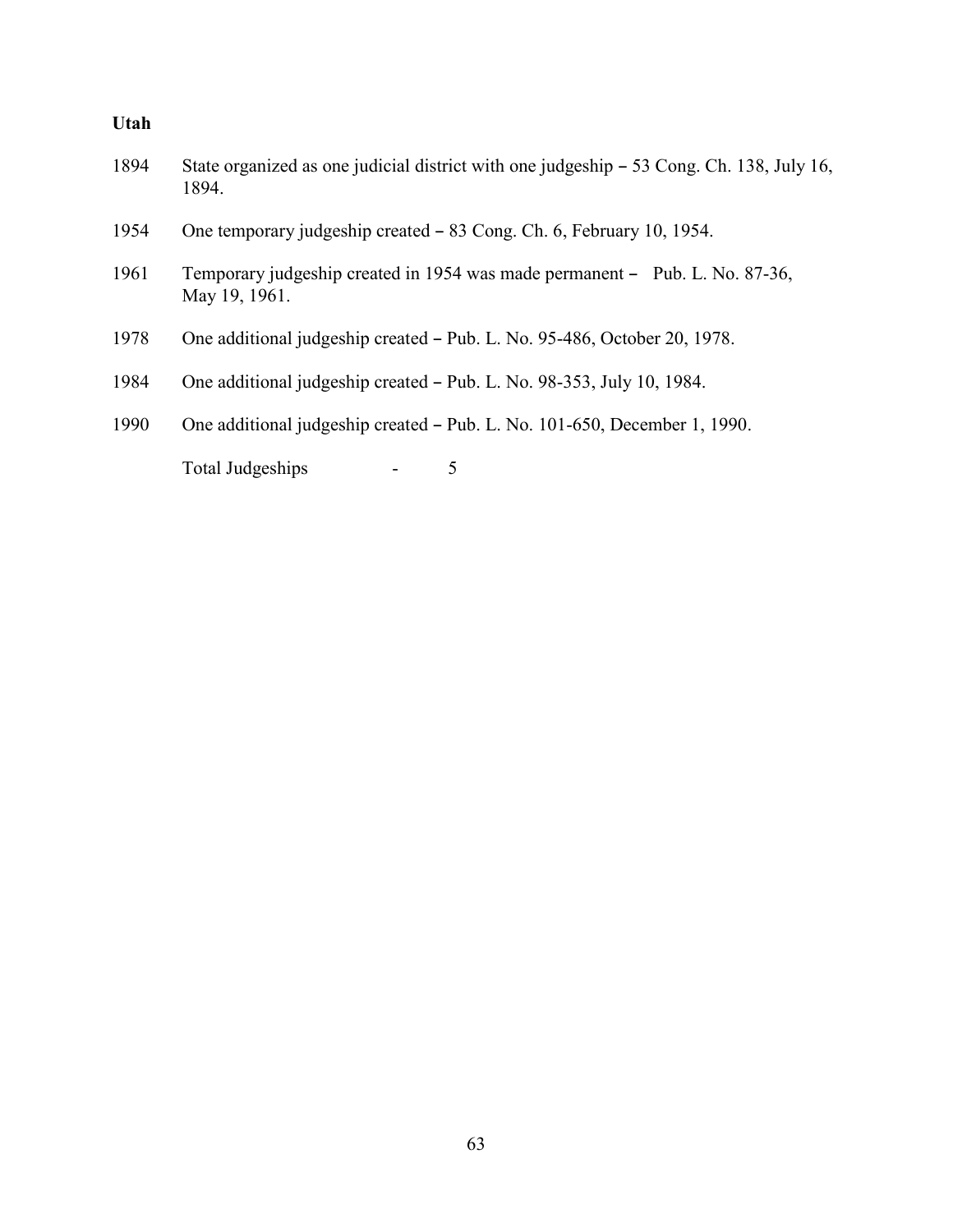### **Utah**

| 1894 | State organized as one judicial district with one judgeship – 53 Cong. Ch. 138, July 16,<br>1894. |
|------|---------------------------------------------------------------------------------------------------|
| 1954 | One temporary judgeship created – 83 Cong. Ch. 6, February 10, 1954.                              |
| 1961 | Temporary judgeship created in 1954 was made permanent – Pub. L. No. 87-36,<br>May 19, 1961.      |
| 1978 | One additional judgeship created – Pub. L. No. 95-486, October 20, 1978.                          |
| 1984 | One additional judgeship created – Pub. L. No. 98-353, July 10, 1984.                             |
| 1990 | One additional judgeship created – Pub. L. No. 101-650, December 1, 1990.                         |
|      | Total Judgeships<br>5                                                                             |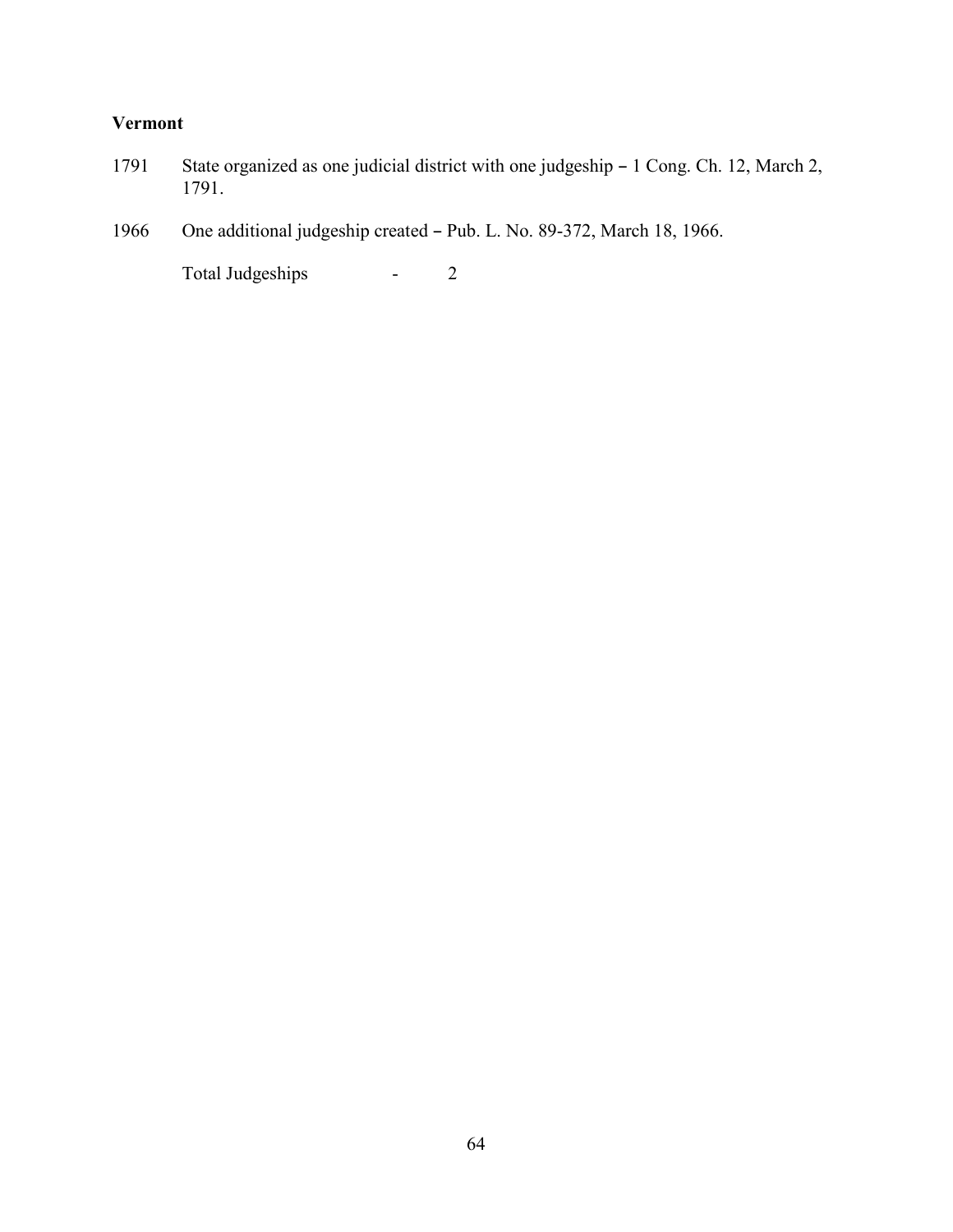### **Vermont**

- 1791 State organized as one judicial district with one judgeship 1 Cong. Ch. 12, March 2, 1791.
- 1966 One additional judgeship created Pub. L. No. 89-372, March 18, 1966.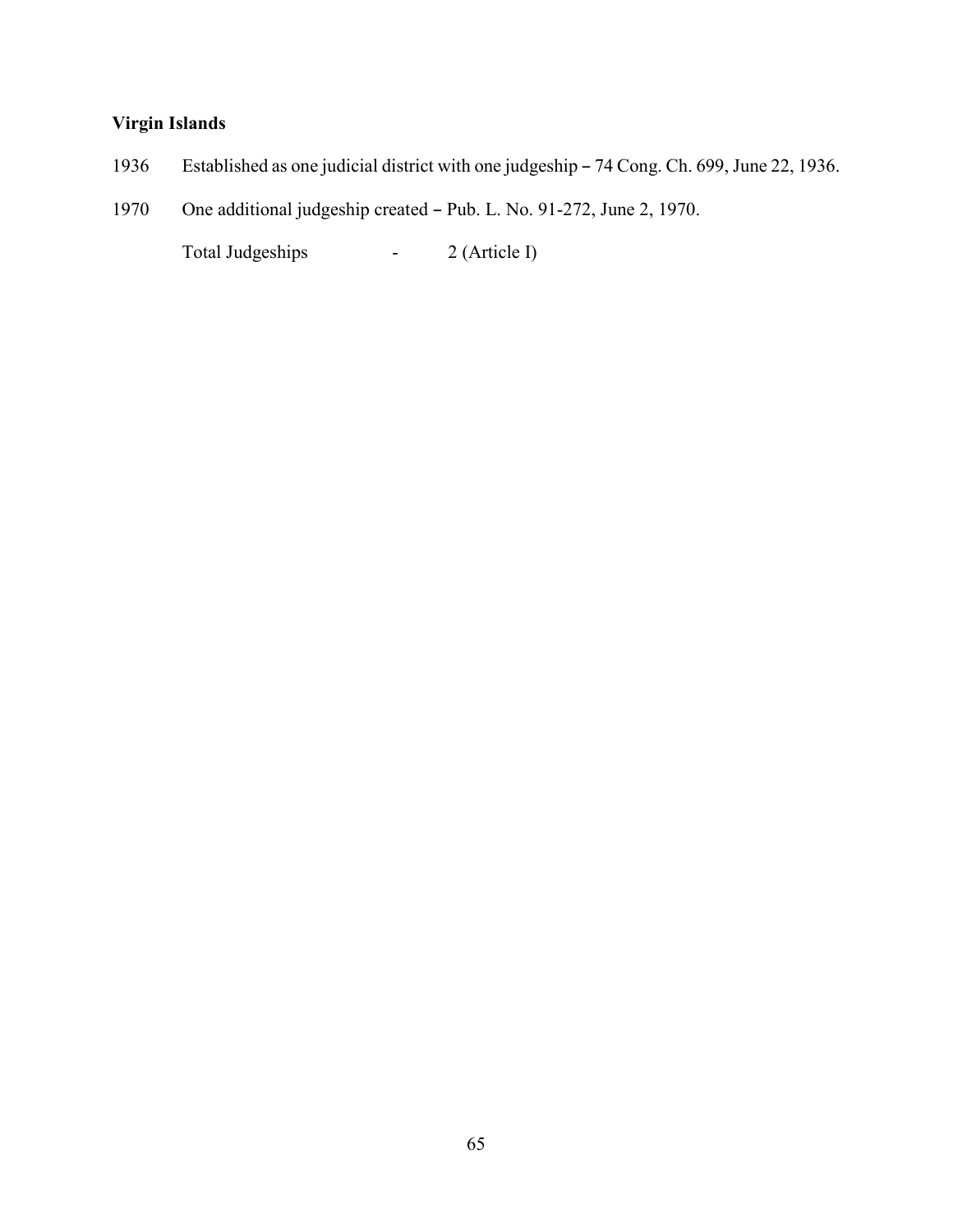### **Virgin Islands**

- 1936 Established as one judicial district with one judgeship 74 Cong. Ch. 699, June 22, 1936.
- 1970 One additional judgeship created Pub. L. No. 91-272, June 2, 1970.

Total Judgeships - 2 (Article I)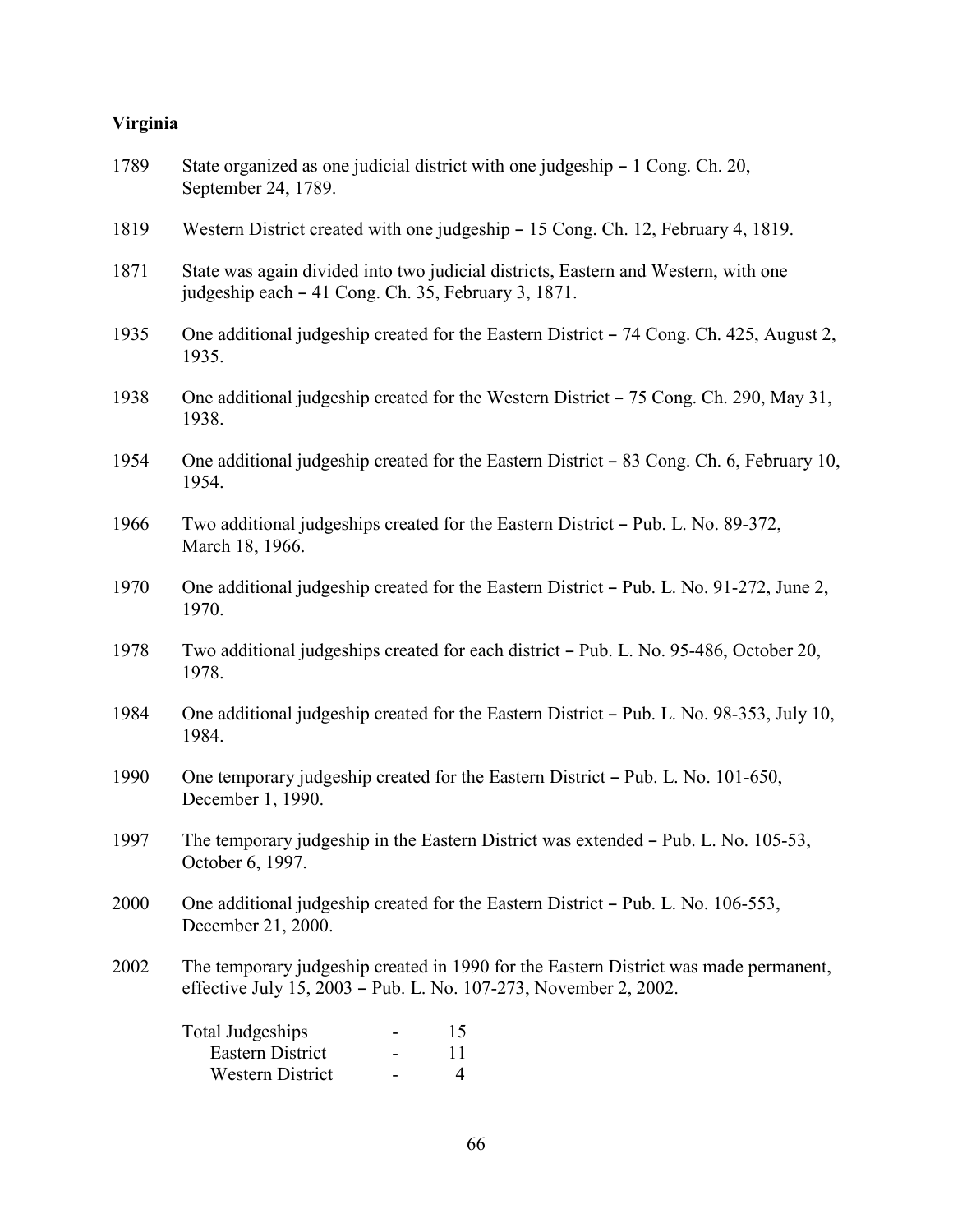### **Virginia**

| 1789 | State organized as one judicial district with one judgeship – 1 Cong. Ch. 20,<br>September 24, 1789.                                                     |
|------|----------------------------------------------------------------------------------------------------------------------------------------------------------|
| 1819 | Western District created with one judgeship – 15 Cong. Ch. 12, February 4, 1819.                                                                         |
| 1871 | State was again divided into two judicial districts, Eastern and Western, with one<br>judgeship each – 41 Cong. Ch. 35, February 3, 1871.                |
| 1935 | One additional judgeship created for the Eastern District – 74 Cong. Ch. 425, August 2,<br>1935.                                                         |
| 1938 | One additional judgeship created for the Western District – 75 Cong. Ch. 290, May 31,<br>1938.                                                           |
| 1954 | One additional judgeship created for the Eastern District – 83 Cong. Ch. 6, February 10,<br>1954.                                                        |
| 1966 | Two additional judgeships created for the Eastern District – Pub. L. No. 89-372,<br>March 18, 1966.                                                      |
| 1970 | One additional judgeship created for the Eastern District – Pub. L. No. 91-272, June 2,<br>1970.                                                         |
| 1978 | Two additional judgeships created for each district - Pub. L. No. 95-486, October 20,<br>1978.                                                           |
| 1984 | One additional judgeship created for the Eastern District – Pub. L. No. 98-353, July 10,<br>1984.                                                        |
| 1990 | One temporary judgeship created for the Eastern District – Pub. L. No. 101-650,<br>December 1, 1990.                                                     |
| 1997 | The temporary judgeship in the Eastern District was extended - Pub. L. No. 105-53,<br>October 6, 1997.                                                   |
| 2000 | One additional judgeship created for the Eastern District – Pub. L. No. 106-553,<br>December 21, 2000.                                                   |
| 2002 | The temporary judgeship created in 1990 for the Eastern District was made permanent,<br>effective July 15, 2003 – Pub. L. No. 107-273, November 2, 2002. |
|      | <b>Total Judgeships</b><br>15<br><b>Eastern District</b><br>11<br>Western District<br>$\overline{4}$                                                     |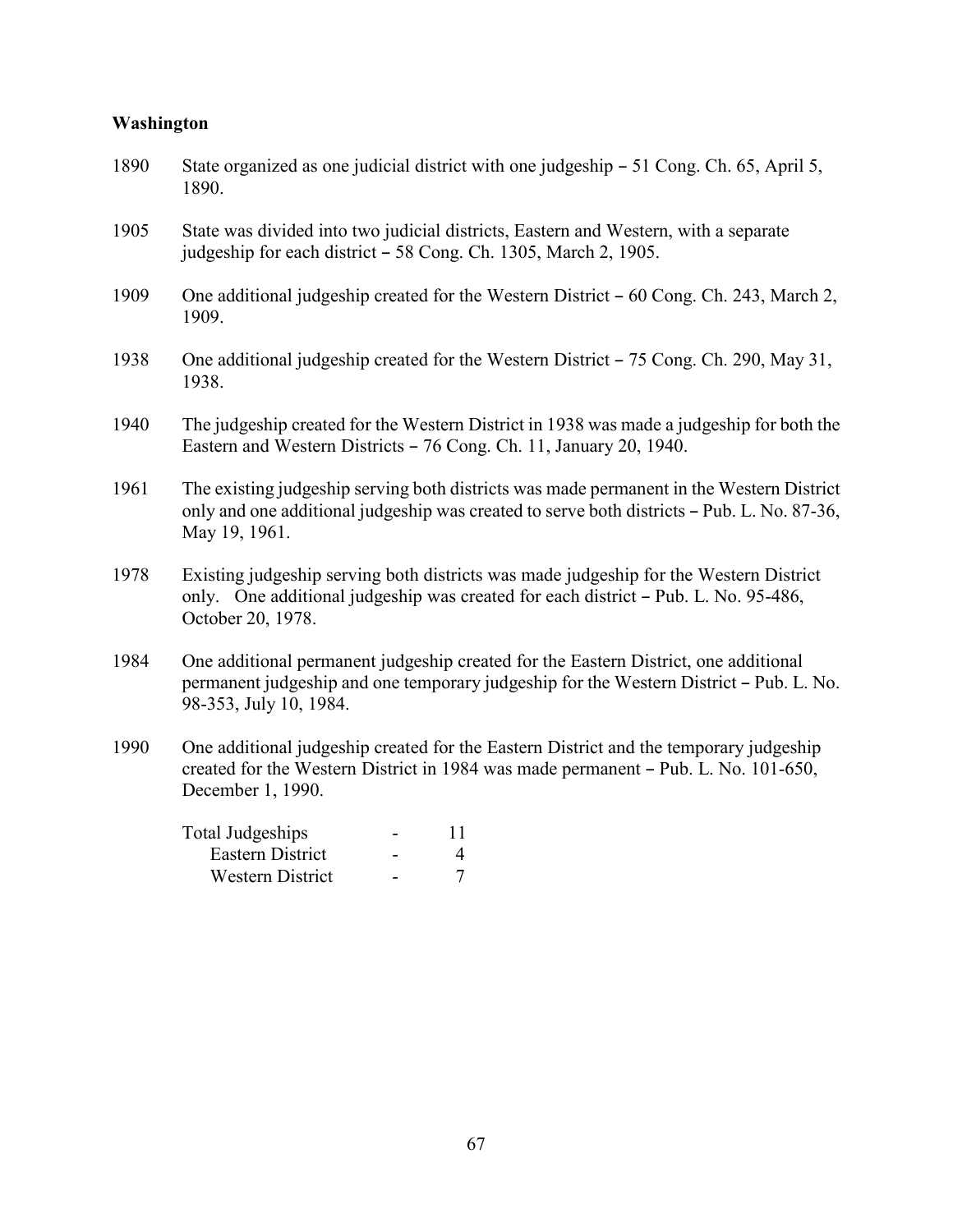### **Washington**

| 1890 | State organized as one judicial district with one judgeship – 51 Cong. Ch. 65, April 5,<br>1890.                                                                                                        |
|------|---------------------------------------------------------------------------------------------------------------------------------------------------------------------------------------------------------|
| 1905 | State was divided into two judicial districts, Eastern and Western, with a separate<br>judgeship for each district - 58 Cong. Ch. 1305, March 2, 1905.                                                  |
| 1909 | One additional judgeship created for the Western District – 60 Cong. Ch. 243, March 2,<br>1909.                                                                                                         |
| 1938 | One additional judgeship created for the Western District – 75 Cong. Ch. 290, May 31,<br>1938.                                                                                                          |
| 1940 | The judgeship created for the Western District in 1938 was made a judgeship for both the<br>Eastern and Western Districts - 76 Cong. Ch. 11, January 20, 1940.                                          |
| 1961 | The existing judgeship serving both districts was made permanent in the Western District<br>only and one additional judgeship was created to serve both districts - Pub. L. No. 87-36,<br>May 19, 1961. |
| 1978 | Existing judgeship serving both districts was made judgeship for the Western District<br>only. One additional judgeship was created for each district - Pub. L. No. 95-486,<br>October 20, 1978.        |
| 1984 | One additional permanent judgeship created for the Eastern District, one additional<br>permanent judgeship and one temporary judgeship for the Western District - Pub. L. No.<br>98-353, July 10, 1984. |
| 1990 | One additional judgeship created for the Eastern District and the temporary judgeship<br>created for the Western District in 1984 was made permanent - Pub. L. No. 101-650,<br>December 1, 1990.        |
|      | <b>Total Judgeships</b><br>11                                                                                                                                                                           |

| otal Judgesnips         |  |
|-------------------------|--|
| Eastern District        |  |
| <b>Western District</b> |  |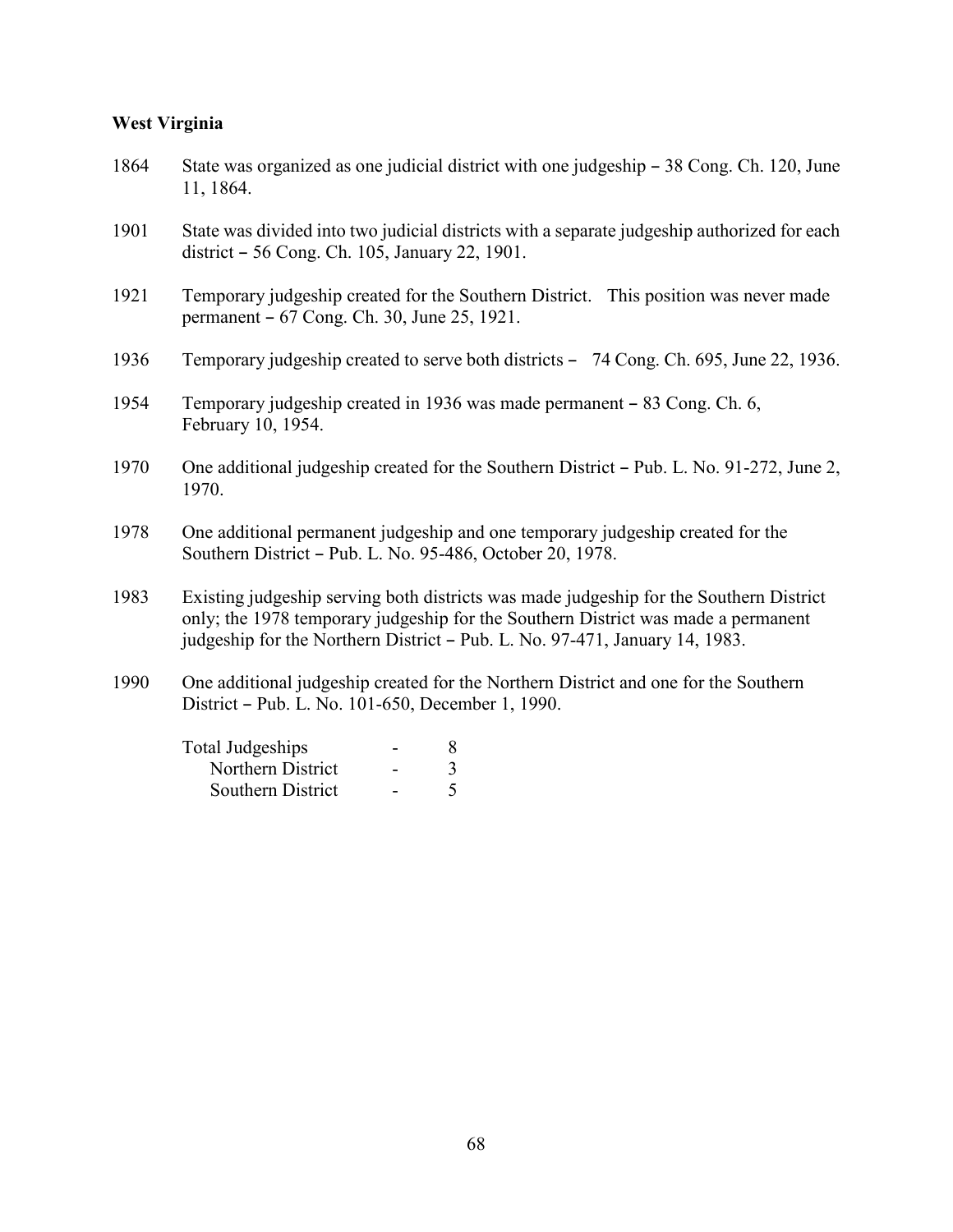#### **West Virginia**

- 1864 State was organized as one judicial district with one judgeship 38 Cong. Ch. 120, June 11, 1864.
- 1901 State was divided into two judicial districts with a separate judgeship authorized for each district - 56 Cong. Ch. 105, January 22, 1901.
- 1921 Temporary judgeship created for the Southern District. This position was never made permanent  $-67$  Cong. Ch. 30, June 25, 1921.
- 1936 Temporary judgeship created to serve both districts 74 Cong. Ch. 695, June 22, 1936.
- 1954 Temporary judgeship created in 1936 was made permanent 83 Cong. Ch. 6, February 10, 1954.
- 1970 One additional judgeship created for the Southern District Pub. L. No. 91-272, June 2, 1970.
- 1978 One additional permanent judgeship and one temporary judgeship created for the Southern District - Pub. L. No. 95-486, October 20, 1978.
- 1983 Existing judgeship serving both districts was made judgeship for the Southern District only; the 1978 temporary judgeship for the Southern District was made a permanent judgeship for the Northern District - Pub. L. No. 97-471, January 14, 1983.
- 1990 One additional judgeship created for the Northern District and one for the Southern District – Pub. L. No. 101-650, December 1, 1990.

| Total Judgeships  | 8 |
|-------------------|---|
| Northern District |   |
| Southern District | 5 |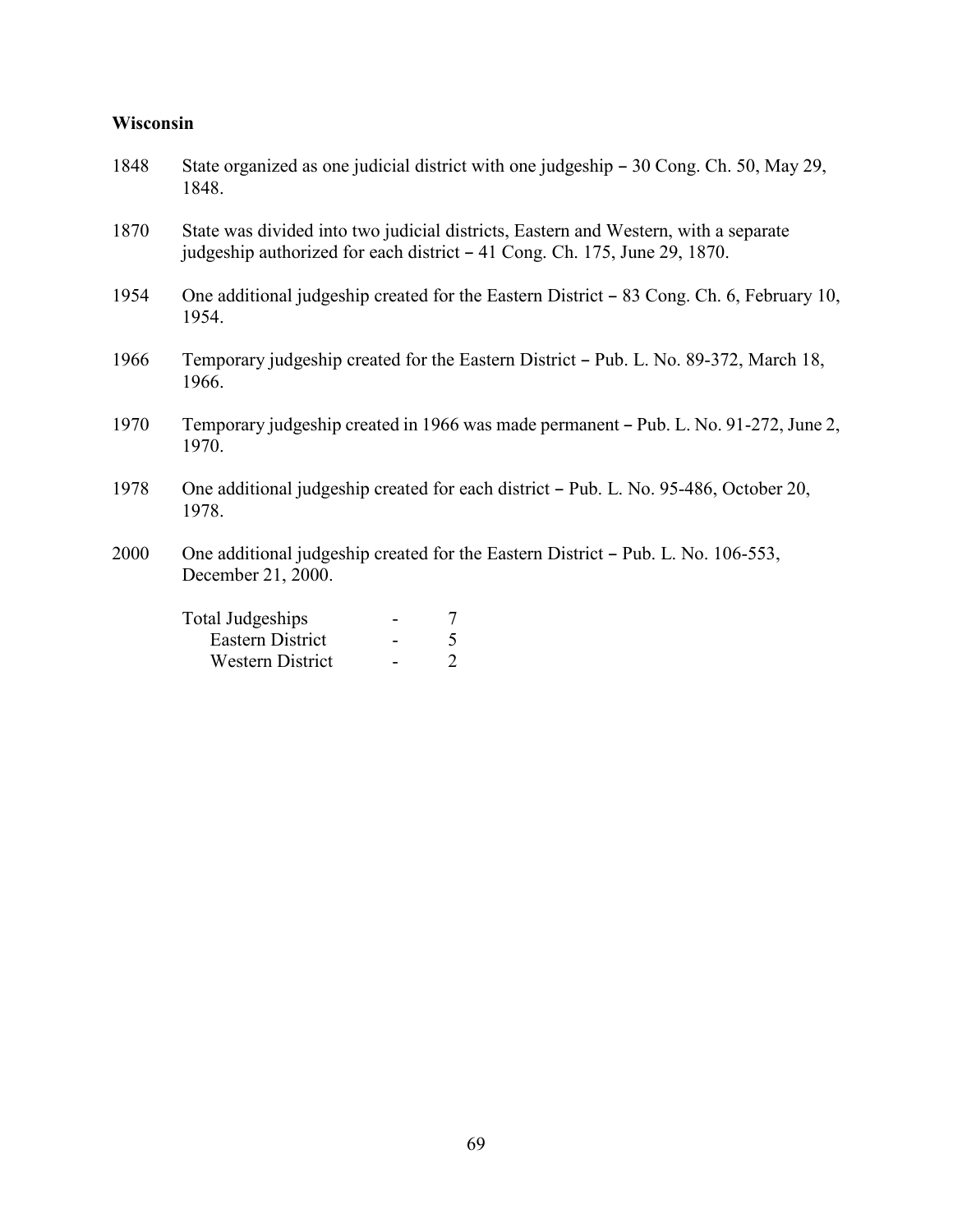### **Wisconsin**

| 1848 | State organized as one judicial district with one judgeship – 30 Cong. Ch. 50, May 29,<br>1848.                                                                  |
|------|------------------------------------------------------------------------------------------------------------------------------------------------------------------|
| 1870 | State was divided into two judicial districts, Eastern and Western, with a separate<br>judgeship authorized for each district – 41 Cong. Ch. 175, June 29, 1870. |
| 1954 | One additional judgeship created for the Eastern District – 83 Cong. Ch. 6, February 10,<br>1954.                                                                |
| 1966 | Temporary judgeship created for the Eastern District – Pub. L. No. 89-372, March 18,<br>1966.                                                                    |
| 1970 | Temporary judgeship created in 1966 was made permanent – Pub. L. No. 91-272, June 2,<br>1970.                                                                    |
| 1978 | One additional judgeship created for each district – Pub. L. No. 95-486, October 20,<br>1978.                                                                    |
| 2000 | One additional judgeship created for the Eastern District – Pub. L. No. 106-553,<br>December 21, 2000.                                                           |
|      | <b>Total Judgeships</b><br>$\sqrt{5}$<br>Eastern District<br>$\overline{2}$<br><b>Western District</b>                                                           |